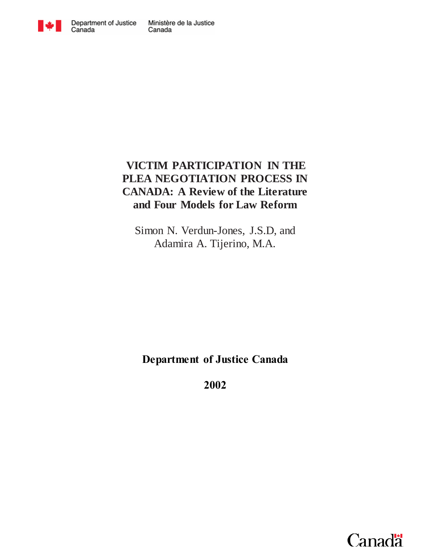

# **VICTIM PARTICIPATION IN THE PLEA NEGOTIATION PROCESS IN CANADA: A Review of the Literature and Four Models for Law Reform**

Simon N. Verdun-Jones, J.S.D, and Adamira A. Tijerino, M.A.

**Department of Justice Canada** 

**2002**

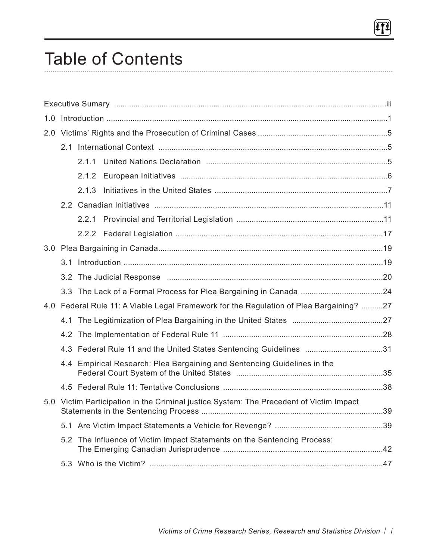# Table of Contents

|  |                                                                                         | 2.2.1                                                              |                                                                          |  |  |
|--|-----------------------------------------------------------------------------------------|--------------------------------------------------------------------|--------------------------------------------------------------------------|--|--|
|  |                                                                                         |                                                                    |                                                                          |  |  |
|  |                                                                                         |                                                                    |                                                                          |  |  |
|  |                                                                                         |                                                                    |                                                                          |  |  |
|  |                                                                                         |                                                                    |                                                                          |  |  |
|  |                                                                                         |                                                                    |                                                                          |  |  |
|  | 4.0 Federal Rule 11: A Viable Legal Framework for the Regulation of Plea Bargaining? 27 |                                                                    |                                                                          |  |  |
|  |                                                                                         |                                                                    |                                                                          |  |  |
|  |                                                                                         |                                                                    |                                                                          |  |  |
|  |                                                                                         | 4.3 Federal Rule 11 and the United States Sentencing Guidelines 31 |                                                                          |  |  |
|  | 4.4                                                                                     |                                                                    | Empirical Research: Plea Bargaining and Sentencing Guidelines in the     |  |  |
|  |                                                                                         |                                                                    |                                                                          |  |  |
|  | 5.0 Victim Participation in the Criminal justice System: The Precedent of Victim Impact |                                                                    |                                                                          |  |  |
|  |                                                                                         |                                                                    |                                                                          |  |  |
|  |                                                                                         |                                                                    | 5.2 The Influence of Victim Impact Statements on the Sentencing Process: |  |  |
|  |                                                                                         |                                                                    |                                                                          |  |  |

Ơ∆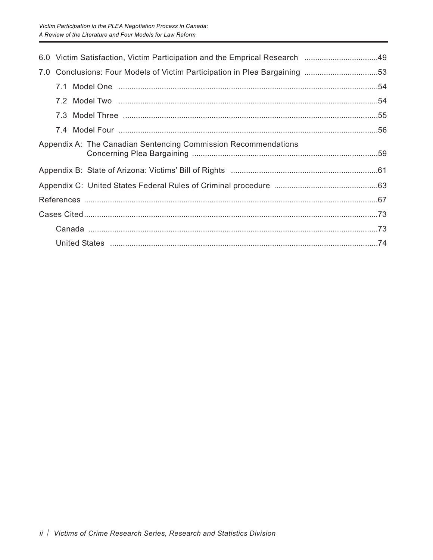|  | 6.0 Victim Satisfaction, Victim Participation and the Emprical Research 49 |  |  |  |
|--|----------------------------------------------------------------------------|--|--|--|
|  | 7.0 Conclusions: Four Models of Victim Participation in Plea Bargaining 53 |  |  |  |
|  |                                                                            |  |  |  |
|  |                                                                            |  |  |  |
|  |                                                                            |  |  |  |
|  |                                                                            |  |  |  |
|  | Appendix A: The Canadian Sentencing Commission Recommendations             |  |  |  |
|  |                                                                            |  |  |  |
|  |                                                                            |  |  |  |
|  |                                                                            |  |  |  |
|  |                                                                            |  |  |  |
|  |                                                                            |  |  |  |
|  |                                                                            |  |  |  |
|  |                                                                            |  |  |  |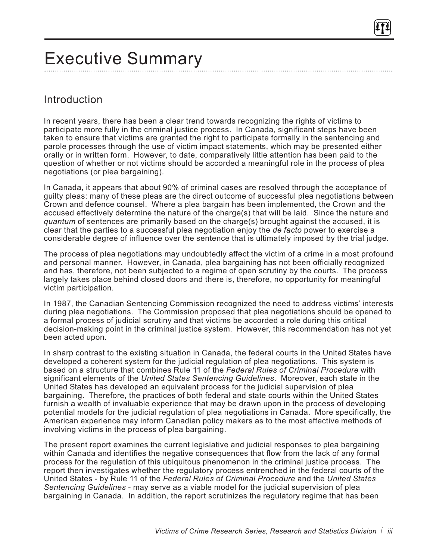# Executive Summary

# Introduction

In recent years, there has been a clear trend towards recognizing the rights of victims to participate more fully in the criminal justice process. In Canada, significant steps have been taken to ensure that victims are granted the right to participate formally in the sentencing and parole processes through the use of victim impact statements, which may be presented either orally or in written form. However, to date, comparatively little attention has been paid to the question of whether or not victims should be accorded a meaningful role in the process of plea negotiations (or plea bargaining).

In Canada, it appears that about 90% of criminal cases are resolved through the acceptance of guilty pleas: many of these pleas are the direct outcome of successful plea negotiations between Crown and defence counsel. Where a plea bargain has been implemented, the Crown and the accused effectively determine the nature of the charge(s) that will be laid. Since the nature and *quantum* of sentences are primarily based on the charge(s) brought against the accused, it is clear that the parties to a successful plea negotiation enjoy the *de facto* power to exercise a considerable degree of influence over the sentence that is ultimately imposed by the trial judge.

The process of plea negotiations may undoubtedly affect the victim of a crime in a most profound and personal manner. However, in Canada, plea bargaining has not been officially recognized and has, therefore, not been subjected to a regime of open scrutiny by the courts. The process largely takes place behind closed doors and there is, therefore, no opportunity for meaningful victim participation.

In 1987, the Canadian Sentencing Commission recognized the need to address victims' interests during plea negotiations. The Commission proposed that plea negotiations should be opened to a formal process of judicial scrutiny and that victims be accorded a role during this critical decision-making point in the criminal justice system. However, this recommendation has not yet been acted upon.

In sharp contrast to the existing situation in Canada, the federal courts in the United States have developed a coherent system for the judicial regulation of plea negotiations. This system is based on a structure that combines Rule 11 of the *Federal Rules of Criminal Procedure* with significant elements of the *United States Sentencing Guidelines*. Moreover, each state in the United States has developed an equivalent process for the judicial supervision of plea bargaining. Therefore, the practices of both federal and state courts within the United States furnish a wealth of invaluable experience that may be drawn upon in the process of developing potential models for the judicial regulation of plea negotiations in Canada. More specifically, the American experience may inform Canadian policy makers as to the most effective methods of involving victims in the process of plea bargaining.

The present report examines the current legislative and judicial responses to plea bargaining within Canada and identifies the negative consequences that flow from the lack of any formal process for the regulation of this ubiquitous phenomenon in the criminal justice process. The report then investigates whether the regulatory process entrenched in the federal courts of the United States - by Rule 11 of the *Federal Rules of Criminal Procedure* and the *United States Sentencing Guidelines* - may serve as a viable model for the judicial supervision of plea bargaining in Canada. In addition, the report scrutinizes the regulatory regime that has been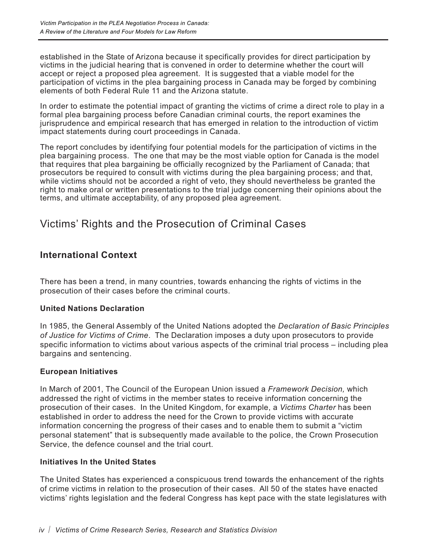established in the State of Arizona because it specifically provides for direct participation by victims in the judicial hearing that is convened in order to determine whether the court will accept or reject a proposed plea agreement. It is suggested that a viable model for the participation of victims in the plea bargaining process in Canada may be forged by combining elements of both Federal Rule 11 and the Arizona statute.

In order to estimate the potential impact of granting the victims of crime a direct role to play in a formal plea bargaining process before Canadian criminal courts, the report examines the jurisprudence and empirical research that has emerged in relation to the introduction of victim impact statements during court proceedings in Canada.

The report concludes by identifying four potential models for the participation of victims in the plea bargaining process. The one that may be the most viable option for Canada is the model that requires that plea bargaining be officially recognized by the Parliament of Canada; that prosecutors be required to consult with victims during the plea bargaining process; and that, while victims should not be accorded a right of veto, they should nevertheless be granted the right to make oral or written presentations to the trial judge concerning their opinions about the terms, and ultimate acceptability, of any proposed plea agreement.

# Victims' Rights and the Prosecution of Criminal Cases

# **International Context**

There has been a trend, in many countries, towards enhancing the rights of victims in the prosecution of their cases before the criminal courts.

#### **United Nations Declaration**

In 1985, the General Assembly of the United Nations adopted the *Declaration of Basic Principles of Justice for Victims of Crime*. The Declaration imposes a duty upon prosecutors to provide specific information to victims about various aspects of the criminal trial process – including plea bargains and sentencing.

#### **European Initiatives**

In March of 2001, The Council of the European Union issued a *Framework Decision,* which addressed the right of victims in the member states to receive information concerning the prosecution of their cases. In the United Kingdom, for example, a *Victims Charter* has been established in order to address the need for the Crown to provide victims with accurate information concerning the progress of their cases and to enable them to submit a "victim personal statement" that is subsequently made available to the police, the Crown Prosecution Service, the defence counsel and the trial court.

#### **Initiatives In the United States**

The United States has experienced a conspicuous trend towards the enhancement of the rights of crime victims in relation to the prosecution of their cases. All 50 of the states have enacted victims' rights legislation and the federal Congress has kept pace with the state legislatures with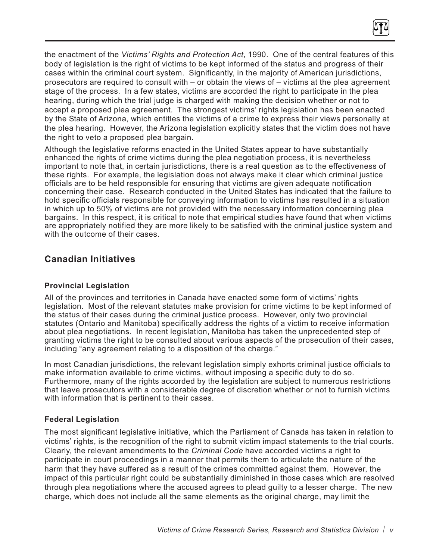the enactment of the *Victims' Rights and Protection Act*, 1990. One of the central features of this body of legislation is the right of victims to be kept informed of the status and progress of their cases within the criminal court system. Significantly, in the majority of American jurisdictions, prosecutors are required to consult with – or obtain the views of – victims at the plea agreement stage of the process. In a few states, victims are accorded the right to participate in the plea hearing, during which the trial judge is charged with making the decision whether or not to accept a proposed plea agreement. The strongest victims' rights legislation has been enacted by the State of Arizona, which entitles the victims of a crime to express their views personally at the plea hearing. However, the Arizona legislation explicitly states that the victim does not have the right to veto a proposed plea bargain.

Although the legislative reforms enacted in the United States appear to have substantially enhanced the rights of crime victims during the plea negotiation process, it is nevertheless important to note that, in certain jurisdictions, there is a real question as to the effectiveness of these rights. For example, the legislation does not always make it clear which criminal justice officials are to be held responsible for ensuring that victims are given adequate notification concerning their case. Research conducted in the United States has indicated that the failure to hold specific officials responsible for conveying information to victims has resulted in a situation in which up to 50% of victims are not provided with the necessary information concerning plea bargains. In this respect, it is critical to note that empirical studies have found that when victims are appropriately notified they are more likely to be satisfied with the criminal justice system and with the outcome of their cases.

# **Canadian Initiatives**

#### **Provincial Legislation**

All of the provinces and territories in Canada have enacted some form of victims' rights legislation. Most of the relevant statutes make provision for crime victims to be kept informed of the status of their cases during the criminal justice process. However, only two provincial statutes (Ontario and Manitoba) specifically address the rights of a victim to receive information about plea negotiations. In recent legislation, Manitoba has taken the unprecedented step of granting victims the right to be consulted about various aspects of the prosecution of their cases, including "any agreement relating to a disposition of the charge."

In most Canadian jurisdictions, the relevant legislation simply exhorts criminal justice officials to make information available to crime victims, without imposing a specific duty to do so. Furthermore, many of the rights accorded by the legislation are subject to numerous restrictions that leave prosecutors with a considerable degree of discretion whether or not to furnish victims with information that is pertinent to their cases.

#### **Federal Legislation**

The most significant legislative initiative, which the Parliament of Canada has taken in relation to victims' rights, is the recognition of the right to submit victim impact statements to the trial courts. Clearly, the relevant amendments to the *Criminal Code* have accorded victims a right to participate in court proceedings in a manner that permits them to articulate the nature of the harm that they have suffered as a result of the crimes committed against them. However, the impact of this particular right could be substantially diminished in those cases which are resolved through plea negotiations where the accused agrees to plead guilty to a lesser charge. The new charge, which does not include all the same elements as the original charge, may limit the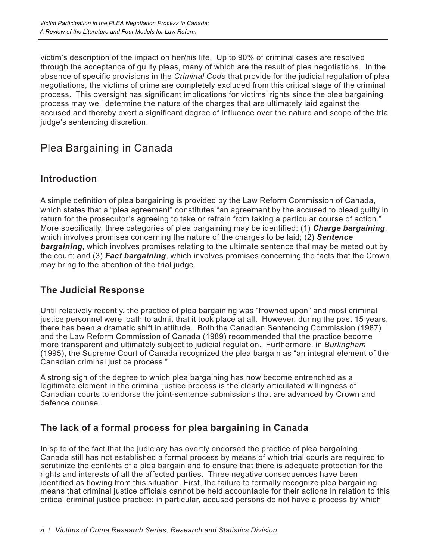victim's description of the impact on her/his life. Up to 90% of criminal cases are resolved through the acceptance of guilty pleas, many of which are the result of plea negotiations. In the absence of specific provisions in the *Criminal Code* that provide for the judicial regulation of plea negotiations, the victims of crime are completely excluded from this critical stage of the criminal process. This oversight has significant implications for victims' rights since the plea bargaining process may well determine the nature of the charges that are ultimately laid against the accused and thereby exert a significant degree of influence over the nature and scope of the trial judge's sentencing discretion.

# Plea Bargaining in Canada

# **Introduction**

A simple definition of plea bargaining is provided by the Law Reform Commission of Canada, which states that a "plea agreement" constitutes "an agreement by the accused to plead guilty in return for the prosecutor's agreeing to take or refrain from taking a particular course of action." More specifically, three categories of plea bargaining may be identified: (1) *Charge bargaining*, which involves promises concerning the nature of the charges to be laid; (2) *Sentence bargaining*, which involves promises relating to the ultimate sentence that may be meted out by the court; and (3) *Fact bargaining*, which involves promises concerning the facts that the Crown may bring to the attention of the trial judge.

## **The Judicial Response**

Until relatively recently, the practice of plea bargaining was "frowned upon" and most criminal justice personnel were loath to admit that it took place at all. However, during the past 15 years, there has been a dramatic shift in attitude. Both the Canadian Sentencing Commission (1987) and the Law Reform Commission of Canada (1989) recommended that the practice become more transparent and ultimately subject to judicial regulation. Furthermore, in *Burlingham* (1995), the Supreme Court of Canada recognized the plea bargain as "an integral element of the Canadian criminal justice process."

A strong sign of the degree to which plea bargaining has now become entrenched as a legitimate element in the criminal justice process is the clearly articulated willingness of Canadian courts to endorse the joint-sentence submissions that are advanced by Crown and defence counsel.

# **The lack of a formal process for plea bargaining in Canada**

In spite of the fact that the judiciary has overtly endorsed the practice of plea bargaining, Canada still has not established a formal process by means of which trial courts are required to scrutinize the contents of a plea bargain and to ensure that there is adequate protection for the rights and interests of all the affected parties. Three negative consequences have been identified as flowing from this situation. First, the failure to formally recognize plea bargaining means that criminal justice officials cannot be held accountable for their actions in relation to this critical criminal justice practice: in particular, accused persons do not have a process by which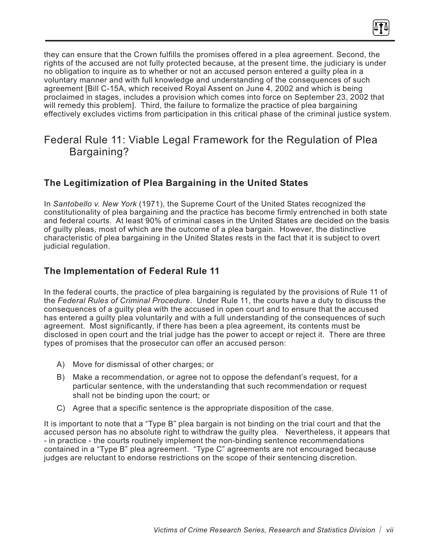they can ensure that the Crown fulfills the promises offered in a plea agreement. Second, the rights of the accused are not fully protected because, at the present time, the judiciary is under no obligation to inquire as to whether or not an accused person entered a guilty plea in a voluntary manner and with full knowledge and understanding of the consequences of such agreement [Bill C-15A, which received Royal Assent on June 4, 2002 and which is being proclaimed in stages, includes a provision which comes into force on September 23, 2002 that will remedy this problem]. Third, the failure to formalize the practice of plea bargaining effectively excludes victims from participation in this critical phase of the criminal justice system.

# Federal Rule 11: Viable Legal Framework for the Regulation of Plea Bargaining?

# **The Legitimization of Plea Bargaining in the United States**

In *Santobello v. New York* (1971), the Supreme Court of the United States recognized the constitutionality of plea bargaining and the practice has become firmly entrenched in both state and federal courts. At least 90% of criminal cases in the United States are decided on the basis of guilty pleas, most of which are the outcome of a plea bargain. However, the distinctive characteristic of plea bargaining in the United States rests in the fact that it is subject to overt judicial regulation.

## **The Implementation of Federal Rule 11**

In the federal courts, the practice of plea bargaining is regulated by the provisions of Rule 11 of the *Federal Rules of Criminal Procedure*. Under Rule 11, the courts have a duty to discuss the consequences of a guilty plea with the accused in open court and to ensure that the accused has entered a guilty plea voluntarily and with a full understanding of the consequences of such agreement. Most significantly, if there has been a plea agreement, its contents must be disclosed in open court and the trial judge has the power to accept or reject it. There are three types of promises that the prosecutor can offer an accused person:

- A) Move for dismissal of other charges; or
- B) Make a recommendation, or agree not to oppose the defendant's request, for a particular sentence, with the understanding that such recommendation or request shall not be binding upon the court; or
- C) Agree that a specific sentence is the appropriate disposition of the case.

It is important to note that a "Type B" plea bargain is not binding on the trial court and that the accused person has no absolute right to withdraw the guilty plea. Nevertheless, it appears that - in practice - the courts routinely implement the non-binding sentence recommendations contained in a "Type B" plea agreement. "Type C" agreements are not encouraged because judges are reluctant to endorse restrictions on the scope of their sentencing discretion.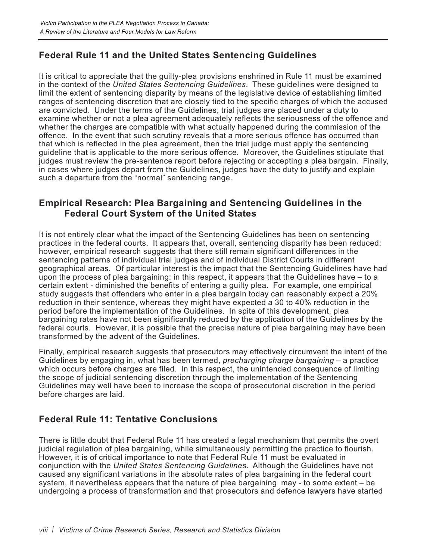# **Federal Rule 11 and the United States Sentencing Guidelines**

It is critical to appreciate that the guilty-plea provisions enshrined in Rule 11 must be examined in the context of the *United States Sentencing Guidelines*. These guidelines were designed to limit the extent of sentencing disparity by means of the legislative device of establishing limited ranges of sentencing discretion that are closely tied to the specific charges of which the accused are convicted. Under the terms of the Guidelines, trial judges are placed under a duty to examine whether or not a plea agreement adequately reflects the seriousness of the offence and whether the charges are compatible with what actually happened during the commission of the offence. In the event that such scrutiny reveals that a more serious offence has occurred than that which is reflected in the plea agreement, then the trial judge must apply the sentencing guideline that is applicable to the more serious offence. Moreover, the Guidelines stipulate that judges must review the pre-sentence report before rejecting or accepting a plea bargain. Finally, in cases where judges depart from the Guidelines, judges have the duty to justify and explain such a departure from the "normal" sentencing range.

#### **Empirical Research: Plea Bargaining and Sentencing Guidelines in the Federal Court System of the United States**

It is not entirely clear what the impact of the Sentencing Guidelines has been on sentencing practices in the federal courts. It appears that, overall, sentencing disparity has been reduced: however, empirical research suggests that there still remain significant differences in the sentencing patterns of individual trial judges and of individual District Courts in different geographical areas. Of particular interest is the impact that the Sentencing Guidelines have had upon the process of plea bargaining: in this respect, it appears that the Guidelines have – to a certain extent - diminished the benefits of entering a guilty plea. For example, one empirical study suggests that offenders who enter in a plea bargain today can reasonably expect a 20% reduction in their sentence, whereas they might have expected a 30 to 40% reduction in the period before the implementation of the Guidelines. In spite of this development, plea bargaining rates have not been significantly reduced by the application of the Guidelines by the federal courts. However, it is possible that the precise nature of plea bargaining may have been transformed by the advent of the Guidelines.

Finally, empirical research suggests that prosecutors may effectively circumvent the intent of the Guidelines by engaging in, what has been termed, *precharging charge bargaining* – a practice which occurs before charges are filed. In this respect, the unintended consequence of limiting the scope of judicial sentencing discretion through the implementation of the Sentencing Guidelines may well have been to increase the scope of prosecutorial discretion in the period before charges are laid.

## **Federal Rule 11: Tentative Conclusions**

There is little doubt that Federal Rule 11 has created a legal mechanism that permits the overt judicial regulation of plea bargaining, while simultaneously permitting the practice to flourish. However, it is of critical importance to note that Federal Rule 11 must be evaluated in conjunction with the *United States Sentencing Guidelines*. Although the Guidelines have not caused any significant variations in the absolute rates of plea bargaining in the federal court system, it nevertheless appears that the nature of plea bargaining may - to some extent – be undergoing a process of transformation and that prosecutors and defence lawyers have started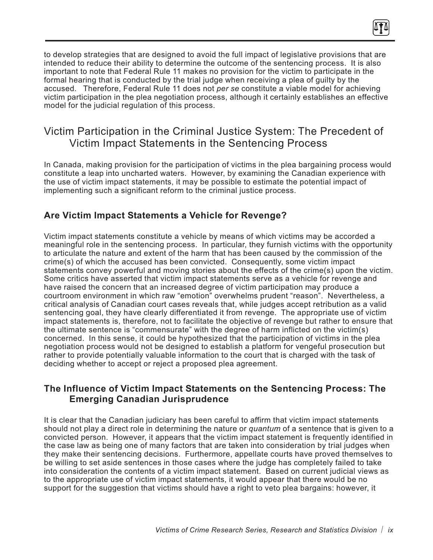to develop strategies that are designed to avoid the full impact of legislative provisions that are intended to reduce their ability to determine the outcome of the sentencing process. It is also important to note that Federal Rule 11 makes no provision for the victim to participate in the formal hearing that is conducted by the trial judge when receiving a plea of guilty by the accused. Therefore, Federal Rule 11 does not *per se* constitute a viable model for achieving victim participation in the plea negotiation process, although it certainly establishes an effective model for the judicial regulation of this process.

# Victim Participation in the Criminal Justice System: The Precedent of Victim Impact Statements in the Sentencing Process

In Canada, making provision for the participation of victims in the plea bargaining process would constitute a leap into uncharted waters. However, by examining the Canadian experience with the use of victim impact statements, it may be possible to estimate the potential impact of implementing such a significant reform to the criminal justice process.

# **Are Victim Impact Statements a Vehicle for Revenge?**

Victim impact statements constitute a vehicle by means of which victims may be accorded a meaningful role in the sentencing process. In particular, they furnish victims with the opportunity to articulate the nature and extent of the harm that has been caused by the commission of the crime(s) of which the accused has been convicted. Consequently, some victim impact statements convey powerful and moving stories about the effects of the crime(s) upon the victim. Some critics have asserted that victim impact statements serve as a vehicle for revenge and have raised the concern that an increased degree of victim participation may produce a courtroom environment in which raw "emotion" overwhelms prudent "reason". Nevertheless, a critical analysis of Canadian court cases reveals that, while judges accept retribution as a valid sentencing goal, they have clearly differentiated it from revenge. The appropriate use of victim impact statements is, therefore, not to facilitate the objective of revenge but rather to ensure that the ultimate sentence is "commensurate" with the degree of harm inflicted on the victim(s) concerned. In this sense, it could be hypothesized that the participation of victims in the plea negotiation process would not be designed to establish a platform for vengeful prosecution but rather to provide potentially valuable information to the court that is charged with the task of deciding whether to accept or reject a proposed plea agreement.

### **The Influence of Victim Impact Statements on the Sentencing Process: The Emerging Canadian Jurisprudence**

It is clear that the Canadian judiciary has been careful to affirm that victim impact statements should not play a direct role in determining the nature or *quantum* of a sentence that is given to a convicted person. However, it appears that the victim impact statement is frequently identified in the case law as being one of many factors that are taken into consideration by trial judges when they make their sentencing decisions. Furthermore, appellate courts have proved themselves to be willing to set aside sentences in those cases where the judge has completely failed to take into consideration the contents of a victim impact statement. Based on current judicial views as to the appropriate use of victim impact statements, it would appear that there would be no support for the suggestion that victims should have a right to veto plea bargains: however, it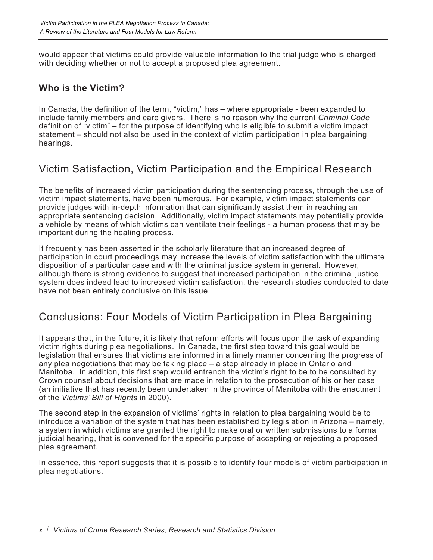would appear that victims could provide valuable information to the trial judge who is charged with deciding whether or not to accept a proposed plea agreement.

## **Who is the Victim?**

In Canada, the definition of the term, "victim," has – where appropriate - been expanded to include family members and care givers. There is no reason why the current *Criminal Code* definition of "victim" – for the purpose of identifying who is eligible to submit a victim impact statement – should not also be used in the context of victim participation in plea bargaining hearings.

# Victim Satisfaction, Victim Participation and the Empirical Research

The benefits of increased victim participation during the sentencing process, through the use of victim impact statements, have been numerous. For example, victim impact statements can provide judges with in-depth information that can significantly assist them in reaching an appropriate sentencing decision. Additionally, victim impact statements may potentially provide a vehicle by means of which victims can ventilate their feelings - a human process that may be important during the healing process.

It frequently has been asserted in the scholarly literature that an increased degree of participation in court proceedings may increase the levels of victim satisfaction with the ultimate disposition of a particular case and with the criminal justice system in general. However, although there is strong evidence to suggest that increased participation in the criminal justice system does indeed lead to increased victim satisfaction, the research studies conducted to date have not been entirely conclusive on this issue.

# Conclusions: Four Models of Victim Participation in Plea Bargaining

It appears that, in the future, it is likely that reform efforts will focus upon the task of expanding victim rights during plea negotiations. In Canada, the first step toward this goal would be legislation that ensures that victims are informed in a timely manner concerning the progress of any plea negotiations that may be taking place – a step already in place in Ontario and Manitoba. In addition, this first step would entrench the victim's right to be to be consulted by Crown counsel about decisions that are made in relation to the prosecution of his or her case (an initiative that has recently been undertaken in the province of Manitoba with the enactment of the *Victims' Bill of Rights* in 2000).

The second step in the expansion of victims' rights in relation to plea bargaining would be to introduce a variation of the system that has been established by legislation in Arizona – namely, a system in which victims are granted the right to make oral or written submissions to a formal judicial hearing, that is convened for the specific purpose of accepting or rejecting a proposed plea agreement.

In essence, this report suggests that it is possible to identify four models of victim participation in plea negotiations.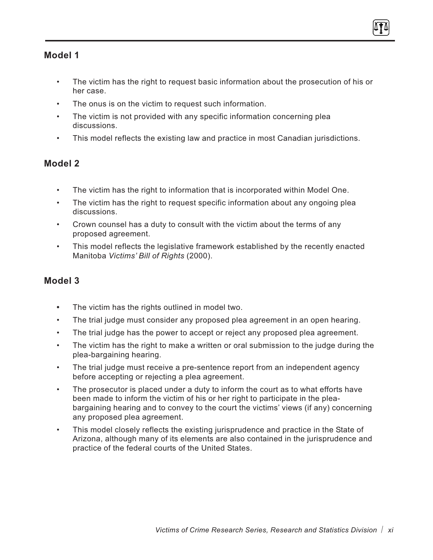## **Model 1**

- The victim has the right to request basic information about the prosecution of his or her case.
- The onus is on the victim to request such information.
- The victim is not provided with any specific information concerning plea discussions.
- This model reflects the existing law and practice in most Canadian jurisdictions.

## **Model 2**

- The victim has the right to information that is incorporated within Model One.
- The victim has the right to request specific information about any ongoing plea discussions.
- Crown counsel has a duty to consult with the victim about the terms of any proposed agreement.
- This model reflects the legislative framework established by the recently enacted Manitoba *Victims' Bill of Rights* (2000).

## **Model 3**

- **•** The victim has the rights outlined in model two.
- The trial judge must consider any proposed plea agreement in an open hearing.
- The trial judge has the power to accept or reject any proposed plea agreement.
- The victim has the right to make a written or oral submission to the judge during the plea-bargaining hearing.
- The trial judge must receive a pre-sentence report from an independent agency before accepting or rejecting a plea agreement.
- The prosecutor is placed under a duty to inform the court as to what efforts have been made to inform the victim of his or her right to participate in the pleabargaining hearing and to convey to the court the victims' views (if any) concerning any proposed plea agreement.
- This model closely reflects the existing jurisprudence and practice in the State of Arizona, although many of its elements are also contained in the jurisprudence and practice of the federal courts of the United States.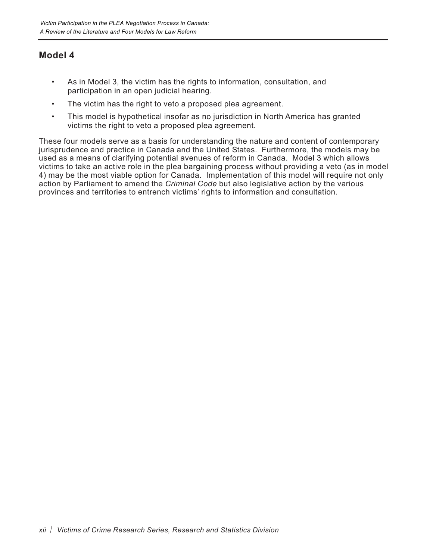## **Model 4**

- As in Model 3, the victim has the rights to information, consultation, and participation in an open judicial hearing.
- The victim has the right to veto a proposed plea agreement.
- This model is hypothetical insofar as no jurisdiction in North America has granted victims the right to veto a proposed plea agreement.

These four models serve as a basis for understanding the nature and content of contemporary jurisprudence and practice in Canada and the United States. Furthermore, the models may be used as a means of clarifying potential avenues of reform in Canada. Model 3 which allows victims to take an active role in the plea bargaining process without providing a veto (as in model 4) may be the most viable option for Canada. Implementation of this model will require not only action by Parliament to amend the *Criminal Code* but also legislative action by the various provinces and territories to entrench victims' rights to information and consultation.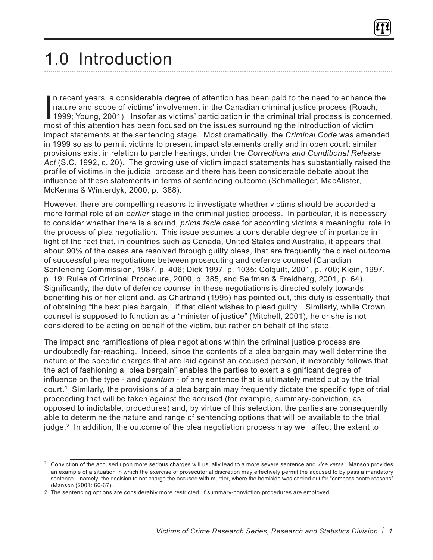# 1.0 Introduction

 $\mathbf{I}$ n recent years, a considerable degree of attention has been paid to the need to enhance the nature and scope of victims' involvement in the Canadian criminal justice process (Roach, 1999; Young, 2001). Insofar as victims' participation in the criminal trial process is concerned, most of this attention has been focused on the issues surrounding the introduction of victim impact statements at the sentencing stage. Most dramatically, the *Criminal Code* was amended in 1999 so as to permit victims to present impact statements orally and in open court: similar provisions exist in relation to parole hearings, under the *Corrections and Conditional Release Act* (S.C. 1992, c. 20). The growing use of victim impact statements has substantially raised the profile of victims in the judicial process and there has been considerable debate about the influence of these statements in terms of sentencing outcome (Schmalleger, MacAlister, McKenna & Winterdyk, 2000, p. 388).

However, there are compelling reasons to investigate whether victims should be accorded a more formal role at an *earlier* stage in the criminal justice process. In particular, it is necessary to consider whether there is a sound, *prima facie* case for according victims a meaningful role in the process of plea negotiation. This issue assumes a considerable degree of importance in light of the fact that, in countries such as Canada, United States and Australia, it appears that about 90% of the cases are resolved through guilty pleas, that are frequently the direct outcome of successful plea negotiations between prosecuting and defence counsel (Canadian Sentencing Commission, 1987, p. 406; Dick 1997, p. 1035; Colquitt, 2001, p. 700; Klein, 1997, p. 19; Rules of Criminal Procedure, 2000, p. 385, and Seifman & Freidberg, 2001, p. 64). Significantly, the duty of defence counsel in these negotiations is directed solely towards benefiting his or her client and, as Chartrand (1995) has pointed out, this duty is essentially that of obtaining "the best plea bargain," if that client wishes to plead guilty. Similarly, while Crown counsel is supposed to function as a "minister of justice" (Mitchell, 2001), he or she is not considered to be acting on behalf of the victim, but rather on behalf of the state.

The impact and ramifications of plea negotiations within the criminal justice process are undoubtedly far-reaching. Indeed, since the contents of a plea bargain may well determine the nature of the specific charges that are laid against an accused person, it inexorably follows that the act of fashioning a "plea bargain" enables the parties to exert a significant degree of influence on the type - and *quantum -* of any sentence that is ultimately meted out by the trial court.<sup>1</sup> Similarly, the provisions of a plea bargain may frequently dictate the specific type of trial proceeding that will be taken against the accused (for example, summary-conviction, as opposed to indictable, procedures) and, by virtue of this selection, the parties are consequently able to determine the nature and range of sentencing options that will be available to the trial judge.<sup>2</sup> In addition, the outcome of the plea negotiation process may well affect the extent to

<sup>1</sup> Conviction of the accused upon more serious charges will usually lead to a more severe sentence and *vice versa.* Manson provides an example of a situation in which the exercise of prosecutorial discretion may effectively permit the accused to by pass a mandatory sentence – namely, the decision to not charge the accused with murder, where the homicide was carried out for "compassionate reasons" (Manson (2001: 66-67).

<sup>2</sup> The sentencing options are considerably more restricted, if summary-conviction procedures are employed.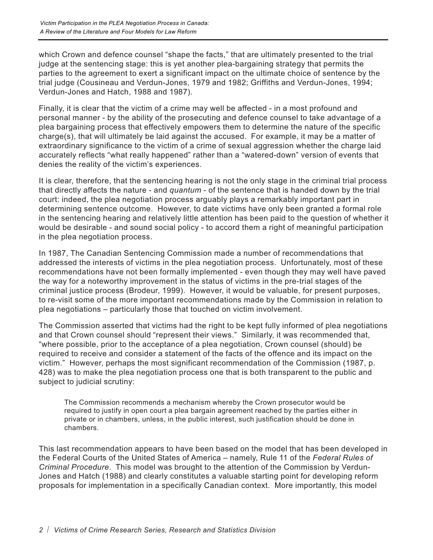which Crown and defence counsel "shape the facts," that are ultimately presented to the trial judge at the sentencing stage: this is yet another plea-bargaining strategy that permits the parties to the agreement to exert a significant impact on the ultimate choice of sentence by the trial judge (Cousineau and Verdun-Jones, 1979 and 1982; Griffiths and Verdun-Jones, 1994; Verdun-Jones and Hatch, 1988 and 1987).

Finally, it is clear that the victim of a crime may well be affected - in a most profound and personal manner - by the ability of the prosecuting and defence counsel to take advantage of a plea bargaining process that effectively empowers them to determine the nature of the specific charge(s), that will ultimately be laid against the accused. For example, it may be a matter of extraordinary significance to the victim of a crime of sexual aggression whether the charge laid accurately reflects "what really happened" rather than a "watered-down" version of events that denies the reality of the victim's experiences.

It is clear, therefore, that the sentencing hearing is not the only stage in the criminal trial process that directly affects the nature - and *quantum* - of the sentence that is handed down by the trial court: indeed, the plea negotiation process arguably plays a remarkably important part in determining sentence outcome. However, to date victims have only been granted a formal role in the sentencing hearing and relatively little attention has been paid to the question of whether it would be desirable - and sound social policy - to accord them a right of meaningful participation in the plea negotiation process.

In 1987, The Canadian Sentencing Commission made a number of recommendations that addressed the interests of victims in the plea negotiation process. Unfortunately, most of these recommendations have not been formally implemented - even though they may well have paved the way for a noteworthy improvement in the status of victims in the pre-trial stages of the criminal justice process (Brodeur, 1999). However, it would be valuable, for present purposes, to re-visit some of the more important recommendations made by the Commission in relation to plea negotiations – particularly those that touched on victim involvement.

The Commission asserted that victims had the right to be kept fully informed of plea negotiations and that Crown counsel should "represent their views." Similarly, it was recommended that, "where possible, prior to the acceptance of a plea negotiation, Crown counsel (should) be required to receive and consider a statement of the facts of the offence and its impact on the victim." However, perhaps the most significant recommendation of the Commission (1987, p. 428) was to make the plea negotiation process one that is both transparent to the public and subject to judicial scrutiny:

The Commission recommends a mechanism whereby the Crown prosecutor would be required to justify in open court a plea bargain agreement reached by the parties either in private or in chambers, unless, in the public interest, such justification should be done in chambers.

This last recommendation appears to have been based on the model that has been developed in the Federal Courts of the United States of America – namely, Rule 11 of the *Federal Rules of Criminal Procedure*. This model was brought to the attention of the Commission by Verdun-Jones and Hatch (1988) and clearly constitutes a valuable starting point for developing reform proposals for implementation in a specifically Canadian context. More importantly, this model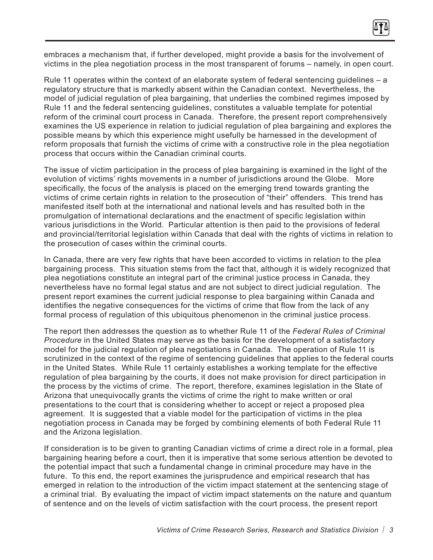embraces a mechanism that, if further developed, might provide a basis for the involvement of victims in the plea negotiation process in the most transparent of forums – namely, in open court.

Rule 11 operates within the context of an elaborate system of federal sentencing guidelines – a regulatory structure that is markedly absent within the Canadian context. Nevertheless, the model of judicial regulation of plea bargaining, that underlies the combined regimes imposed by Rule 11 and the federal sentencing guidelines, constitutes a valuable template for potential reform of the criminal court process in Canada. Therefore, the present report comprehensively examines the US experience in relation to judicial regulation of plea bargaining and explores the possible means by which this experience might usefully be harnessed in the development of reform proposals that furnish the victims of crime with a constructive role in the plea negotiation process that occurs within the Canadian criminal courts.

The issue of victim participation in the process of plea bargaining is examined in the light of the evolution of victims' rights movements in a number of jurisdictions around the Globe. More specifically, the focus of the analysis is placed on the emerging trend towards granting the victims of crime certain rights in relation to the prosecution of "their" offenders. This trend has manifested itself both at the international and national levels and has resulted both in the promulgation of international declarations and the enactment of specific legislation within various jurisdictions in the World. Particular attention is then paid to the provisions of federal and provincial/territorial legislation within Canada that deal with the rights of victims in relation to the prosecution of cases within the criminal courts.

In Canada, there are very few rights that have been accorded to victims in relation to the plea bargaining process. This situation stems from the fact that, although it is widely recognized that plea negotiations constitute an integral part of the criminal justice process in Canada, they nevertheless have no formal legal status and are not subject to direct judicial regulation. The present report examines the current judicial response to plea bargaining within Canada and identifies the negative consequences for the victims of crime that flow from the lack of any formal process of regulation of this ubiquitous phenomenon in the criminal justice process.

The report then addresses the question as to whether Rule 11 of the *Federal Rules of Criminal Procedure* in the United States may serve as the basis for the development of a satisfactory model for the judicial regulation of plea negotiations in Canada. The operation of Rule 11 is scrutinized in the context of the regime of sentencing guidelines that applies to the federal courts in the United States. While Rule 11 certainly establishes a working template for the effective regulation of plea bargaining by the courts, it does not make provision for direct participation in the process by the victims of crime. The report, therefore, examines legislation in the State of Arizona that unequivocally grants the victims of crime the right to make written or oral presentations to the court that is considering whether to accept or reject a proposed plea agreement. It is suggested that a viable model for the participation of victims in the plea negotiation process in Canada may be forged by combining elements of both Federal Rule 11 and the Arizona legislation.

If consideration is to be given to granting Canadian victims of crime a direct role in a formal, plea bargaining hearing before a court, then it is imperative that some serious attention be devoted to the potential impact that such a fundamental change in criminal procedure may have in the future. To this end, the report examines the jurisprudence and empirical research that has emerged in relation to the introduction of the victim impact statement at the sentencing stage of a criminal trial. By evaluating the impact of victim impact statements on the nature and quantum of sentence and on the levels of victim satisfaction with the court process, the present report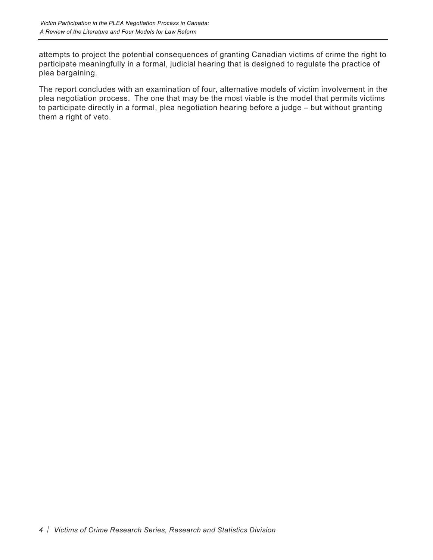attempts to project the potential consequences of granting Canadian victims of crime the right to participate meaningfully in a formal, judicial hearing that is designed to regulate the practice of plea bargaining.

The report concludes with an examination of four, alternative models of victim involvement in the plea negotiation process. The one that may be the most viable is the model that permits victims to participate directly in a formal, plea negotiation hearing before a judge – but without granting them a right of veto.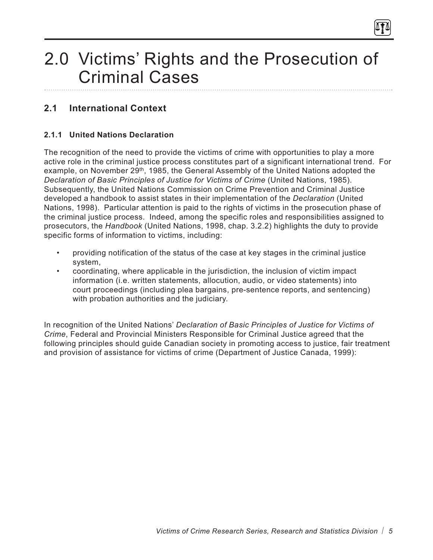# 2.0 Victims' Rights and the Prosecution of Criminal Cases

# **2.1 International Context**

#### **2.1.1 United Nations Declaration**

The recognition of the need to provide the victims of crime with opportunities to play a more active role in the criminal justice process constitutes part of a significant international trend. For example, on November 29<sup>th</sup>, 1985, the General Assembly of the United Nations adopted the *Declaration of Basic Principles of Justice for Victims of Crime* (United Nations, 1985). Subsequently, the United Nations Commission on Crime Prevention and Criminal Justice developed a handbook to assist states in their implementation of the *Declaration* (United Nations, 1998). Particular attention is paid to the rights of victims in the prosecution phase of the criminal justice process. Indeed, among the specific roles and responsibilities assigned to prosecutors, the *Handbook* (United Nations, 1998, chap. 3.2.2) highlights the duty to provide specific forms of information to victims, including:

- providing notification of the status of the case at key stages in the criminal justice system,
- coordinating, where applicable in the jurisdiction, the inclusion of victim impact information (i.e. written statements, allocution, audio, or video statements) into court proceedings (including plea bargains, pre-sentence reports, and sentencing) with probation authorities and the judiciary.

In recognition of the United Nations' *Declaration of Basic Principles of Justice for Victims of Crime*, Federal and Provincial Ministers Responsible for Criminal Justice agreed that the following principles should guide Canadian society in promoting access to justice, fair treatment and provision of assistance for victims of crime (Department of Justice Canada, 1999):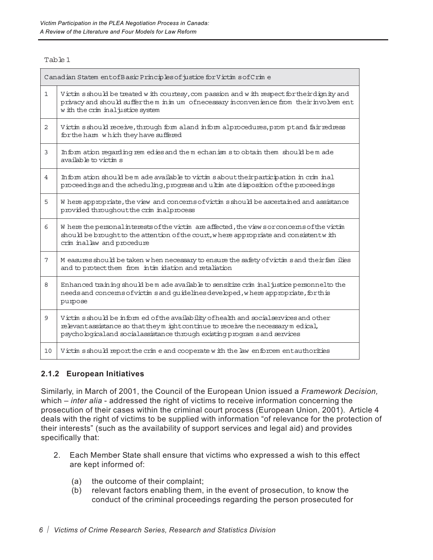Table 1

| Canadian Statem entofBasic Principles of justice for Victim sofCrime |                                                                                                                                                                                                                                                               |  |
|----------------------------------------------------------------------|---------------------------------------------------------------------------------------------------------------------------------------------------------------------------------------------------------------------------------------------------------------|--|
| $\mathbf{1}$                                                         | Victim s should be treated w ith courtesy, compassion and w ith respect for their dignity and<br>privacy and should suffer them in im um of necessary inconvenience from their involvement<br>w ith the crim inal justice system                              |  |
| 2                                                                    | Victim s should receive, through form aland inform alprocedures, promptand fair redress<br>for the ham which they have suffered                                                                                                                               |  |
| 3                                                                    | In form ation regarding rem edies and the m echanism sto obtain them should be m ade<br>available to victim s                                                                                                                                                 |  |
| $\overline{4}$                                                       | In form ation should be m ade available to victim s about their participation in crim inal<br>proceedings and the scheduling, progress and ultim ate disposition of the proceedings                                                                           |  |
| 5                                                                    | W here appropriate, the view and concerns of victim s should be ascertained and assistance<br>provided throughout the crim inalprocess                                                                                                                        |  |
| 6                                                                    | Where the personal interests of the victim are affected, the view sor concerns of the victim<br>should be brought to the attention of the court, where appropriate and consistent with<br>crim inallaw and procedure                                          |  |
| 7                                                                    | M easures should be taken when necessary to ensure the safety of victim s and their fam ilies<br>and to protect them from intimidation and retaliation                                                                                                        |  |
| 8                                                                    | Enhanced training should be m ade available to sensitize criminal justice personnel to the<br>needs and concerns of victim s and quidelines developed, where appropriate, for this<br>purpose                                                                 |  |
| 9                                                                    | Victim s should be informed of the availability of health and social services and other<br>relevant assistance so that they m ight continue to receive the necessary m edical,<br>psychological and social assistance through existing program s and services |  |
| 10                                                                   | Victim s should report the crim e and cooperate w ith the law enforcem entauthorities                                                                                                                                                                         |  |

#### **2.1.2 European Initiatives**

Similarly, in March of 2001, the Council of the European Union issued a *Framework Decision,* which – *inter alia* - addressed the right of victims to receive information concerning the prosecution of their cases within the criminal court process (European Union, 2001). Article 4 deals with the right of victims to be supplied with information "of relevance for the protection of their interests" (such as the availability of support services and legal aid) and provides specifically that:

- 2. Each Member State shall ensure that victims who expressed a wish to this effect are kept informed of:
	- (a) the outcome of their complaint;
	- (b) relevant factors enabling them, in the event of prosecution, to know the conduct of the criminal proceedings regarding the person prosecuted for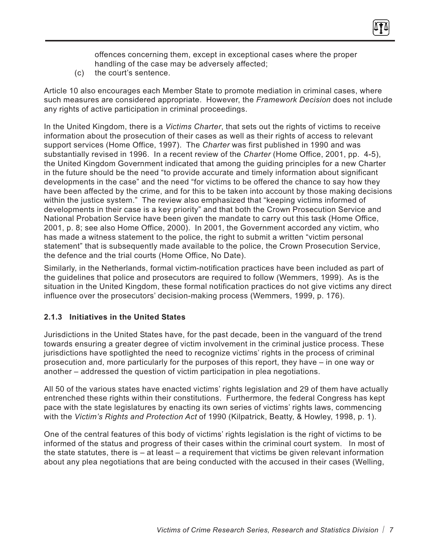offences concerning them, except in exceptional cases where the proper handling of the case may be adversely affected;

(c) the court's sentence.

Article 10 also encourages each Member State to promote mediation in criminal cases, where such measures are considered appropriate. However, the *Framework Decision* does not include any rights of active participation in criminal proceedings.

In the United Kingdom, there is a *Victims Charter*, that sets out the rights of victims to receive information about the prosecution of their cases as well as their rights of access to relevant support services (Home Office, 1997). The *Charter* was first published in 1990 and was substantially revised in 1996. In a recent review of the *Charter* (Home Office, 2001, pp. 4-5), the United Kingdom Government indicated that among the guiding principles for a new Charter in the future should be the need "to provide accurate and timely information about significant developments in the case" and the need "for victims to be offered the chance to say how they have been affected by the crime, and for this to be taken into account by those making decisions within the justice system." The review also emphasized that "keeping victims informed of developments in their case is a key priority" and that both the Crown Prosecution Service and National Probation Service have been given the mandate to carry out this task (Home Office, 2001, p. 8; see also Home Office, 2000). In 2001, the Government accorded any victim, who has made a witness statement to the police, the right to submit a written "victim personal statement" that is subsequently made available to the police, the Crown Prosecution Service, the defence and the trial courts (Home Office, No Date).

Similarly, in the Netherlands, formal victim-notification practices have been included as part of the guidelines that police and prosecutors are required to follow (Wemmers, 1999). As is the situation in the United Kingdom, these formal notification practices do not give victims any direct influence over the prosecutors' decision-making process (Wemmers, 1999, p. 176).

#### **2.1.3 Initiatives in the United States**

Jurisdictions in the United States have, for the past decade, been in the vanguard of the trend towards ensuring a greater degree of victim involvement in the criminal justice process. These jurisdictions have spotlighted the need to recognize victims' rights in the process of criminal prosecution and, more particularly for the purposes of this report, they have – in one way or another – addressed the question of victim participation in plea negotiations.

All 50 of the various states have enacted victims' rights legislation and 29 of them have actually entrenched these rights within their constitutions. Furthermore, the federal Congress has kept pace with the state legislatures by enacting its own series of victims' rights laws, commencing with the *Victim's Rights and Protection Act* of 1990 (Kilpatrick, Beatty, & Howley, 1998, p. 1).

One of the central features of this body of victims' rights legislation is the right of victims to be informed of the status and progress of their cases within the criminal court system. In most of the state statutes, there is – at least – a requirement that victims be given relevant information about any plea negotiations that are being conducted with the accused in their cases (Welling,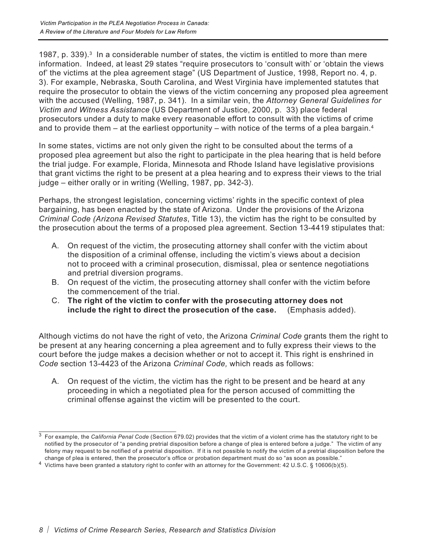1987, p. 339). $3 \text{ In a considerable number of states, the victim is entitled to more than mere.}$ information. Indeed, at least 29 states "require prosecutors to 'consult with' or 'obtain the views of' the victims at the plea agreement stage" (US Department of Justice, 1998, Report no. 4, p. 3). For example, Nebraska, South Carolina, and West Virginia have implemented statutes that require the prosecutor to obtain the views of the victim concerning any proposed plea agreement with the accused (Welling, 1987, p. 341). In a similar vein, the *Attorney General Guidelines for Victim and Witness Assistance* (US Department of Justice, 2000, p. 33) place federal prosecutors under a duty to make every reasonable effort to consult with the victims of crime and to provide them – at the earliest opportunity – with notice of the terms of a plea bargain.<sup>4</sup>

In some states, victims are not only given the right to be consulted about the terms of a proposed plea agreement but also the right to participate in the plea hearing that is held before the trial judge. For example, Florida, Minnesota and Rhode Island have legislative provisions that grant victims the right to be present at a plea hearing and to express their views to the trial judge – either orally or in writing (Welling, 1987, pp. 342-3).

Perhaps, the strongest legislation, concerning victims' rights in the specific context of plea bargaining, has been enacted by the state of Arizona. Under the provisions of the Arizona *Criminal Code (Arizona Revised Statutes*, Title 13), the victim has the right to be consulted by the prosecution about the terms of a proposed plea agreement. Section 13-4419 stipulates that:

- A. On request of the victim, the prosecuting attorney shall confer with the victim about the disposition of a criminal offense, including the victim's views about a decision not to proceed with a criminal prosecution, dismissal, plea or sentence negotiations and pretrial diversion programs.
- B. On request of the victim, the prosecuting attorney shall confer with the victim before the commencement of the trial.
- C. **The right of the victim to confer with the prosecuting attorney does not include the right to direct the prosecution of the case.** (Emphasis added).

Although victims do not have the right of veto, the Arizona *Criminal Code* grants them the right to be present at any hearing concerning a plea agreement and to fully express their views to the court before the judge makes a decision whether or not to accept it. This right is enshrined in *Code* section 13-4423 of the Arizona *Criminal Code,* which reads as follows:

A. On request of the victim, the victim has the right to be present and be heard at any proceeding in which a negotiated plea for the person accused of committing the criminal offense against the victim will be presented to the court.

<sup>3</sup> For example, the *California Penal Code* (Section 679.02) provides that the victim of a violent crime has the statutory right to be notified by the prosecutor of "a pending pretrial disposition before a change of plea is entered before a judge." The victim of any felony may request to be notified of a pretrial disposition. If it is not possible to notify the victim of a pretrial disposition before the change of plea is entered, then the prosecutor's office or probation department must do so "as soon as possible."

<sup>4</sup> Victims have been granted a statutory right to confer with an attorney for the Government: 42 U.S.C. § 10606(b)(5).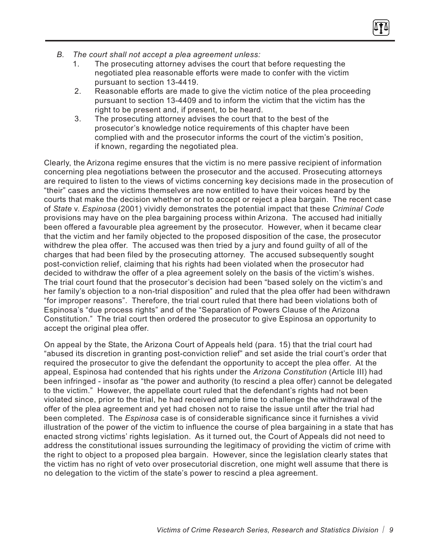- *B. The court shall not accept a plea agreement unless:*
	- 1. The prosecuting attorney advises the court that before requesting the negotiated plea reasonable efforts were made to confer with the victim pursuant to section 13-4419.
	- 2. Reasonable efforts are made to give the victim notice of the plea proceeding pursuant to section 13-4409 and to inform the victim that the victim has the right to be present and, if present, to be heard.
	- 3. The prosecuting attorney advises the court that to the best of the prosecutor's knowledge notice requirements of this chapter have been complied with and the prosecutor informs the court of the victim's position, if known, regarding the negotiated plea.

Clearly, the Arizona regime ensures that the victim is no mere passive recipient of information concerning plea negotiations between the prosecutor and the accused. Prosecuting attorneys are required to listen to the views of victims concerning key decisions made in the prosecution of "their" cases and the victims themselves are now entitled to have their voices heard by the courts that make the decision whether or not to accept or reject a plea bargain. The recent case of *State* v. *Espinosa* (2001) vividly demonstrates the potential impact that these *Criminal Code* provisions may have on the plea bargaining process within Arizona. The accused had initially been offered a favourable plea agreement by the prosecutor. However, when it became clear that the victim and her family objected to the proposed disposition of the case, the prosecutor withdrew the plea offer. The accused was then tried by a jury and found guilty of all of the charges that had been filed by the prosecuting attorney. The accused subsequently sought post-conviction relief, claiming that his rights had been violated when the prosecutor had decided to withdraw the offer of a plea agreement solely on the basis of the victim's wishes. The trial court found that the prosecutor's decision had been "based solely on the victim's and her family's objection to a non-trial disposition" and ruled that the plea offer had been withdrawn "for improper reasons". Therefore, the trial court ruled that there had been violations both of Espinosa's "due process rights" and of the "Separation of Powers Clause of the Arizona Constitution." The trial court then ordered the prosecutor to give Espinosa an opportunity to accept the original plea offer.

On appeal by the State, the Arizona Court of Appeals held (para. 15) that the trial court had "abused its discretion in granting post-conviction relief" and set aside the trial court's order that required the prosecutor to give the defendant the opportunity to accept the plea offer. At the appeal, Espinosa had contended that his rights under the *Arizona Constitution* (Article III) had been infringed - insofar as "the power and authority (to rescind a plea offer) cannot be delegated to the victim." However, the appellate court ruled that the defendant's rights had not been violated since, prior to the trial, he had received ample time to challenge the withdrawal of the offer of the plea agreement and yet had chosen not to raise the issue until after the trial had been completed. The *Espinosa* case is of considerable significance since it furnishes a vivid illustration of the power of the victim to influence the course of plea bargaining in a state that has enacted strong victims' rights legislation. As it turned out, the Court of Appeals did not need to address the constitutional issues surrounding the legitimacy of providing the victim of crime with the right to object to a proposed plea bargain. However, since the legislation clearly states that the victim has no right of veto over prosecutorial discretion, one might well assume that there is no delegation to the victim of the state's power to rescind a plea agreement.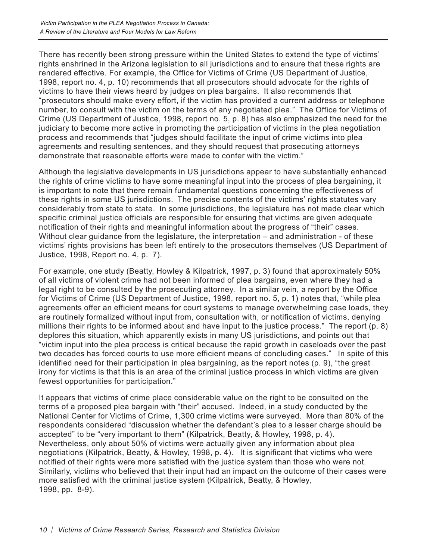There has recently been strong pressure within the United States to extend the type of victims' rights enshrined in the Arizona legislation to all jurisdictions and to ensure that these rights are rendered effective. For example, the Office for Victims of Crime (US Department of Justice, 1998, report no. 4, p. 10) recommends that all prosecutors should advocate for the rights of victims to have their views heard by judges on plea bargains. It also recommends that "prosecutors should make every effort, if the victim has provided a current address or telephone number, to consult with the victim on the terms of any negotiated plea." The Office for Victims of Crime (US Department of Justice, 1998, report no. 5, p. 8) has also emphasized the need for the judiciary to become more active in promoting the participation of victims in the plea negotiation process and recommends that "judges should facilitate the input of crime victims into plea agreements and resulting sentences, and they should request that prosecuting attorneys demonstrate that reasonable efforts were made to confer with the victim."

Although the legislative developments in US jurisdictions appear to have substantially enhanced the rights of crime victims to have some meaningful input into the process of plea bargaining, it is important to note that there remain fundamental questions concerning the effectiveness of these rights in some US jurisdictions. The precise contents of the victims' rights statutes vary considerably from state to state. In some jurisdictions, the legislature has not made clear which specific criminal justice officials are responsible for ensuring that victims are given adequate notification of their rights and meaningful information about the progress of "their" cases. Without clear guidance from the legislature, the interpretation – and administration - of these victims' rights provisions has been left entirely to the prosecutors themselves (US Department of Justice, 1998, Report no. 4, p. 7).

For example, one study (Beatty, Howley & Kilpatrick, 1997, p. 3) found that approximately 50% of all victims of violent crime had not been informed of plea bargains, even where they had a legal right to be consulted by the prosecuting attorney. In a similar vein, a report by the Office for Victims of Crime (US Department of Justice, 1998, report no. 5, p. 1) notes that, "while plea agreements offer an efficient means for court systems to manage overwhelming case loads, they are routinely formalized without input from, consultation with, or notification of victims, denying millions their rights to be informed about and have input to the justice process." The report (p. 8) deplores this situation, which apparently exists in many US jurisdictions, and points out that "victim input into the plea process is critical because the rapid growth in caseloads over the past two decades has forced courts to use more efficient means of concluding cases." In spite of this identified need for their participation in plea bargaining, as the report notes (p. 9), "the great irony for victims is that this is an area of the criminal justice process in which victims are given fewest opportunities for participation."

It appears that victims of crime place considerable value on the right to be consulted on the terms of a proposed plea bargain with "their" accused. Indeed, in a study conducted by the National Center for Victims of Crime, 1,300 crime victims were surveyed. More than 80% of the respondents considered "discussion whether the defendant's plea to a lesser charge should be accepted" to be "very important to them" (Kilpatrick, Beatty, & Howley, 1998, p. 4). Nevertheless, only about 50% of victims were actually given any information about plea negotiations (Kilpatrick, Beatty, & Howley, 1998, p. 4). It is significant that victims who were notified of their rights were more satisfied with the justice system than those who were not. Similarly, victims who believed that their input had an impact on the outcome of their cases were more satisfied with the criminal justice system (Kilpatrick, Beatty, & Howley, 1998, pp. 8-9).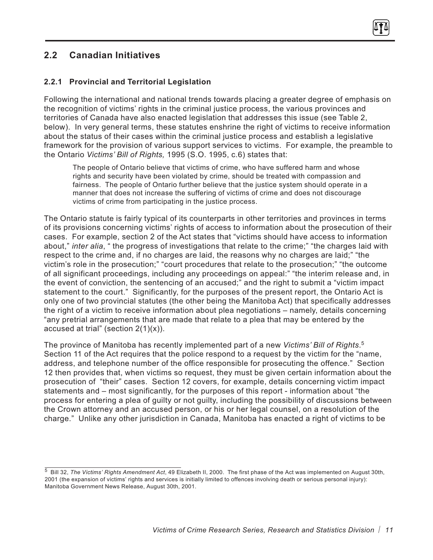## **2.2 Canadian Initiatives**

#### **2.2.1 Provincial and Territorial Legislation**

Following the international and national trends towards placing a greater degree of emphasis on the recognition of victims' rights in the criminal justice process, the various provinces and territories of Canada have also enacted legislation that addresses this issue (see Table 2, below). In very general terms, these statutes enshrine the right of victims to receive information about the status of their cases within the criminal justice process and establish a legislative framework for the provision of various support services to victims. For example, the preamble to the Ontario *Victims' Bill of Rights,* 1995 (S.O. 1995, c.6) states that:

The people of Ontario believe that victims of crime, who have suffered harm and whose rights and security have been violated by crime, should be treated with compassion and fairness. The people of Ontario further believe that the justice system should operate in a manner that does not increase the suffering of victims of crime and does not discourage victims of crime from participating in the justice process.

The Ontario statute is fairly typical of its counterparts in other territories and provinces in terms of its provisions concerning victims' rights of access to information about the prosecution of their cases. For example, section 2 of the Act states that "victims should have access to information about," *inter alia*, " the progress of investigations that relate to the crime;" "the charges laid with respect to the crime and, if no charges are laid, the reasons why no charges are laid;" "the victim's role in the prosecution;" "court procedures that relate to the prosecution;" "the outcome of all significant proceedings, including any proceedings on appeal:" "the interim release and, in the event of conviction, the sentencing of an accused;" and the right to submit a "victim impact statement to the court." Significantly, for the purposes of the present report, the Ontario Act is only one of two provincial statutes (the other being the Manitoba Act) that specifically addresses the right of a victim to receive information about plea negotiations – namely, details concerning "any pretrial arrangements that are made that relate to a plea that may be entered by the accused at trial" (section  $2(1)(x)$ ).

The province of Manitoba has recently implemented part of a new *Victims' Bill of Rights*. 5 Section 11 of the Act requires that the police respond to a request by the victim for the "name, address, and telephone number of the office responsible for prosecuting the offence." Section 12 then provides that, when victims so request, they must be given certain information about the prosecution of "their" cases. Section 12 covers, for example, details concerning victim impact statements and – most significantly, for the purposes of this report - information about "the process for entering a plea of guilty or not guilty, including the possibility of discussions between the Crown attorney and an accused person, or his or her legal counsel, on a resolution of the charge." Unlike any other jurisdiction in Canada, Manitoba has enacted a right of victims to be

<sup>5</sup> Bill 32, *The Victims' Rights Amendment Act*, 49 Elizabeth II, 2000. The first phase of the Act was implemented on August 30th, 2001 (the expansion of victims' rights and services is initially limited to offences involving death or serious personal injury): Manitoba Government News Release, August 30th, 2001.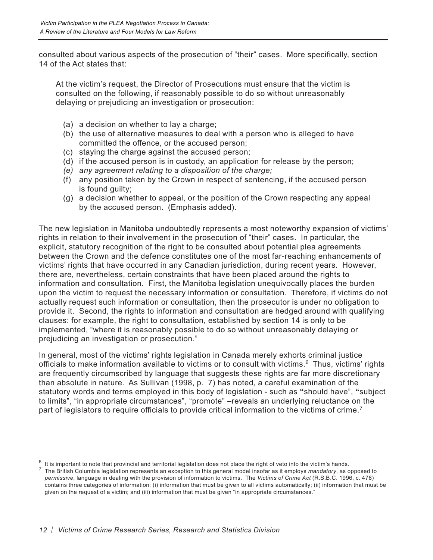consulted about various aspects of the prosecution of "their" cases. More specifically, section 14 of the Act states that:

At the victim's request, the Director of Prosecutions must ensure that the victim is consulted on the following, if reasonably possible to do so without unreasonably delaying or prejudicing an investigation or prosecution:

- (a) a decision on whether to lay a charge;
- (b) the use of alternative measures to deal with a person who is alleged to have committed the offence, or the accused person;
- (c) staying the charge against the accused person;
- (d) if the accused person is in custody, an application for release by the person;
- *(e) any agreement relating to a disposition of the charge;*
- (f) any position taken by the Crown in respect of sentencing, if the accused person is found guilty;
- (g) a decision whether to appeal, or the position of the Crown respecting any appeal by the accused person. (Emphasis added).

The new legislation in Manitoba undoubtedly represents a most noteworthy expansion of victims' rights in relation to their involvement in the prosecution of "their" cases. In particular, the explicit, statutory recognition of the right to be consulted about potential plea agreements between the Crown and the defence constitutes one of the most far-reaching enhancements of victims' rights that have occurred in any Canadian jurisdiction, during recent years. However, there are, nevertheless, certain constraints that have been placed around the rights to information and consultation. First, the Manitoba legislation unequivocally places the burden upon the victim to request the necessary information or consultation. Therefore, if victims do not actually request such information or consultation, then the prosecutor is under no obligation to provide it. Second, the rights to information and consultation are hedged around with qualifying clauses: for example, the right to consultation, established by section 14 is only to be implemented, "where it is reasonably possible to do so without unreasonably delaying or prejudicing an investigation or prosecution."

In general, most of the victims' rights legislation in Canada merely exhorts criminal justice officials to make information available to victims or to consult with victims.<sup>6</sup> Thus, victims' rights are frequently circumscribed by language that suggests these rights are far more discretionary than absolute in nature. As Sullivan (1998, p. 7) has noted, a careful examination of the statutory words and terms employed in this body of legislation - such as **"**should have", **"**subject to limits", "in appropriate circumstances", "promote" –reveals an underlying reluctance on the part of legislators to require officials to provide critical information to the victims of crime.<sup>7</sup>

 $^6$  It is important to note that provincial and territorial legislation does not place the right of veto into the victim's hands.<br>The British Columbia legislation represents an exception to this general model insofar as

<sup>7</sup> The British Columbia legislation represents an exception to this general model insofar as it employs *mandatory*, as opposed to *permissive*, language in dealing with the provision of information to victims. The *Victims of Crime Act* (R.S.B.C. 1996, c. 478) contains three categories of information: (i) information that must be given to all victims automatically; (ii) information that must be given on the request of a victim; and (iii) information that must be given "in appropriate circumstances."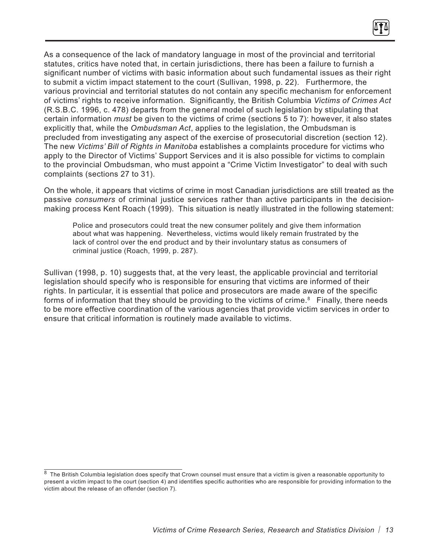As a consequence of the lack of mandatory language in most of the provincial and territorial statutes, critics have noted that, in certain jurisdictions, there has been a failure to furnish a significant number of victims with basic information about such fundamental issues as their right to submit a victim impact statement to the court (Sullivan, 1998, p. 22). Furthermore, the various provincial and territorial statutes do not contain any specific mechanism for enforcement of victims' rights to receive information. Significantly, the British Columbia *Victims of Crimes Act* (R.S.B.C. 1996, c. 478) departs from the general model of such legislation by stipulating that certain information *must* be given to the victims of crime (sections 5 to 7): however, it also states explicitly that, while the *Ombudsman Act*, applies to the legislation, the Ombudsman is precluded from investigating any aspect of the exercise of prosecutorial discretion (section 12). The new *Victims' Bill of Rights in Manitoba* establishes a complaints procedure for victims who apply to the Director of Victims' Support Services and it is also possible for victims to complain to the provincial Ombudsman, who must appoint a "Crime Victim Investigator" to deal with such complaints (sections 27 to 31).

On the whole, it appears that victims of crime in most Canadian jurisdictions are still treated as the passive *consumers* of criminal justice services rather than active participants in the decisionmaking process Kent Roach (1999). This situation is neatly illustrated in the following statement:

Police and prosecutors could treat the new consumer politely and give them information about what was happening. Nevertheless, victims would likely remain frustrated by the lack of control over the end product and by their involuntary status as consumers of criminal justice (Roach, 1999, p. 287).

Sullivan (1998, p. 10) suggests that, at the very least, the applicable provincial and territorial legislation should specify who is responsible for ensuring that victims are informed of their rights. In particular, it is essential that police and prosecutors are made aware of the specific forms of information that they should be providing to the victims of crime.<sup>8</sup> Finally, there needs to be more effective coordination of the various agencies that provide victim services in order to ensure that critical information is routinely made available to victims.

 $8$  The British Columbia legislation does specify that Crown counsel must ensure that a victim is given a reasonable opportunity to present a victim impact to the court (section 4) and identifies specific authorities who are responsible for providing information to the victim about the release of an offender (section 7).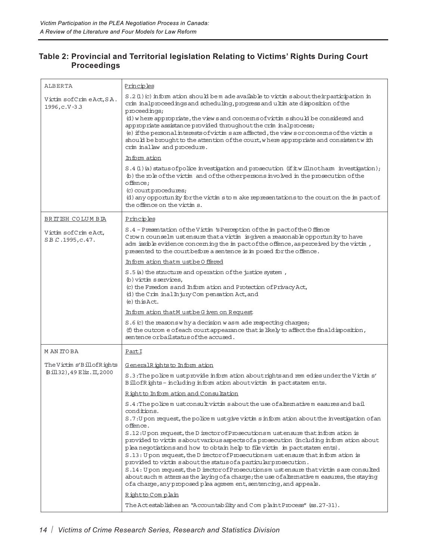#### **Table 2: Provincial and Territorial legislation Relating to Victims' Rights During Court Proceedings**

| <b>ALBERTA</b>                           | Principles                                                                                                                                                                                                                                                                                                                                                                                                                                                                                                                                                                                                                                                                                                                                                                                                                                                                                                                               |
|------------------------------------------|------------------------------------------------------------------------------------------------------------------------------------------------------------------------------------------------------------------------------------------------------------------------------------------------------------------------------------------------------------------------------------------------------------------------------------------------------------------------------------------------------------------------------------------------------------------------------------------------------------------------------------------------------------------------------------------------------------------------------------------------------------------------------------------------------------------------------------------------------------------------------------------------------------------------------------------|
| Victim sofCrim eAct, SA.<br>1996, c.V-33 | $S.2(1)(c)$ in form ation should be m ade available to victim sabout their participation in<br>crim inalproceedings and scheduling, progress and ultim ate disposition of the<br>proceedings;<br>(d) where appropriate, the view s and concerns of victim s should be considered and<br>appropriate assistance provided throughout the crim inalprocess;<br>(e) if the personal interests of victim s are affected, the view sor concerns of the victim s<br>should be brought to the attention of the court, where appropriate and consistent with<br>crim inallaw and procedure.<br>Inform ation                                                                                                                                                                                                                                                                                                                                       |
|                                          | $S.4(1)$ (a) status of police investigation and prosecution (if it will not ham investigation);                                                                                                                                                                                                                                                                                                                                                                                                                                                                                                                                                                                                                                                                                                                                                                                                                                          |
|                                          | (b) the role of the victim and of the other persons involved in the prosecution of the<br>offence;<br>(c) courtprocedures;<br>$(d)$ any opportunity for the victim $s$ to $m$ ake representations to the court on the impact of<br>the offence on the victims.                                                                                                                                                                                                                                                                                                                                                                                                                                                                                                                                                                                                                                                                           |
| BRITISH COLUMBIA                         | Principles                                                                                                                                                                                                                                                                                                                                                                                                                                                                                                                                                                                                                                                                                                                                                                                                                                                                                                                               |
| Victim sofCrim eAct,<br>SBC.1995, c.47.  | S.4 - Presentation of the Victim 's Perception of the impact of the Offence<br>C rown counselm ustensure that a victim is given a reasonable opportunity to have<br>adm issible evidence concerning the impact of the offence, as perceived by the victim,<br>presented to the court before a sentence is in posed for the offence.                                                                                                                                                                                                                                                                                                                                                                                                                                                                                                                                                                                                      |
|                                          | Inform ation thatm ustbe 0 ffered                                                                                                                                                                                                                                                                                                                                                                                                                                                                                                                                                                                                                                                                                                                                                                                                                                                                                                        |
|                                          | S.5 (a) the structure and operation of the justice system,<br>(b) victim s services,<br>(c) the Freedom sand Inform ation and Protection of Privacy Act,<br>(d) the Crim inal Injury Compensation Act, and<br>$(e)$ this $Act.$                                                                                                                                                                                                                                                                                                                                                                                                                                                                                                                                                                                                                                                                                                          |
|                                          | In form ation that Must be G iven on Request                                                                                                                                                                                                                                                                                                                                                                                                                                                                                                                                                                                                                                                                                                                                                                                                                                                                                             |
|                                          | $S.6$ (c) the reasons w hy a decision w as m ade respecting charges;<br>(f) the outcom e of each court appearance that is likely to affect the final disposition,<br>sentence orbailstatus of the accused.                                                                                                                                                                                                                                                                                                                                                                                                                                                                                                                                                                                                                                                                                                                               |
| <b>MANTOBA</b>                           | PartI                                                                                                                                                                                                                                                                                                                                                                                                                                                                                                                                                                                                                                                                                                                                                                                                                                                                                                                                    |
| The Victim s'BillofRights                | GeneralRights to Information                                                                                                                                                                                                                                                                                                                                                                                                                                                                                                                                                                                                                                                                                                                                                                                                                                                                                                             |
| $(Bill32)$ , 49 Eliz. II, 2000           | S.3: The police m ust provide in form ation about rights and rem edies under the Victims'<br>BillofRights-including information about victim impact statements.                                                                                                                                                                                                                                                                                                                                                                                                                                                                                                                                                                                                                                                                                                                                                                          |
|                                          | <u>Right to Inform ation and Consultation</u>                                                                                                                                                                                                                                                                                                                                                                                                                                                                                                                                                                                                                                                                                                                                                                                                                                                                                            |
|                                          | S.4: The police must consult victim sabout the use of alternative measures and bail<br>conditions.<br>S.7: U pon request, the police must give victims in form ation about the investigation of an<br>offence.<br>S.12: U pon request, the D irector of Prosecutions m ustensure that in form ation is<br>provided to victim sabout various aspects of a prosecution (including inform ation about<br>pleanegotiations and how to obtain help to file victim in pact statem ents).<br>S.13: Upon request, the D irector of Prosecutions must ensure that in form ation is<br>provided to victim sabout the status of a particular prosecution.<br>S.14: U pon request, the D irector of Prosecutions must ensure that victim s are consulted<br>about such m atters as the laying of a charge; the use of alternative m easures, the staying<br>of a charge, any proposed plea agreem ent, sentencing, and appeals.<br>Right to Complain |
|                                          | The Actestablishes an "Accountability and Complaint Process" (ss. 27-31).                                                                                                                                                                                                                                                                                                                                                                                                                                                                                                                                                                                                                                                                                                                                                                                                                                                                |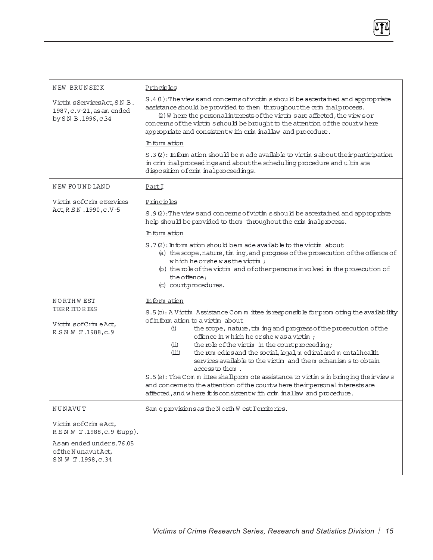| NEW BRUNSICK                                                                                                               | Principles                                                                                                                                                                                                                                                                                                                                                                                                                                                                                                                                                                                                                                                                                                                                                |
|----------------------------------------------------------------------------------------------------------------------------|-----------------------------------------------------------------------------------------------------------------------------------------------------------------------------------------------------------------------------------------------------------------------------------------------------------------------------------------------------------------------------------------------------------------------------------------------------------------------------------------------------------------------------------------------------------------------------------------------------------------------------------------------------------------------------------------------------------------------------------------------------------|
| Victim sServicesAct, SNB.<br>$1987, c.v-21, as am ended$<br>by SN B.1996, c34                                              | S.4 (1): The view sand concems of victim s should be ascertained and appropriate<br>assistance should be provided to them throughout the criminal process.<br>(2) W here the personal interests of the victim s are affected, the view s or<br>concems of the victim s should be brought to the attention of the court where<br>appropriate and consistentwith criminal law and procedure.                                                                                                                                                                                                                                                                                                                                                                |
|                                                                                                                            | Inform ation                                                                                                                                                                                                                                                                                                                                                                                                                                                                                                                                                                                                                                                                                                                                              |
|                                                                                                                            | S.3(2): Inform ation should be m ade available to victim sabout their participation<br>in crim inalproceedings and about the scheduling procedure and ultim ate<br>disposition of crim inalproceedings.                                                                                                                                                                                                                                                                                                                                                                                                                                                                                                                                                   |
| NEW FOUNDLAND                                                                                                              | <u>PartI</u>                                                                                                                                                                                                                                                                                                                                                                                                                                                                                                                                                                                                                                                                                                                                              |
| Victim sofCrim e Services                                                                                                  | Principles                                                                                                                                                                                                                                                                                                                                                                                                                                                                                                                                                                                                                                                                                                                                                |
| Act, RSN.1990, c.V-5                                                                                                       | S.9(2): The view sand concems of victim s should be ascertained and appropriate<br>help should be provided to them throughout the criminal process.                                                                                                                                                                                                                                                                                                                                                                                                                                                                                                                                                                                                       |
|                                                                                                                            | Inform ation                                                                                                                                                                                                                                                                                                                                                                                                                                                                                                                                                                                                                                                                                                                                              |
|                                                                                                                            | $S.7(2)$ : In form ation should be m ade available to the victim about<br>(a) the scope, nature, tim ing, and progress of the prosecution of the offence of<br>which he or she was the victim;<br>(b) the role of the victim and of other persons involved in the prosecution of<br>the offence;<br>(c) courtprocedures.                                                                                                                                                                                                                                                                                                                                                                                                                                  |
| NORTHWEST<br><b>TERRITORIES</b><br>Victim sofCrim eAct,<br>RSN W T.1988, c.9                                               | Inform ation<br>$S.S(C)$ : A Victim Assistance Committee is responsible for promoting the availability<br>ofinformation to a victimabout<br>the scope, nature, timing and progress of the prosecution of the<br>(i)<br>offence in which he or she was a victim;<br>the role of the victim in the court proceeding;<br>$\overline{\Xi}$<br>the rem edies and the social, legal, m edical and m ental health<br>(iii)<br>services available to the victim and them echanism s to obtain<br>access to them.<br>S.5(e): The Com m ittee shall prom ote assistance to victim s in bringing their views<br>and concems to the attention of the court where their personal interests are<br>affected, and where it is consistentwith criminal law and procedure. |
| NUNAVUT                                                                                                                    | Sam e provisions as the N orth W est Territories.                                                                                                                                                                                                                                                                                                                                                                                                                                                                                                                                                                                                                                                                                                         |
| Victim sofCrim eAct,<br>RSN W T.1988, c.9 (Supp).<br>As am ended unders. 76.05<br>of the Nunavut Act,<br>SN W T.1998, c.34 |                                                                                                                                                                                                                                                                                                                                                                                                                                                                                                                                                                                                                                                                                                                                                           |
|                                                                                                                            |                                                                                                                                                                                                                                                                                                                                                                                                                                                                                                                                                                                                                                                                                                                                                           |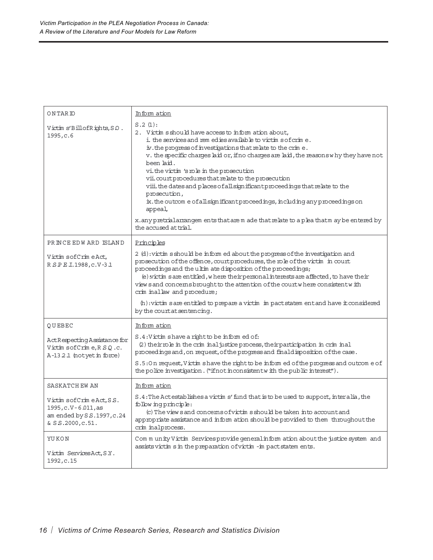| ONTARIO                                                                                              | Inform ation                                                                                                                                                                                                                                                                                                                                                                                                                                                                                                                                                                                                                                                                                                                        |
|------------------------------------------------------------------------------------------------------|-------------------------------------------------------------------------------------------------------------------------------------------------------------------------------------------------------------------------------------------------------------------------------------------------------------------------------------------------------------------------------------------------------------------------------------------------------------------------------------------------------------------------------------------------------------------------------------------------------------------------------------------------------------------------------------------------------------------------------------|
| Victim s'BillofRights, S.O.<br>1995, c.6                                                             | $S.2(1)$ :<br>2. Victim s should have access to inform ation about,<br>i. the services and rem edies available to victim s of crime.<br>iv, the progress of investigations that relate to the crime.<br>v. the specific charges laid or, if no charges are laid, the reasons why they have not<br>been laid.<br>vi. the victim 's role in the prosecution<br>vii.courtprocedures that relate to the prosecution<br>viii. the dates and places of all sign ificant proceedings that relate to the<br>prosecution,<br>ix. the outcom e of all sign ificant proceedings, including any proceedings on<br>appeal,<br>x, any pretrialarrangem ents that are m ade that relate to a plea that m ay be entered by<br>the accused at trial. |
| PRINCE EDWARD ISLAND                                                                                 | Principles                                                                                                                                                                                                                                                                                                                                                                                                                                                                                                                                                                                                                                                                                                                          |
| Victim sofCrim eAct,<br>RSPEJ.1988, c.V-3.1                                                          | 2 (d): victim s should be informed about the progress of the investigation and<br>prosecution of the offence, court procedures, the role of the victim in court<br>proceedings and the ultimate disposition of the proceedings;<br>(e) victim sare entitled, where their personal interests are affected, to have their<br>view s and concems brought to the attention of the court where consistent with<br>crim inallaw and procedure;<br>$\langle h \rangle$ : victim sare entitled to prepare a victim impact statem ent and have it considered<br>by the courtat sentencing.                                                                                                                                                   |
| OUEBEC                                                                                               | Inform ation                                                                                                                                                                                                                                                                                                                                                                                                                                                                                                                                                                                                                                                                                                                        |
| Act Respecting Assistance for<br>Victim sofCrim e, R S Q .c.<br>A-1321 (notyet in force)             | S.4: Victim shave a right to be informed of:<br>(2) their role in the crim inal justice process, their participation in criminal<br>proceedings and, on request, of the progress and finaldisposition of the case.<br>S.5: On request, Victim shave the right to be informed of the progress and outcome of<br>the police investigation. ("ifnot inconsistentw ith the public interest").                                                                                                                                                                                                                                                                                                                                           |
| SASKATCH EW AN                                                                                       | Inform ation                                                                                                                                                                                                                                                                                                                                                                                                                                                                                                                                                                                                                                                                                                                        |
| Victim sofCrim eAct, S.S.<br>1995, c.V-6.011, as<br>am ended by S S.1997, c.24<br>$&$ SS.2000, c.51. | S.4: The Actestablishes a victim s' fund that is to be used to support, interalia, the<br>following principle:<br>(c) The view sand concerns of victim s should be taken into account and<br>appropriate assistance and inform ation should be provided to them throughout the<br>crim inalprocess.                                                                                                                                                                                                                                                                                                                                                                                                                                 |
| YUKON<br>Victim ServicesAct, S.Y.<br>1992, c.15                                                      | Community Victim Services provide general information about the justice system and<br>assists victim s in the preparation of victim -im pact statem ents.                                                                                                                                                                                                                                                                                                                                                                                                                                                                                                                                                                           |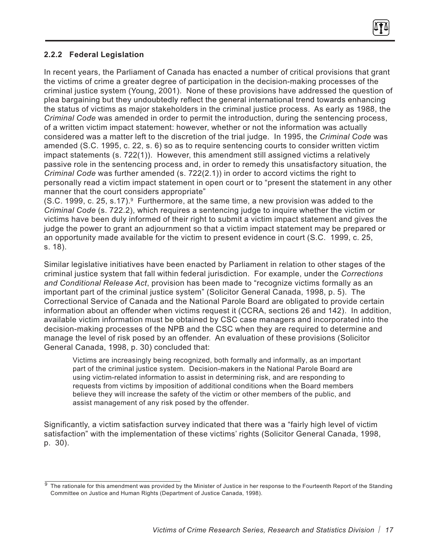#### **2.2.2 Federal Legislation**

In recent years, the Parliament of Canada has enacted a number of critical provisions that grant the victims of crime a greater degree of participation in the decision-making processes of the criminal justice system (Young, 2001). None of these provisions have addressed the question of plea bargaining but they undoubtedly reflect the general international trend towards enhancing the status of victims as major stakeholders in the criminal justice process. As early as 1988, the *Criminal Code* was amended in order to permit the introduction, during the sentencing process, of a written victim impact statement: however, whether or not the information was actually considered was a matter left to the discretion of the trial judge. In 1995, the *Criminal Code* was amended (S.C. 1995, c. 22, s. 6) so as to require sentencing courts to consider written victim impact statements (s. 722(1)). However, this amendment still assigned victims a relatively passive role in the sentencing process and, in order to remedy this unsatisfactory situation, the *Criminal Code* was further amended (s. 722(2.1)) in order to accord victims the right to personally read a victim impact statement in open court or to "present the statement in any other manner that the court considers appropriate"

 $(S.C. 1999, c. 25, s.17).<sup>9</sup>$  Furthermore, at the same time, a new provision was added to the *Criminal Code* (s. 722.2), which requires a sentencing judge to inquire whether the victim or victims have been duly informed of their right to submit a victim impact statement and gives the judge the power to grant an adjournment so that a victim impact statement may be prepared or an opportunity made available for the victim to present evidence in court (S.C. 1999, c. 25, s. 18).

Similar legislative initiatives have been enacted by Parliament in relation to other stages of the criminal justice system that fall within federal jurisdiction. For example, under the *Corrections and Conditional Release Act*, provision has been made to "recognize victims formally as an important part of the criminal justice system" (Solicitor General Canada, 1998, p. 5). The Correctional Service of Canada and the National Parole Board are obligated to provide certain information about an offender when victims request it (CCRA, sections 26 and 142). In addition, available victim information must be obtained by CSC case managers and incorporated into the decision-making processes of the NPB and the CSC when they are required to determine and manage the level of risk posed by an offender. An evaluation of these provisions (Solicitor General Canada, 1998, p. 30) concluded that:

Victims are increasingly being recognized, both formally and informally, as an important part of the criminal justice system. Decision-makers in the National Parole Board are using victim-related information to assist in determining risk, and are responding to requests from victims by imposition of additional conditions when the Board members believe they will increase the safety of the victim or other members of the public, and assist management of any risk posed by the offender.

Significantly, a victim satisfaction survey indicated that there was a "fairly high level of victim satisfaction" with the implementation of these victims' rights (Solicitor General Canada, 1998, p. 30).

 $9$  The rationale for this amendment was provided by the Minister of Justice in her response to the Fourteenth Report of the Standing Committee on Justice and Human Rights (Department of Justice Canada, 1998).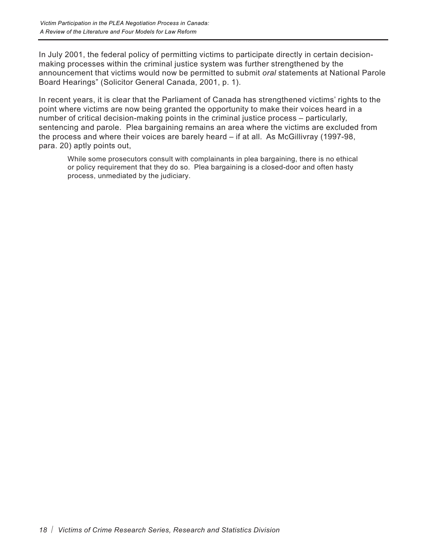In July 2001, the federal policy of permitting victims to participate directly in certain decisionmaking processes within the criminal justice system was further strengthened by the announcement that victims would now be permitted to submit *oral* statements at National Parole Board Hearings" (Solicitor General Canada, 2001, p. 1).

In recent years, it is clear that the Parliament of Canada has strengthened victims' rights to the point where victims are now being granted the opportunity to make their voices heard in a number of critical decision-making points in the criminal justice process – particularly, sentencing and parole. Plea bargaining remains an area where the victims are excluded from the process and where their voices are barely heard – if at all. As McGillivray (1997-98, para. 20) aptly points out,

While some prosecutors consult with complainants in plea bargaining, there is no ethical or policy requirement that they do so. Plea bargaining is a closed-door and often hasty process, unmediated by the judiciary.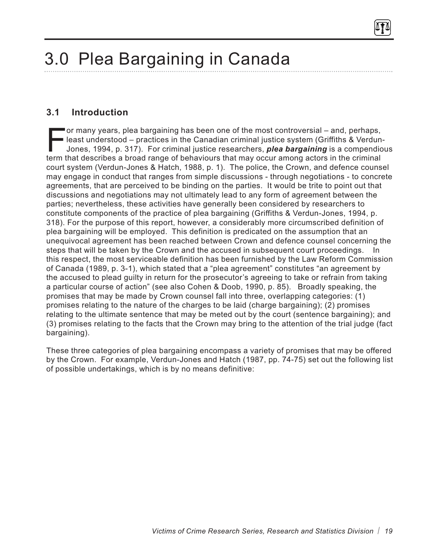# 3.0 Plea Bargaining in Canada

# **3.1 Introduction**

For many years, plea bargaining has been one of the most controversial – and, perhaps,<br>least understood – practices in the Canadian criminal justice system (Griffiths & Verdur<br>Jones, 1994, p. 317). For criminal justice res least understood – practices in the Canadian criminal justice system (Griffiths & Verdun-Jones, 1994, p. 317). For criminal justice researchers, *plea bargaining* is a compendious term that describes a broad range of behaviours that may occur among actors in the criminal court system (Verdun-Jones & Hatch, 1988, p. 1). The police, the Crown, and defence counsel may engage in conduct that ranges from simple discussions - through negotiations - to concrete agreements, that are perceived to be binding on the parties. It would be trite to point out that discussions and negotiations may not ultimately lead to any form of agreement between the parties; nevertheless, these activities have generally been considered by researchers to constitute components of the practice of plea bargaining (Griffiths & Verdun-Jones, 1994, p. 318). For the purpose of this report, however, a considerably more circumscribed definition of plea bargaining will be employed. This definition is predicated on the assumption that an unequivocal agreement has been reached between Crown and defence counsel concerning the steps that will be taken by the Crown and the accused in subsequent court proceedings. In this respect, the most serviceable definition has been furnished by the Law Reform Commission of Canada (1989, p. 3-1), which stated that a "plea agreement" constitutes "an agreement by the accused to plead guilty in return for the prosecutor's agreeing to take or refrain from taking a particular course of action" (see also Cohen & Doob, 1990, p. 85). Broadly speaking, the promises that may be made by Crown counsel fall into three, overlapping categories: (1) promises relating to the nature of the charges to be laid (charge bargaining); (2) promises relating to the ultimate sentence that may be meted out by the court (sentence bargaining); and (3) promises relating to the facts that the Crown may bring to the attention of the trial judge (fact bargaining).

These three categories of plea bargaining encompass a variety of promises that may be offered by the Crown. For example, Verdun-Jones and Hatch (1987, pp. 74-75) set out the following list of possible undertakings, which is by no means definitive: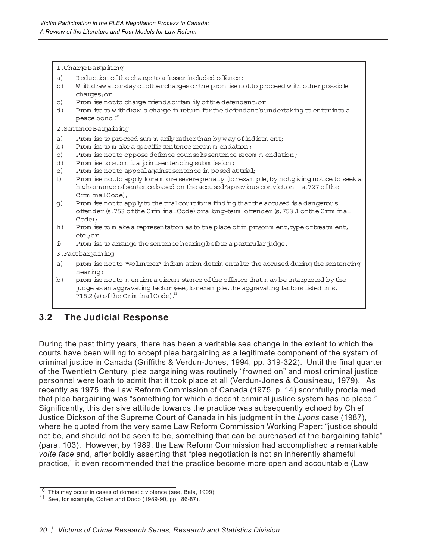1. Charge Bargaining

- a) Reduction of the charge to a lesser included offence;
- b) W ithdraw alor stay ofother charges or the prom ise notto proceed w ith other possible charges;or
- c) Prom ise notto charge friends or fam ily ofthe defendant;or
- d) Prom ise to w ithdraw a charge in return for the defendant's undertaking to enter into a peace bond.<sup>10</sup>

2.Sentence Bargaining

- a) Prom ise to proceed sum m arily rather than by w ay of indictm ent;
- b) Prom ise to m ake a specific sentence recom m endation;
- c) Prom is enotto oppose defence counsel's sentence recom m endation;
- d) Prom ise to subm it a pintsentencing subm ission;
- e) Prom ise notto appealagainst sentence im posed at trial;
- f) Prom ise notto apply for a m ore severe penalty (for exam ple,by notgiving notice to seek a higher range ofsentence based on the accused's previous conviction – s.727 ofthe Crim inalCode);
- g) Prom ise notto apply to the trialcourtfor a finding thatthe accused is a dangerous offender (s.753 of the Crim inalCode) or a long-term offender (s.753 1 of the Crim inal Code);
- h) Prom is to m ake a representation as to the place of imprisonment, type of treatment, etc.;or
- i) Prom ise to arrange the sentence hearing before a particular judge.
- 3.Factbargaining
- a) prom ise notto "volunteer" inform ation detrim entalto the accused during the sentencing hearing;
- b) prom ise notto m ention a circum stance ofthe offence thatm ay be interpreted by the judge as an aggravating factor (see, for exam ple, the aggravating factors listed in s. 718 2 (a) of the Crim inalCode).<sup>11</sup>

# **3.2 The Judicial Response**

During the past thirty years, there has been a veritable sea change in the extent to which the courts have been willing to accept plea bargaining as a legitimate component of the system of criminal justice in Canada (Griffiths & Verdun-Jones, 1994, pp. 319-322). Until the final quarter of the Twentieth Century, plea bargaining was routinely "frowned on" and most criminal justice personnel were loath to admit that it took place at all (Verdun-Jones & Cousineau, 1979). As recently as 1975, the Law Reform Commission of Canada (1975, p. 14) scornfully proclaimed that plea bargaining was "something for which a decent criminal justice system has no place." Significantly, this derisive attitude towards the practice was subsequently echoed by Chief Justice Dickson of the Supreme Court of Canada in his judgment in the *Lyons* case (1987), where he quoted from the very same Law Reform Commission Working Paper: "justice should not be, and should not be seen to be, something that can be purchased at the bargaining table" (para. 103). However, by 1989, the Law Reform Commission had accomplished a remarkable *volte face* and, after boldly asserting that "plea negotiation is not an inherently shameful practice," it even recommended that the practice become more open and accountable (Law

 $10$  This may occur in cases of domestic violence (see, Bala, 1999).

<sup>11</sup> See, for example, Cohen and Doob (1989-90, pp. 86-87).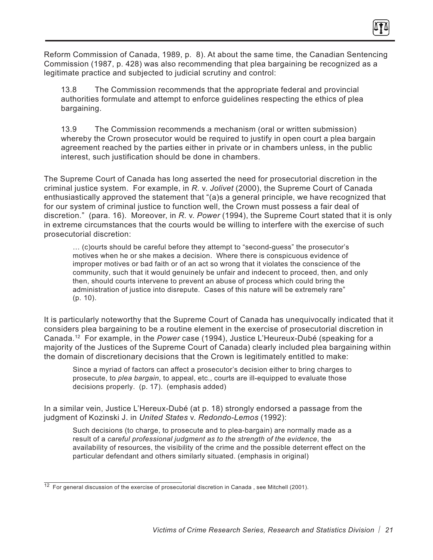Reform Commission of Canada, 1989, p. 8). At about the same time, the Canadian Sentencing Commission (1987, p. 428) was also recommending that plea bargaining be recognized as a legitimate practice and subjected to judicial scrutiny and control:

13.8 The Commission recommends that the appropriate federal and provincial authorities formulate and attempt to enforce guidelines respecting the ethics of plea bargaining.

13.9 The Commission recommends a mechanism (oral or written submission) whereby the Crown prosecutor would be required to justify in open court a plea bargain agreement reached by the parties either in private or in chambers unless, in the public interest, such justification should be done in chambers.

The Supreme Court of Canada has long asserted the need for prosecutorial discretion in the criminal justice system. For example, in *R.* v. *Jolivet* (2000), the Supreme Court of Canada enthusiastically approved the statement that "(a)s a general principle, we have recognized that for our system of criminal justice to function well, the Crown must possess a fair deal of discretion." (para. 16). Moreover, in *R.* v. *Power* (1994), the Supreme Court stated that it is only in extreme circumstances that the courts would be willing to interfere with the exercise of such prosecutorial discretion:

… (c)ourts should be careful before they attempt to "second-guess" the prosecutor's motives when he or she makes a decision. Where there is conspicuous evidence of improper motives or bad faith or of an act so wrong that it violates the conscience of the community, such that it would genuinely be unfair and indecent to proceed, then, and only then, should courts intervene to prevent an abuse of process which could bring the administration of justice into disrepute. Cases of this nature will be extremely rare" (p. 10).

It is particularly noteworthy that the Supreme Court of Canada has unequivocally indicated that it considers plea bargaining to be a routine element in the exercise of prosecutorial discretion in Canada.12 For example, in the *Power* case (1994), Justice L'Heureux-Dubé (speaking for a majority of the Justices of the Supreme Court of Canada) clearly included plea bargaining within the domain of discretionary decisions that the Crown is legitimately entitled to make:

Since a myriad of factors can affect a prosecutor's decision either to bring charges to prosecute, to *plea bargain*, to appeal, etc., courts are ill-equipped to evaluate those decisions properly. (p. 17). (emphasis added)

In a similar vein, Justice L'Hereux-Dubé (at p. 18) strongly endorsed a passage from the judgment of Kozinski J. in *United States* v. *Redondo-Lemos* (1992):

Such decisions (to charge, to prosecute and to plea-bargain) are normally made as a result of a *careful professional judgment as to the strength of the evidence*, the availability of resources, the visibility of the crime and the possible deterrent effect on the particular defendant and others similarly situated. (emphasis in original)

<sup>&</sup>lt;sup>12</sup> For general discussion of the exercise of prosecutorial discretion in Canada, see Mitchell (2001).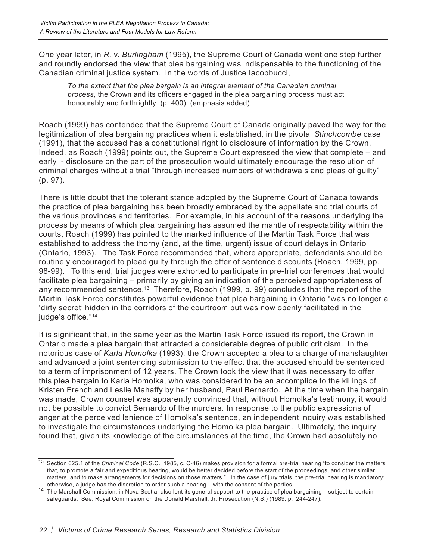One year later, in *R.* v. *Burlingham* (1995), the Supreme Court of Canada went one step further and roundly endorsed the view that plea bargaining was indispensable to the functioning of the Canadian criminal justice system. In the words of Justice Iacobbucci,

*To the extent that the plea bargain is an integral element of the Canadian criminal process*, the Crown and its officers engaged in the plea bargaining process must act honourably and forthrightly. (p. 400). (emphasis added)

Roach (1999) has contended that the Supreme Court of Canada originally paved the way for the legitimization of plea bargaining practices when it established, in the pivotal *Stinchcombe* case (1991), that the accused has a constitutional right to disclosure of information by the Crown. Indeed, as Roach (1999) points out, the Supreme Court expressed the view that complete – and early - disclosure on the part of the prosecution would ultimately encourage the resolution of criminal charges without a trial "through increased numbers of withdrawals and pleas of guilty" (p. 97).

There is little doubt that the tolerant stance adopted by the Supreme Court of Canada towards the practice of plea bargaining has been broadly embraced by the appellate and trial courts of the various provinces and territories. For example, in his account of the reasons underlying the process by means of which plea bargaining has assumed the mantle of respectability within the courts, Roach (1999) has pointed to the marked influence of the Martin Task Force that was established to address the thorny (and, at the time, urgent) issue of court delays in Ontario (Ontario, 1993). The Task Force recommended that, where appropriate, defendants should be routinely encouraged to plead guilty through the offer of sentence discounts (Roach, 1999, pp. 98-99). To this end, trial judges were exhorted to participate in pre-trial conferences that would facilitate plea bargaining – primarily by giving an indication of the perceived appropriateness of any recommended sentence.<sup>13</sup> Therefore, Roach (1999, p. 99) concludes that the report of the Martin Task Force constitutes powerful evidence that plea bargaining in Ontario "was no longer a 'dirty secret' hidden in the corridors of the courtroom but was now openly facilitated in the judge's office."14

It is significant that, in the same year as the Martin Task Force issued its report, the Crown in Ontario made a plea bargain that attracted a considerable degree of public criticism. In the notorious case of *Karla Homolka* (1993), the Crown accepted a plea to a charge of manslaughter and advanced a joint sentencing submission to the effect that the accused should be sentenced to a term of imprisonment of 12 years. The Crown took the view that it was necessary to offer this plea bargain to Karla Homolka, who was considered to be an accomplice to the killings of Kristen French and Leslie Mahaffy by her husband, Paul Bernardo. At the time when the bargain was made, Crown counsel was apparently convinced that, without Homolka's testimony, it would not be possible to convict Bernardo of the murders. In response to the public expressions of anger at the perceived lenience of Homolka's sentence, an independent inquiry was established to investigate the circumstances underlying the Homolka plea bargain. Ultimately, the inquiry found that, given its knowledge of the circumstances at the time, the Crown had absolutely no

<sup>13</sup> Section 625.1 of the *Criminal Code* (R.S.C. 1985, c. C-46) makes provision for a formal pre-trial hearing "to consider the matters that, to promote a fair and expeditious hearing, would be better decided before the start of the proceedings, and other similar matters, and to make arrangements for decisions on those matters." In the case of jury trials, the pre-trial hearing is mandatory: otherwise, a judge has the discretion to order such a hearing – with the consent of the parties.

<sup>14</sup> The Marshall Commission, in Nova Scotia, also lent its general support to the practice of plea bargaining – subject to certain safeguards. See, Royal Commission on the Donald Marshall, Jr. Prosecution (N.S.) (1989, p. 244-247).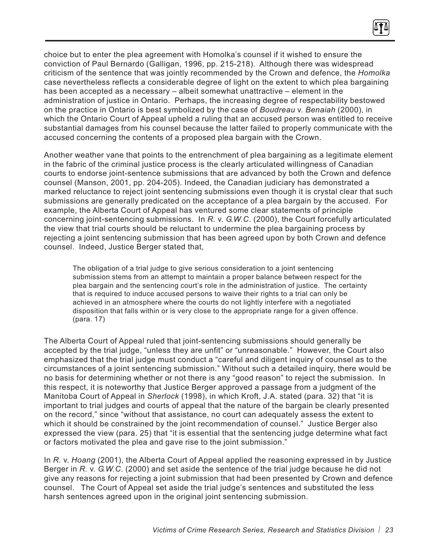choice but to enter the plea agreement with Homolka's counsel if it wished to ensure the conviction of Paul Bernardo (Galligan, 1996, pp. 215-218). Although there was widespread criticism of the sentence that was jointly recommended by the Crown and defence, the *Homolka* case nevertheless reflects a considerable degree of light on the extent to which plea bargaining has been accepted as a necessary – albeit somewhat unattractive – element in the administration of justice in Ontario. Perhaps, the increasing degree of respectability bestowed on the practice in Ontario is best symbolized by the case of *Boudreau* v. *Benaiah* (2000), in which the Ontario Court of Appeal upheld a ruling that an accused person was entitled to receive substantial damages from his counsel because the latter failed to properly communicate with the accused concerning the contents of a proposed plea bargain with the Crown.

Another weather vane that points to the entrenchment of plea bargaining as a legitimate element in the fabric of the criminal justice process is the clearly articulated willingness of Canadian courts to endorse joint-sentence submissions that are advanced by both the Crown and defence counsel (Manson, 2001, pp. 204-205). Indeed, the Canadian judiciary has demonstrated a marked reluctance to reject joint sentencing submissions even though it is crystal clear that such submissions are generally predicated on the acceptance of a plea bargain by the accused. For example, the Alberta Court of Appeal has ventured some clear statements of principle concerning joint-sentencing submissions. In *R.* v. *G.W.C*. (2000), the Court forcefully articulated the view that trial courts should be reluctant to undermine the plea bargaining process by rejecting a joint sentencing submission that has been agreed upon by both Crown and defence counsel. Indeed, Justice Berger stated that,

The obligation of a trial judge to give serious consideration to a joint sentencing submission stems from an attempt to maintain a proper balance between respect for the plea bargain and the sentencing court's role in the administration of justice. The certainty that is required to induce accused persons to waive their rights to a trial can only be achieved in an atmosphere where the courts do not lightly interfere with a negotiated disposition that falls within or is very close to the appropriate range for a given offence. (para. 17)

The Alberta Court of Appeal ruled that joint-sentencing submissions should generally be accepted by the trial judge, "unless they are unfit" or "unreasonable." However, the Court also emphasized that the trial judge must conduct a "careful and diligent inquiry of counsel as to the circumstances of a joint sentencing submission." Without such a detailed inquiry, there would be no basis for determining whether or not there is any "good reason" to reject the submission. In this respect, it is noteworthy that Justice Berger approved a passage from a judgment of the Manitoba Court of Appeal in *Sherlock* (1998), in which Kroft, J.A. stated (para. 32) that "it is important to trial judges and courts of appeal that the nature of the bargain be clearly presented on the record," since "without that assistance, no court can adequately assess the extent to which it should be constrained by the joint recommendation of counsel." Justice Berger also expressed the view (para. 25) that "it is essential that the sentencing judge determine what fact or factors motivated the plea and gave rise to the joint submission."

In *R.* v. *Hoang* (2001), the Alberta Court of Appeal applied the reasoning expressed in by Justice Berger in *R.* v. *G.W.C*. (2000) and set aside the sentence of the trial judge because he did not give any reasons for rejecting a joint submission that had been presented by Crown and defence counsel. The Court of Appeal set aside the trial judge's sentences and substituted the less harsh sentences agreed upon in the original joint sentencing submission.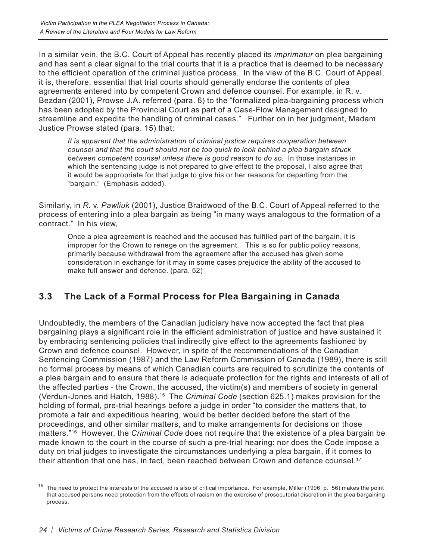In a similar vein, the B.C. Court of Appeal has recently placed its *imprimatur* on plea bargaining and has sent a clear signal to the trial courts that it is a practice that is deemed to be necessary to the efficient operation of the criminal justice process. In the view of the B.C. Court of Appeal, it is, therefore, essential that trial courts should generally endorse the contents of plea agreements entered into by competent Crown and defence counsel. For example, in R. v. Bezdan (2001), Prowse J.A. referred (para. 6) to the "formalized plea-bargaining process which has been adopted by the Provincial Court as part of a Case-Flow Management designed to streamline and expedite the handling of criminal cases." Further on in her judgment, Madam Justice Prowse stated (para. 15) that:

*It is apparent that the administration of criminal justice requires cooperation between counsel and that the court should not be too quick to look behind a plea bargain struck between competent counsel unless there is good reason to do so.* In those instances in which the sentencing judge is not prepared to give effect to the proposal, I also agree that it would be appropriate for that judge to give his or her reasons for departing from the "bargain." (Emphasis added).

Similarly, in *R.* v. *Pawliuk* (2001), Justice Braidwood of the B.C. Court of Appeal referred to the process of entering into a plea bargain as being "in many ways analogous to the formation of a contract." In his view,

Once a plea agreement is reached and the accused has fulfilled part of the bargain, it is improper for the Crown to renege on the agreement. This is so for public policy reasons, primarily because withdrawal from the agreement after the accused has given some consideration in exchange for it may in some cases prejudice the ability of the accused to make full answer and defence. (para. 52)

# **3.3 The Lack of a Formal Process for Plea Bargaining in Canada**

Undoubtedly, the members of the Canadian judiciary have now accepted the fact that plea bargaining plays a significant role in the efficient administration of justice and have sustained it by embracing sentencing policies that indirectly give effect to the agreements fashioned by Crown and defence counsel. However, in spite of the recommendations of the Canadian Sentencing Commission (1987) and the Law Reform Commission of Canada (1989), there is still no formal process by means of which Canadian courts are required to scrutinize the contents of a plea bargain and to ensure that there is adequate protection for the rights and interests of all of the affected parties - the Crown, the accused, the victim(s) and members of society in general (Verdun-Jones and Hatch, 1988).15 The *Criminal Code* (section 625.1) makes provision for the holding of formal, pre-trial hearings before a judge in order "to consider the matters that, to promote a fair and expeditious hearing, would be better decided before the start of the proceedings, and other similar matters, and to make arrangements for decisions on those matters."16 However, the *Criminal Code* does not require that the existence of a plea bargain be made known to the court in the course of such a pre-trial hearing: nor does the Code impose a duty on trial judges to investigate the circumstances underlying a plea bargain, if it comes to their attention that one has, in fact, been reached between Crown and defence counsel.<sup>17</sup>

 $15$  The need to protect the interests of the accused is also of critical importance. For example, Miller (1996, p. 56) makes the point that accused persons need protection from the effects of racism on the exercise of prosecutorial discretion in the plea bargaining process.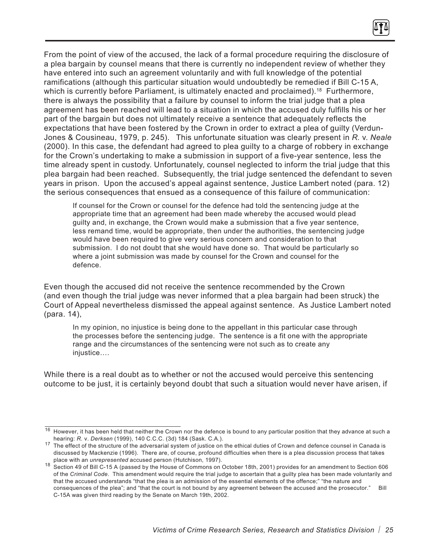From the point of view of the accused, the lack of a formal procedure requiring the disclosure of a plea bargain by counsel means that there is currently no independent review of whether they have entered into such an agreement voluntarily and with full knowledge of the potential ramifications (although this particular situation would undoubtedly be remedied if Bill C-15 A, which is currently before Parliament, is ultimately enacted and proclaimed).<sup>18</sup> Furthermore, there is always the possibility that a failure by counsel to inform the trial judge that a plea agreement has been reached will lead to a situation in which the accused duly fulfills his or her part of the bargain but does not ultimately receive a sentence that adequately reflects the expectations that have been fostered by the Crown in order to extract a plea of guilty (Verdun-Jones & Cousineau, 1979, p. 245). This unfortunate situation was clearly present in *R.* v. *Neale* (2000). In this case, the defendant had agreed to plea guilty to a charge of robbery in exchange for the Crown's undertaking to make a submission in support of a five-year sentence, less the time already spent in custody. Unfortunately, counsel neglected to inform the trial judge that this plea bargain had been reached. Subsequently, the trial judge sentenced the defendant to seven years in prison. Upon the accused's appeal against sentence, Justice Lambert noted (para. 12) the serious consequences that ensued as a consequence of this failure of communication:

If counsel for the Crown or counsel for the defence had told the sentencing judge at the appropriate time that an agreement had been made whereby the accused would plead guilty and, in exchange, the Crown would make a submission that a five year sentence, less remand time, would be appropriate, then under the authorities, the sentencing judge would have been required to give very serious concern and consideration to that submission. I do not doubt that she would have done so. That would be particularly so where a joint submission was made by counsel for the Crown and counsel for the defence.

Even though the accused did not receive the sentence recommended by the Crown (and even though the trial judge was never informed that a plea bargain had been struck) the Court of Appeal nevertheless dismissed the appeal against sentence. As Justice Lambert noted (para. 14),

In my opinion, no injustice is being done to the appellant in this particular case through the processes before the sentencing judge. The sentence is a fit one with the appropriate range and the circumstances of the sentencing were not such as to create any injustice….

While there is a real doubt as to whether or not the accused would perceive this sentencing outcome to be just, it is certainly beyond doubt that such a situation would never have arisen, if

 $16$  However, it has been held that neither the Crown nor the defence is bound to any particular position that they advance at such a hearing: *R.* v. *Derksen* (1999), 140 C.C.C. (3d) 184 (Sask. C.A.).

 $17$  The effect of the structure of the adversarial system of justice on the ethical duties of Crown and defence counsel in Canada is discussed by Mackenzie (1996). There are, of course, profound difficulties when there is a plea discussion process that takes place with an *unrepresented* accused person (Hutchison, 1997).

<sup>&</sup>lt;sup>18</sup> Section 49 of Bill C-15 A (passed by the House of Commons on October 18th, 2001) provides for an amendment to Section 606 of the *Criminal Code*. This amendment would require the trial judge to ascertain that a guilty plea has been made voluntarily and that the accused understands "that the plea is an admission of the essential elements of the offence;" "the nature and consequences of the plea"; and "that the court is not bound by any agreement between the accused and the prosecutor." Bill C-15A was given third reading by the Senate on March 19th, 2002.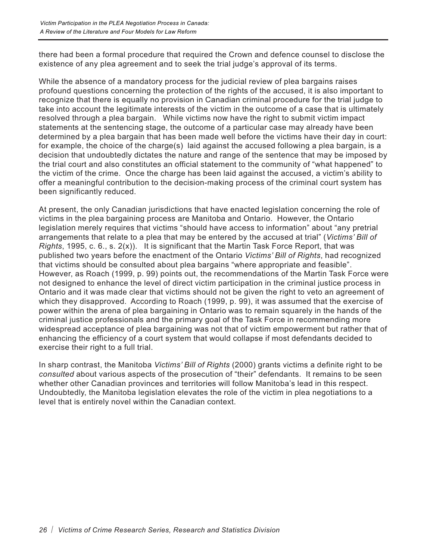there had been a formal procedure that required the Crown and defence counsel to disclose the existence of any plea agreement and to seek the trial judge's approval of its terms.

While the absence of a mandatory process for the judicial review of plea bargains raises profound questions concerning the protection of the rights of the accused, it is also important to recognize that there is equally no provision in Canadian criminal procedure for the trial judge to take into account the legitimate interests of the victim in the outcome of a case that is ultimately resolved through a plea bargain. While victims now have the right to submit victim impact statements at the sentencing stage, the outcome of a particular case may already have been determined by a plea bargain that has been made well before the victims have their day in court: for example, the choice of the charge(s) laid against the accused following a plea bargain, is a decision that undoubtedly dictates the nature and range of the sentence that may be imposed by the trial court and also constitutes an official statement to the community of "what happened" to the victim of the crime. Once the charge has been laid against the accused, a victim's ability to offer a meaningful contribution to the decision-making process of the criminal court system has been significantly reduced.

At present, the only Canadian jurisdictions that have enacted legislation concerning the role of victims in the plea bargaining process are Manitoba and Ontario. However, the Ontario legislation merely requires that victims "should have access to information" about "any pretrial arrangements that relate to a plea that may be entered by the accused at trial" (*Victims' Bill of Rights*, 1995, c. 6., s. 2(x)). It is significant that the Martin Task Force Report, that was published two years before the enactment of the Ontario *Victims' Bill of Rights*, had recognized that victims should be consulted about plea bargains "where appropriate and feasible". However, as Roach (1999, p. 99) points out, the recommendations of the Martin Task Force were not designed to enhance the level of direct victim participation in the criminal justice process in Ontario and it was made clear that victims should not be given the right to veto an agreement of which they disapproved. According to Roach (1999, p. 99), it was assumed that the exercise of power within the arena of plea bargaining in Ontario was to remain squarely in the hands of the criminal justice professionals and the primary goal of the Task Force in recommending more widespread acceptance of plea bargaining was not that of victim empowerment but rather that of enhancing the efficiency of a court system that would collapse if most defendants decided to exercise their right to a full trial.

In sharp contrast, the Manitoba *Victims' Bill of Rights* (2000) grants victims a definite right to be *consulted* about various aspects of the prosecution of "their" defendants. It remains to be seen whether other Canadian provinces and territories will follow Manitoba's lead in this respect. Undoubtedly, the Manitoba legislation elevates the role of the victim in plea negotiations to a level that is entirely novel within the Canadian context.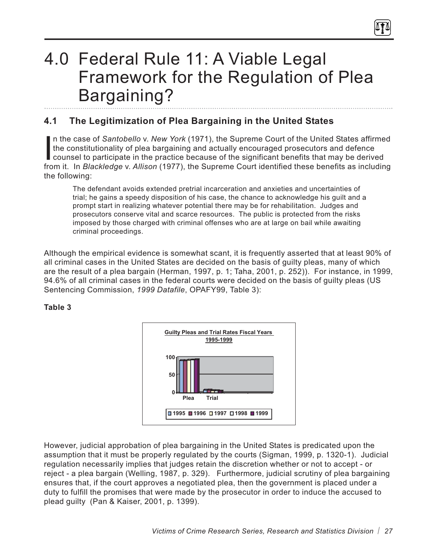# 4.0 Federal Rule 11: A Viable Legal Framework for the Regulation of Plea Bargaining?

## **4.1 The Legitimization of Plea Bargaining in the United States**

In the case of *Santobello v. New York* (1971), the Supreme Court of the United States affirmed<br>the constitutionality of plea bargaining and actually encouraged prosecutors and defence<br>counsel to participate in the practic n the case of *Santobello* v. *New York* (1971), the Supreme Court of the United States affirmed the constitutionality of plea bargaining and actually encouraged prosecutors and defence counsel to participate in the practice because of the significant benefits that may be derived the following:

The defendant avoids extended pretrial incarceration and anxieties and uncertainties of trial; he gains a speedy disposition of his case, the chance to acknowledge his guilt and a prompt start in realizing whatever potential there may be for rehabilitation. Judges and prosecutors conserve vital and scarce resources. The public is protected from the risks imposed by those charged with criminal offenses who are at large on bail while awaiting criminal proceedings.

Although the empirical evidence is somewhat scant, it is frequently asserted that at least 90% of all criminal cases in the United States are decided on the basis of guilty pleas, many of which are the result of a plea bargain (Herman, 1997, p. 1; Taha, 2001, p. 252)). For instance, in 1999, 94.6% of all criminal cases in the federal courts were decided on the basis of guilty pleas (US Sentencing Commission, *1999 Datafile*, OPAFY99, Table 3):

#### **Table 3**



However, judicial approbation of plea bargaining in the United States is predicated upon the assumption that it must be properly regulated by the courts (Sigman, 1999, p. 1320-1). Judicial regulation necessarily implies that judges retain the discretion whether or not to accept - or reject - a plea bargain (Welling, 1987, p. 329). Furthermore, judicial scrutiny of plea bargaining ensures that, if the court approves a negotiated plea, then the government is placed under a duty to fulfill the promises that were made by the prosecutor in order to induce the accused to plead guilty (Pan & Kaiser, 2001, p. 1399).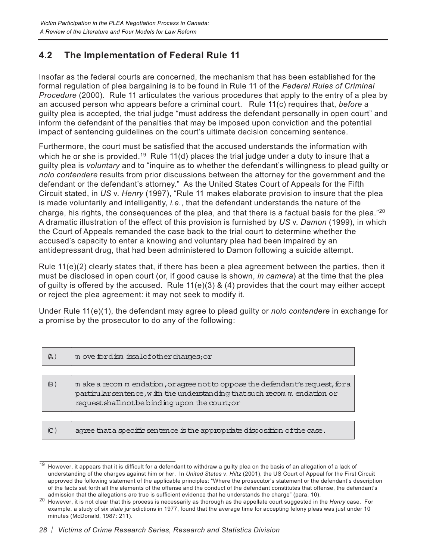# **4.2 The Implementation of Federal Rule 11**

Insofar as the federal courts are concerned, the mechanism that has been established for the formal regulation of plea bargaining is to be found in Rule 11 of the *Federal Rules of Criminal Procedure* (2000). Rule 11 articulates the various procedures that apply to the entry of a plea by an accused person who appears before a criminal court. Rule 11(c) requires that, *before* a guilty plea is accepted, the trial judge "must address the defendant personally in open court" and inform the defendant of the penalties that may be imposed upon conviction and the potential impact of sentencing guidelines on the court's ultimate decision concerning sentence.

Furthermore, the court must be satisfied that the accused understands the information with which he or she is provided.<sup>19</sup> Rule 11(d) places the trial judge under a duty to insure that a guilty plea is *voluntary* and to "inquire as to whether the defendant's willingness to plead guilty or *nolo contendere* results from prior discussions between the attorney for the government and the defendant or the defendant's attorney." As the United States Court of Appeals for the Fifth Circuit stated, in *US* v. *Henry* (1997), "Rule 11 makes elaborate provision to insure that the plea is made voluntarily and intelligently, *i.e.*, that the defendant understands the nature of the charge, his rights, the consequences of the plea, and that there is a factual basis for the plea." $20$ A dramatic illustration of the effect of this provision is furnished by *US* v. *Damon* (1999), in which the Court of Appeals remanded the case back to the trial court to determine whether the accused's capacity to enter a knowing and voluntary plea had been impaired by an antidepressant drug, that had been administered to Damon following a suicide attempt.

Rule  $11(e)(2)$  clearly states that, if there has been a plea agreement between the parties, then it must be disclosed in open court (or, if good cause is shown, *in camera*) at the time that the plea of guilty is offered by the accused. Rule  $11(e)(3)$  & (4) provides that the court may either accept or reject the plea agreement: it may not seek to modify it.

Under Rule 11(e)(1), the defendant may agree to plead guilty or *nolo contendere* in exchange for a promise by the prosecutor to do any of the following:

- (A) m ove for dism issalofother charges;or
- (B) m ake a recom m endation, or agree not to oppose the defendant's request, for a particular sentence,w ith the understanding thatsuch recom m endation or requestshallnotbe binding upon the court;or
- (C) agree thata specific sentence is the appropriate disposition ofthe case.

However, it appears that it is difficult for a defendant to withdraw a guilty plea on the basis of an allegation of a lack of understanding of the charges against him or her. In *United States* v. *Hiltz* (2001), the US Court of Appeal for the First Circuit approved the following statement of the applicable principles: "Where the prosecutor's statement or the defendant's description of the facts set forth all the elements of the offense and the conduct of the defendant constitutes that offense, the defendant's admission that the allegations are true is sufficient evidence that he understands the charge" (para. 10).

<sup>20</sup> However, it is not clear that this process is necessarily as thorough as the appellate court suggested in the *Henry* case. For example, a study of six *state* jurisdictions in 1977, found that the average time for accepting felony pleas was just under 10 minutes (McDonald, 1987: 211).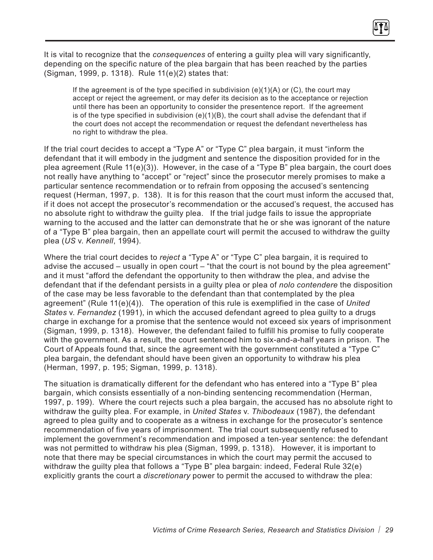It is vital to recognize that the *consequences* of entering a guilty plea will vary significantly, depending on the specific nature of the plea bargain that has been reached by the parties (Sigman, 1999, p. 1318). Rule 11(e)(2) states that:

If the agreement is of the type specified in subdivision  $(e)(1)(A)$  or  $(C)$ , the court may accept or reject the agreement, or may defer its decision as to the acceptance or rejection until there has been an opportunity to consider the presentence report. If the agreement is of the type specified in subdivision  $(e)(1)(B)$ , the court shall advise the defendant that if the court does not accept the recommendation or request the defendant nevertheless has no right to withdraw the plea.

If the trial court decides to accept a "Type A" or "Type C" plea bargain, it must "inform the defendant that it will embody in the judgment and sentence the disposition provided for in the plea agreement (Rule 11(e)(3)). However, in the case of a "Type B" plea bargain, the court does not really have anything to "accept" or "reject" since the prosecutor merely promises to make a particular sentence recommendation or to refrain from opposing the accused's sentencing request (Herman, 1997, p. 138). It is for this reason that the court must inform the accused that, if it does not accept the prosecutor's recommendation or the accused's request, the accused has no absolute right to withdraw the guilty plea. If the trial judge fails to issue the appropriate warning to the accused and the latter can demonstrate that he or she was ignorant of the nature of a "Type B" plea bargain, then an appellate court will permit the accused to withdraw the guilty plea (*US* v. *Kennell*, 1994).

Where the trial court decides to *reject* a "Type A" or "Type C" plea bargain, it is required to advise the accused – usually in open court – "that the court is not bound by the plea agreement" and it must "afford the defendant the opportunity to then withdraw the plea, and advise the defendant that if the defendant persists in a guilty plea or plea of *nolo contendere* the disposition of the case may be less favorable to the defendant than that contemplated by the plea agreement" (Rule 11(e)(4)). The operation of this rule is exemplified in the case of *United States* v. *Fernandez* (1991), in which the accused defendant agreed to plea guilty to a drugs charge in exchange for a promise that the sentence would not exceed six years of imprisonment (Sigman, 1999, p. 1318). However, the defendant failed to fulfill his promise to fully cooperate with the government. As a result, the court sentenced him to six-and-a-half years in prison. The Court of Appeals found that, since the agreement with the government constituted a "Type C" plea bargain, the defendant should have been given an opportunity to withdraw his plea (Herman, 1997, p. 195; Sigman, 1999, p. 1318).

The situation is dramatically different for the defendant who has entered into a "Type B" plea bargain, which consists essentially of a non-binding sentencing recommendation (Herman, 1997, p. 199). Where the court rejects such a plea bargain, the accused has no absolute right to withdraw the guilty plea. For example, in *United States* v. *Thibodeaux* (1987), the defendant agreed to plea guilty and to cooperate as a witness in exchange for the prosecutor's sentence recommendation of five years of imprisonment. The trial court subsequently refused to implement the government's recommendation and imposed a ten-year sentence: the defendant was not permitted to withdraw his plea (Sigman, 1999, p. 1318). However, it is important to note that there may be special circumstances in which the court may permit the accused to withdraw the guilty plea that follows a "Type B" plea bargain: indeed, Federal Rule 32(e) explicitly grants the court a *discretionary* power to permit the accused to withdraw the plea: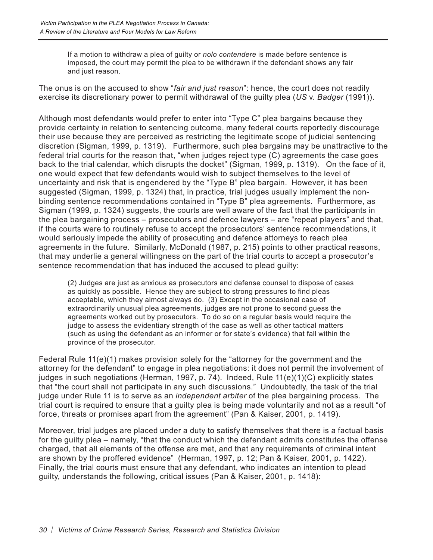If a motion to withdraw a plea of guilty or *nolo contendere* is made before sentence is imposed, the court may permit the plea to be withdrawn if the defendant shows any fair and just reason.

The onus is on the accused to show "*fair and just reason*": hence, the court does not readily exercise its discretionary power to permit withdrawal of the guilty plea (*US* v. *Badger* (1991)).

Although most defendants would prefer to enter into "Type C" plea bargains because they provide certainty in relation to sentencing outcome, many federal courts reportedly discourage their use because they are perceived as restricting the legitimate scope of judicial sentencing discretion (Sigman, 1999, p. 1319). Furthermore, such plea bargains may be unattractive to the federal trial courts for the reason that, "when judges reject type (C) agreements the case goes back to the trial calendar, which disrupts the docket" (Sigman, 1999, p. 1319). On the face of it, one would expect that few defendants would wish to subject themselves to the level of uncertainty and risk that is engendered by the "Type B" plea bargain. However, it has been suggested (Sigman, 1999, p. 1324) that, in practice, trial judges usually implement the nonbinding sentence recommendations contained in "Type B" plea agreements. Furthermore, as Sigman (1999, p. 1324) suggests, the courts are well aware of the fact that the participants in the plea bargaining process – prosecutors and defence lawyers – are "repeat players" and that, if the courts were to routinely refuse to accept the prosecutors' sentence recommendations, it would seriously impede the ability of prosecuting and defence attorneys to reach plea agreements in the future. Similarly, McDonald (1987, p. 215) points to other practical reasons, that may underlie a general willingness on the part of the trial courts to accept a prosecutor's sentence recommendation that has induced the accused to plead guilty:

(2) Judges are just as anxious as prosecutors and defense counsel to dispose of cases as quickly as possible. Hence they are subject to strong pressures to find pleas acceptable, which they almost always do. (3) Except in the occasional case of extraordinarily unusual plea agreements, judges are not prone to second guess the agreements worked out by prosecutors. To do so on a regular basis would require the judge to assess the evidentiary strength of the case as well as other tactical matters (such as using the defendant as an informer or for state's evidence) that fall within the province of the prosecutor.

Federal Rule 11(e)(1) makes provision solely for the "attorney for the government and the attorney for the defendant" to engage in plea negotiations: it does not permit the involvement of judges in such negotiations (Herman, 1997, p. 74). Indeed, Rule 11(e)(1)(C) explicitly states that "the court shall not participate in any such discussions." Undoubtedly, the task of the trial judge under Rule 11 is to serve as an *independent arbiter* of the plea bargaining process. The trial court is required to ensure that a guilty plea is being made voluntarily and not as a result "of force, threats or promises apart from the agreement" (Pan & Kaiser, 2001, p. 1419).

Moreover, trial judges are placed under a duty to satisfy themselves that there is a factual basis for the guilty plea – namely, "that the conduct which the defendant admits constitutes the offense charged, that all elements of the offense are met, and that any requirements of criminal intent are shown by the proffered evidence" (Herman, 1997, p. 12; Pan & Kaiser, 2001, p. 1422). Finally, the trial courts must ensure that any defendant, who indicates an intention to plead guilty, understands the following, critical issues (Pan & Kaiser, 2001, p. 1418):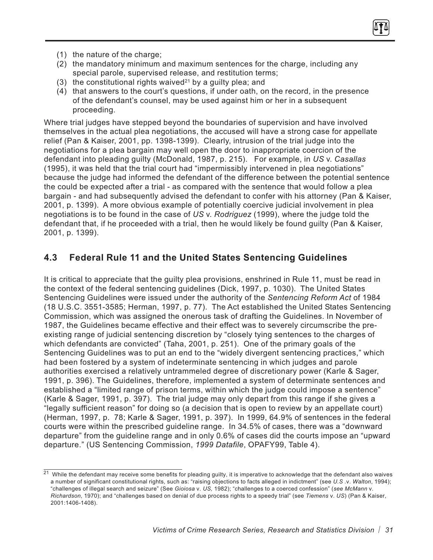- (1) the nature of the charge;
- (2) the mandatory minimum and maximum sentences for the charge, including any special parole, supervised release, and restitution terms;
- (3) the constitutional rights waived<sup>21</sup> by a guilty plea; and
- (4) that answers to the court's questions, if under oath, on the record, in the presence of the defendant's counsel, may be used against him or her in a subsequent proceeding.

Where trial judges have stepped beyond the boundaries of supervision and have involved themselves in the actual plea negotiations, the accused will have a strong case for appellate relief (Pan & Kaiser, 2001, pp. 1398-1399). Clearly, intrusion of the trial judge into the negotiations for a plea bargain may well open the door to inappropriate coercion of the defendant into pleading guilty (McDonald, 1987, p. 215). For example, in *US* v. *Casallas* (1995), it was held that the trial court had "impermissibly intervened in plea negotiations" because the judge had informed the defendant of the difference between the potential sentence the could be expected after a trial - as compared with the sentence that would follow a plea bargain - and had subsequently advised the defendant to confer with his attorney (Pan & Kaiser, 2001, p. 1399). A more obvious example of potentially coercive judicial involvement in plea negotiations is to be found in the case of *US* v. *Rodriguez* (1999), where the judge told the defendant that, if he proceeded with a trial, then he would likely be found guilty (Pan & Kaiser, 2001, p. 1399).

### **4.3 Federal Rule 11 and the United States Sentencing Guidelines**

It is critical to appreciate that the guilty plea provisions, enshrined in Rule 11, must be read in the context of the federal sentencing guidelines (Dick, 1997, p. 1030). The United States Sentencing Guidelines were issued under the authority of the *Sentencing Reform Act* of 1984 (18 U.S.C. 3551-3585; Herman, 1997, p. 77). The Act established the United States Sentencing Commission, which was assigned the onerous task of drafting the Guidelines. In November of 1987, the Guidelines became effective and their effect was to severely circumscribe the preexisting range of judicial sentencing discretion by "closely tying sentences to the charges of which defendants are convicted" (Taha, 2001, p. 251). One of the primary goals of the Sentencing Guidelines was to put an end to the "widely divergent sentencing practices," which had been fostered by a system of indeterminate sentencing in which judges and parole authorities exercised a relatively untrammeled degree of discretionary power (Karle & Sager, 1991, p. 396). The Guidelines, therefore, implemented a system of determinate sentences and established a "limited range of prison terms, within which the judge could impose a sentence" (Karle & Sager, 1991, p. 397). The trial judge may only depart from this range if she gives a "legally sufficient reason" for doing so (a decision that is open to review by an appellate court) (Herman, 1997, p. 78; Karle & Sager, 1991, p. 397). In 1999, 64.9% of sentences in the federal courts were within the prescribed guideline range. In 34.5% of cases, there was a "downward departure" from the guideline range and in only 0.6% of cases did the courts impose an "upward departure." (US Sentencing Commission, *1999 Datafile*, OPAFY99, Table 4).

 $21$  While the defendant may receive some benefits for pleading guilty, it is imperative to acknowledge that the defendant also waives a number of significant constitutional rights, such as: "raising objections to facts alleged in indictment" (see *U.S .*v. *Walton*, 1994); "challenges of illegal search and seizure" (See *Gioiosa* v. *US,* 1982); "challenges to a coerced confession" (*see McMann* v. *Richardson*, 1970); and "challenges based on denial of due process rights to a speedy trial" (see *Tiemens* v. *US*) (Pan & Kaiser, 2001:1406-1408).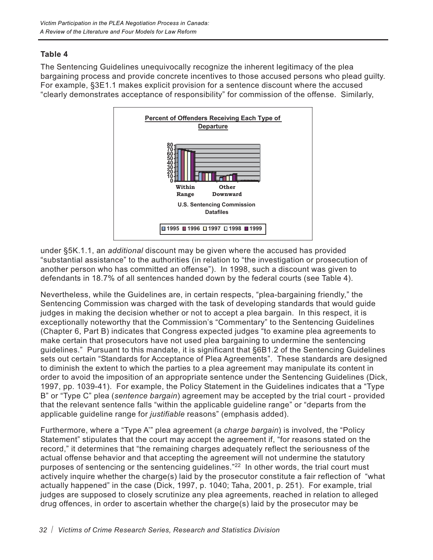#### **Table 4**

The Sentencing Guidelines unequivocally recognize the inherent legitimacy of the plea bargaining process and provide concrete incentives to those accused persons who plead guilty. For example, §3E1.1 makes explicit provision for a sentence discount where the accused "clearly demonstrates acceptance of responsibility" for commission of the offense. Similarly,



under §5K.1.1, an *additional* discount may be given where the accused has provided "substantial assistance" to the authorities (in relation to "the investigation or prosecution of another person who has committed an offense"). In 1998, such a discount was given to defendants in 18.7% of all sentences handed down by the federal courts (see Table 4).

Nevertheless, while the Guidelines are, in certain respects, "plea-bargaining friendly," the Sentencing Commission was charged with the task of developing standards that would guide judges in making the decision whether or not to accept a plea bargain. In this respect, it is exceptionally noteworthy that the Commission's "Commentary" to the Sentencing Guidelines (Chapter 6, Part B) indicates that Congress expected judges "to examine plea agreements to make certain that prosecutors have not used plea bargaining to undermine the sentencing guidelines." Pursuant to this mandate, it is significant that §6B1.2 of the Sentencing Guidelines sets out certain "Standards for Acceptance of Plea Agreements". These standards are designed to diminish the extent to which the parties to a plea agreement may manipulate its content in order to avoid the imposition of an appropriate sentence under the Sentencing Guidelines (Dick, 1997, pp. 1039-41). For example, the Policy Statement in the Guidelines indicates that a "Type B" or "Type C" plea (*sentence bargain*) agreement may be accepted by the trial court - provided that the relevant sentence falls "within the applicable guideline range" or "departs from the applicable guideline range for *justifiable* reasons" (emphasis added).

Furthermore, where a "Type A'" plea agreement (a *charge bargain*) is involved, the "Policy Statement" stipulates that the court may accept the agreement if, "for reasons stated on the record," it determines that "the remaining charges adequately reflect the seriousness of the actual offense behavior and that accepting the agreement will not undermine the statutory purposes of sentencing or the sentencing guidelines."<sup>22</sup> In other words, the trial court must actively inquire whether the charge(s) laid by the prosecutor constitute a fair reflection of "what actually happened" in the case (Dick, 1997, p. 1040; Taha, 2001, p. 251). For example, trial judges are supposed to closely scrutinize any plea agreements, reached in relation to alleged drug offences, in order to ascertain whether the charge(s) laid by the prosecutor may be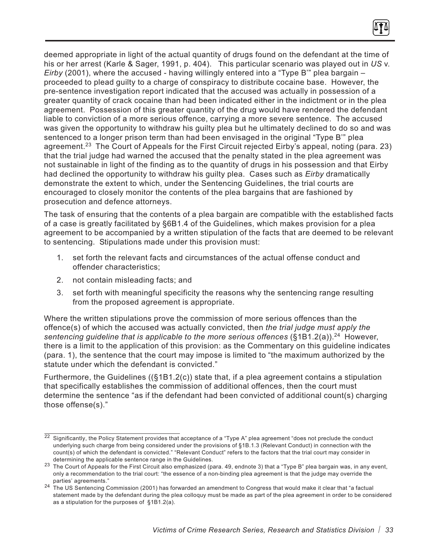deemed appropriate in light of the actual quantity of drugs found on the defendant at the time of his or her arrest (Karle & Sager, 1991, p. 404). This particular scenario was played out in *US* v. *Eirby* (2001), where the accused - having willingly entered into a "Type B'" plea bargain – proceeded to plead guilty to a charge of conspiracy to distribute cocaine base. However, the pre-sentence investigation report indicated that the accused was actually in possession of a greater quantity of crack cocaine than had been indicated either in the indictment or in the plea agreement. Possession of this greater quantity of the drug would have rendered the defendant liable to conviction of a more serious offence, carrying a more severe sentence. The accused was given the opportunity to withdraw his guilty plea but he ultimately declined to do so and was sentenced to a longer prison term than had been envisaged in the original "Type B'" plea agreement.<sup>23</sup> The Court of Appeals for the First Circuit rejected Eirby's appeal, noting (para. 23) that the trial judge had warned the accused that the penalty stated in the plea agreement was not sustainable in light of the finding as to the quantity of drugs in his possession and that Eirby had declined the opportunity to withdraw his guilty plea. Cases such as *Eirby* dramatically demonstrate the extent to which, under the Sentencing Guidelines, the trial courts are encouraged to closely monitor the contents of the plea bargains that are fashioned by prosecution and defence attorneys.

The task of ensuring that the contents of a plea bargain are compatible with the established facts of a case is greatly facilitated by §6B1.4 of the Guidelines, which makes provision for a plea agreement to be accompanied by a written stipulation of the facts that are deemed to be relevant to sentencing. Stipulations made under this provision must:

- 1. set forth the relevant facts and circumstances of the actual offense conduct and offender characteristics;
- 2. not contain misleading facts; and
- 3. set forth with meaningful specificity the reasons why the sentencing range resulting from the proposed agreement is appropriate.

Where the written stipulations prove the commission of more serious offences than the offence(s) of which the accused was actually convicted, then *the trial judge must apply the sentencing guideline that is applicable to the more serious offences* (§1B1.2(a)).24 However, there is a limit to the application of this provision: as the Commentary on this guideline indicates (para. 1), the sentence that the court may impose is limited to "the maximum authorized by the statute under which the defendant is convicted."

Furthermore, the Guidelines ((§1B1.2(c)) state that, if a plea agreement contains a stipulation that specifically establishes the commission of additional offences, then the court must determine the sentence "as if the defendant had been convicted of additional count(s) charging those offense(s)."

 $22$  Significantly, the Policy Statement provides that acceptance of a "Type A" plea agreement "does not preclude the conduct underlying such charge from being considered under the provisions of §1B.1.3 (Relevant Conduct) in connection with the count(s) of which the defendant is convicted." "Relevant Conduct" refers to the factors that the trial court may consider in determining the applicable sentence range in the Guidelines.

<sup>&</sup>lt;sup>23</sup> The Court of Appeals for the First Circuit also emphasized (para. 49, endnote 3) that a "Type B" plea bargain was, in any event, only a recommendation to the trial court: "the essence of a non-binding plea agreement is that the judge may override the parties' agreements."

<sup>24</sup> The US Sentencing Commission (2001) has forwarded an amendment to Congress that would make it clear that "a factual statement made by the defendant during the plea colloquy must be made as part of the plea agreement in order to be considered as a stipulation for the purposes of §1B1.2(a).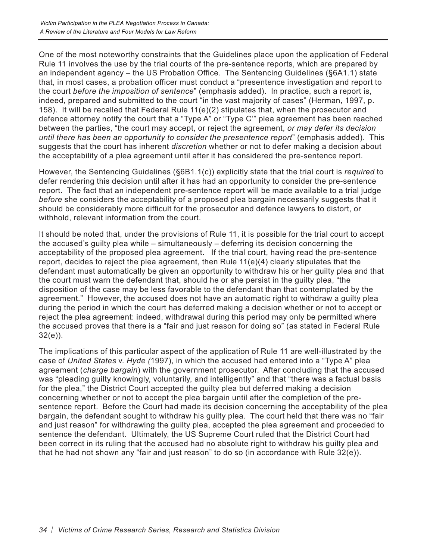One of the most noteworthy constraints that the Guidelines place upon the application of Federal Rule 11 involves the use by the trial courts of the pre-sentence reports, which are prepared by an independent agency – the US Probation Office. The Sentencing Guidelines (§6A1.1) state that, in most cases, a probation officer must conduct a "presentence investigation and report to the court *before the imposition of sentence*" (emphasis added). In practice, such a report is, indeed, prepared and submitted to the court "in the vast majority of cases" (Herman, 1997, p. 158). It will be recalled that Federal Rule 11(e)(2) stipulates that, when the prosecutor and defence attorney notify the court that a "Type A" or "Type C'" plea agreement has been reached between the parties, "the court may accept, or reject the agreement, *or may defer its decision until there has been an opportunity to consider the presentence report*" (emphasis added). This suggests that the court has inherent *discretion* whether or not to defer making a decision about the acceptability of a plea agreement until after it has considered the pre-sentence report.

However, the Sentencing Guidelines (§6B1.1(c)) explicitly state that the trial court is *required* to defer rendering this decision until after it has had an opportunity to consider the pre-sentence report. The fact that an independent pre-sentence report will be made available to a trial judge *before* she considers the acceptability of a proposed plea bargain necessarily suggests that it should be considerably more difficult for the prosecutor and defence lawyers to distort, or withhold, relevant information from the court.

It should be noted that, under the provisions of Rule 11, it is possible for the trial court to accept the accused's guilty plea while – simultaneously – deferring its decision concerning the acceptability of the proposed plea agreement. If the trial court, having read the pre-sentence report, decides to reject the plea agreement, then Rule 11(e)(4) clearly stipulates that the defendant must automatically be given an opportunity to withdraw his or her guilty plea and that the court must warn the defendant that, should he or she persist in the guilty plea, "the disposition of the case may be less favorable to the defendant than that contemplated by the agreement." However, the accused does not have an automatic right to withdraw a guilty plea during the period in which the court has deferred making a decision whether or not to accept or reject the plea agreement: indeed, withdrawal during this period may only be permitted where the accused proves that there is a "fair and just reason for doing so" (as stated in Federal Rule 32(e)).

The implications of this particular aspect of the application of Rule 11 are well-illustrated by the case of *United States* v. *Hyde (*1997), in which the accused had entered into a "Type A" plea agreement (*charge bargain*) with the government prosecutor. After concluding that the accused was "pleading guilty knowingly, voluntarily, and intelligently" and that "there was a factual basis for the plea," the District Court accepted the guilty plea but deferred making a decision concerning whether or not to accept the plea bargain until after the completion of the presentence report. Before the Court had made its decision concerning the acceptability of the plea bargain, the defendant sought to withdraw his guilty plea. The court held that there was no "fair and just reason" for withdrawing the guilty plea, accepted the plea agreement and proceeded to sentence the defendant. Ultimately, the US Supreme Court ruled that the District Court had been correct in its ruling that the accused had no absolute right to withdraw his guilty plea and that he had not shown any "fair and just reason" to do so (in accordance with Rule 32(e)).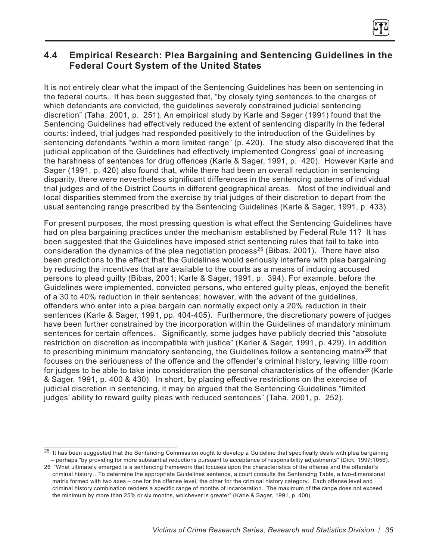### **4.4 Empirical Research: Plea Bargaining and Sentencing Guidelines in the Federal Court System of the United States**

It is not entirely clear what the impact of the Sentencing Guidelines has been on sentencing in the federal courts. It has been suggested that, "by closely tying sentences to the charges of which defendants are convicted, the guidelines severely constrained judicial sentencing discretion" (Taha, 2001, p. 251). An empirical study by Karle and Sager (1991) found that the Sentencing Guidelines had effectively reduced the extent of sentencing disparity in the federal courts: indeed, trial judges had responded positively to the introduction of the Guidelines by sentencing defendants "within a more limited range" (p. 420). The study also discovered that the judicial application of the Guidelines had effectively implemented Congress' goal of increasing the harshness of sentences for drug offences (Karle & Sager, 1991, p. 420). However Karle and Sager (1991, p. 420) also found that, while there had been an overall reduction in sentencing disparity, there were nevertheless significant differences in the sentencing patterns of individual trial judges and of the District Courts in different geographical areas. Most of the individual and local disparities stemmed from the exercise by trial judges of their discretion to depart from the usual sentencing range prescribed by the Sentencing Guidelines (Karle & Sager, 1991, p. 433).

For present purposes, the most pressing question is what effect the Sentencing Guidelines have had on plea bargaining practices under the mechanism established by Federal Rule 11? It has been suggested that the Guidelines have imposed strict sentencing rules that fail to take into consideration the dynamics of the plea negotiation process<sup>25</sup> (Bibas, 2001). There have also been predictions to the effect that the Guidelines would seriously interfere with plea bargaining by reducing the incentives that are available to the courts as a means of inducing accused persons to plead guilty (Bibas, 2001; Karle & Sager, 1991, p. 394). For example, before the Guidelines were implemented, convicted persons, who entered guilty pleas, enjoyed the benefit of a 30 to 40% reduction in their sentences; however, with the advent of the guidelines, offenders who enter into a plea bargain can normally expect only a 20% reduction in their sentences (Karle & Sager, 1991, pp. 404-405). Furthermore, the discretionary powers of judges have been further constrained by the incorporation within the Guidelines of mandatory minimum sentences for certain offences. Significantly, some judges have publicly decried this "absolute restriction on discretion as incompatible with justice" (Karler & Sager, 1991, p. 429). In addition to prescribing minimum mandatory sentencing, the Guidelines follow a sentencing matrix<sup>26</sup> that focuses on the seriousness of the offence and the offender's criminal history, leaving little room for judges to be able to take into consideration the personal characteristics of the offender (Karle & Sager, 1991, p. 400 & 430). In short, by placing effective restrictions on the exercise of judicial discretion in sentencing, it may be argued that the Sentencing Guidelines "limited judges' ability to reward guilty pleas with reduced sentences" (Taha, 2001, p. 252).

 $25$  It has been suggested that the Sentencing Commission ought to develop a Guideline that specifically deals with plea bargaining – perhaps "by providing for more substantial reductions pursuant to acceptance of responsibility adjustments" (Dick, 1997:1056).

<sup>26 &</sup>quot;What ultimately emerged is a sentencing framework that focuses upon the characteristics of the offense and the offender's criminal history…To determine the appropriate Guidelines sentence, a court consults the Sentencing Table, a two-dimensional matrix formed with two axes – one for the offense level, the other for the criminal history category. Each offense level and criminal history combination renders a specific range of months of incarceration. The maximum of the range does not exceed the minimum by more than 25% or six months, whichever is greater" (Karle & Sager, 1991, p. 400).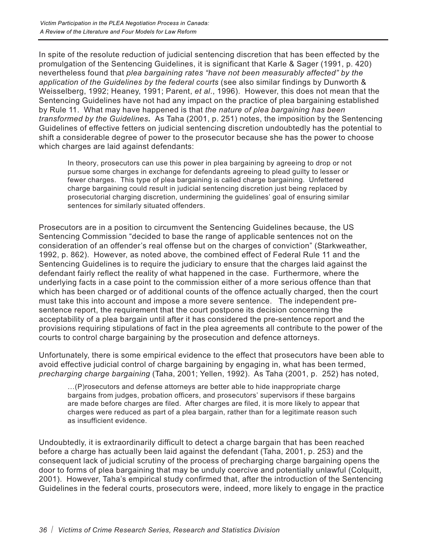In spite of the resolute reduction of judicial sentencing discretion that has been effected by the promulgation of the Sentencing Guidelines, it is significant that Karle & Sager (1991, p. 420) nevertheless found that *plea bargaining rates "have not been measurably affected" by the application of the Guidelines by the federal courts* (see also similar findings by Dunworth & Weisselberg, 1992; Heaney, 1991; Parent, *et al*., 1996). However, this does not mean that the Sentencing Guidelines have not had any impact on the practice of plea bargaining established by Rule 11. What may have happened is that *the nature of plea bargaining has been transformed by the Guidelines.* As Taha (2001, p. 251) notes, the imposition by the Sentencing Guidelines of effective fetters on judicial sentencing discretion undoubtedly has the potential to shift a considerable degree of power to the prosecutor because she has the power to choose which charges are laid against defendants:

In theory, prosecutors can use this power in plea bargaining by agreeing to drop or not pursue some charges in exchange for defendants agreeing to plead guilty to lesser or fewer charges. This type of plea bargaining is called charge bargaining. Unfettered charge bargaining could result in judicial sentencing discretion just being replaced by prosecutorial charging discretion, undermining the guidelines' goal of ensuring similar sentences for similarly situated offenders.

Prosecutors are in a position to circumvent the Sentencing Guidelines because, the US Sentencing Commission "decided to base the range of applicable sentences not on the consideration of an offender's real offense but on the charges of conviction" (Starkweather, 1992, p. 862). However, as noted above, the combined effect of Federal Rule 11 and the Sentencing Guidelines is to require the judiciary to ensure that the charges laid against the defendant fairly reflect the reality of what happened in the case. Furthermore, where the underlying facts in a case point to the commission either of a more serious offence than that which has been charged or of additional counts of the offence actually charged, then the court must take this into account and impose a more severe sentence. The independent presentence report, the requirement that the court postpone its decision concerning the acceptability of a plea bargain until after it has considered the pre-sentence report and the provisions requiring stipulations of fact in the plea agreements all contribute to the power of the courts to control charge bargaining by the prosecution and defence attorneys.

Unfortunately, there is some empirical evidence to the effect that prosecutors have been able to avoid effective judicial control of charge bargaining by engaging in, what has been termed, *precharging charge bargaining* (Taha, 2001; Yellen, 1992). As Taha (2001, p. 252) has noted,

…(P)rosecutors and defense attorneys are better able to hide inappropriate charge bargains from judges, probation officers, and prosecutors' supervisors if these bargains are made before charges are filed. After charges are filed, it is more likely to appear that charges were reduced as part of a plea bargain, rather than for a legitimate reason such as insufficient evidence.

Undoubtedly, it is extraordinarily difficult to detect a charge bargain that has been reached before a charge has actually been laid against the defendant (Taha, 2001, p. 253) and the consequent lack of judicial scrutiny of the process of precharging charge bargaining opens the door to forms of plea bargaining that may be unduly coercive and potentially unlawful (Colquitt, 2001). However, Taha's empirical study confirmed that, after the introduction of the Sentencing Guidelines in the federal courts, prosecutors were, indeed, more likely to engage in the practice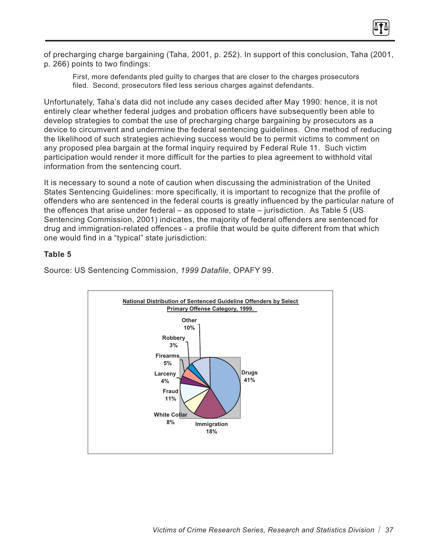of precharging charge bargaining (Taha, 2001, p. 252). In support of this conclusion, Taha (2001, p. 266) points to two findings:

First, more defendants pled guilty to charges that are closer to the charges prosecutors filed. Second, prosecutors filed less serious charges against defendants.

Unfortunately, Taha's data did not include any cases decided after May 1990: hence, it is not entirely clear whether federal judges and probation officers have subsequently been able to develop strategies to combat the use of precharging charge bargaining by prosecutors as a device to circumvent and undermine the federal sentencing guidelines. One method of reducing the likelihood of such strategies achieving success would be to permit victims to comment on any proposed plea bargain at the formal inquiry required by Federal Rule 11. Such victim participation would render it more difficult for the parties to plea agreement to withhold vital information from the sentencing court.

It is necessary to sound a note of caution when discussing the administration of the United States Sentencing Guidelines: more specifically, it is important to recognize that the profile of offenders who are sentenced in the federal courts is greatly influenced by the particular nature of the offences that arise under federal – as opposed to state – jurisdiction. As Table 5 (US Sentencing Commission, 2001) indicates, the majority of federal offenders are sentenced for drug and immigration-related offences - a profile that would be quite different from that which one would find in a "typical" state jurisdiction:

#### **Table 5**



Source: US Sentencing Commission, *1999 Datafile*, OPAFY 99.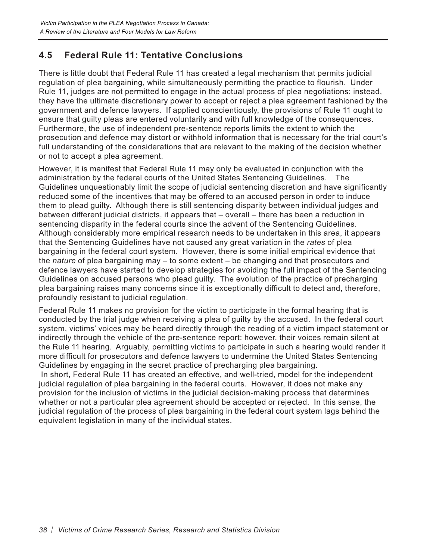# **4.5 Federal Rule 11: Tentative Conclusions**

There is little doubt that Federal Rule 11 has created a legal mechanism that permits judicial regulation of plea bargaining, while simultaneously permitting the practice to flourish. Under Rule 11, judges are not permitted to engage in the actual process of plea negotiations: instead, they have the ultimate discretionary power to accept or reject a plea agreement fashioned by the government and defence lawyers. If applied conscientiously, the provisions of Rule 11 ought to ensure that guilty pleas are entered voluntarily and with full knowledge of the consequences. Furthermore, the use of independent pre-sentence reports limits the extent to which the prosecution and defence may distort or withhold information that is necessary for the trial court's full understanding of the considerations that are relevant to the making of the decision whether or not to accept a plea agreement.

However, it is manifest that Federal Rule 11 may only be evaluated in conjunction with the administration by the federal courts of the United States Sentencing Guidelines. The Guidelines unquestionably limit the scope of judicial sentencing discretion and have significantly reduced some of the incentives that may be offered to an accused person in order to induce them to plead guilty. Although there is still sentencing disparity between individual judges and between different judicial districts, it appears that – overall – there has been a reduction in sentencing disparity in the federal courts since the advent of the Sentencing Guidelines. Although considerably more empirical research needs to be undertaken in this area, it appears that the Sentencing Guidelines have not caused any great variation in the *rates* of plea bargaining in the federal court system. However, there is some initial empirical evidence that the *nature* of plea bargaining may – to some extent – be changing and that prosecutors and defence lawyers have started to develop strategies for avoiding the full impact of the Sentencing Guidelines on accused persons who plead guilty. The evolution of the practice of precharging plea bargaining raises many concerns since it is exceptionally difficult to detect and, therefore, profoundly resistant to judicial regulation.

Federal Rule 11 makes no provision for the victim to participate in the formal hearing that is conducted by the trial judge when receiving a plea of guilty by the accused. In the federal court system, victims' voices may be heard directly through the reading of a victim impact statement or indirectly through the vehicle of the pre-sentence report: however, their voices remain silent at the Rule 11 hearing. Arguably, permitting victims to participate in such a hearing would render it more difficult for prosecutors and defence lawyers to undermine the United States Sentencing Guidelines by engaging in the secret practice of precharging plea bargaining.

In short, Federal Rule 11 has created an effective, and well-tried, model for the independent judicial regulation of plea bargaining in the federal courts. However, it does not make any provision for the inclusion of victims in the judicial decision-making process that determines whether or not a particular plea agreement should be accepted or rejected. In this sense, the judicial regulation of the process of plea bargaining in the federal court system lags behind the equivalent legislation in many of the individual states.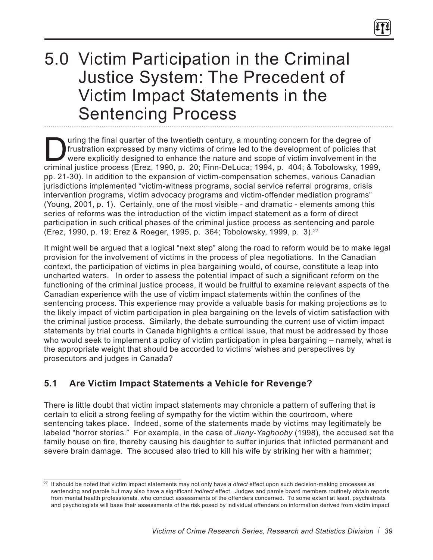# 5.0 Victim Participation in the Criminal Justice System: The Precedent of Victim Impact Statements in the Sentencing Process

uring the final quarter of the twentieth century, a mounting concern for the degree of frustration expressed by many victims of crime led to the development of policies that were explicitly designed to enhance the nature and scope of victim involvement in the criminal justice process (Erez, 1990, p. 20; Finn-DeLuca; 1994, p. 404; & Tobolowsky, 1999, pp. 21-30). In addition to the expansion of victim-compensation schemes, various Canadian jurisdictions implemented "victim-witness programs, social service referral programs, crisis intervention programs, victim advocacy programs and victim-offender mediation programs" (Young, 2001, p. 1). Certainly, one of the most visible - and dramatic - elements among this series of reforms was the introduction of the victim impact statement as a form of direct participation in such critical phases of the criminal justice process as sentencing and parole (Erez, 1990, p. 19; Erez & Roeger, 1995, p. 364; Tobolowsky, 1999, p. 3).27

It might well be argued that a logical "next step" along the road to reform would be to make legal provision for the involvement of victims in the process of plea negotiations. In the Canadian context, the participation of victims in plea bargaining would, of course, constitute a leap into uncharted waters. In order to assess the potential impact of such a significant reform on the functioning of the criminal justice process, it would be fruitful to examine relevant aspects of the Canadian experience with the use of victim impact statements within the confines of the sentencing process. This experience may provide a valuable basis for making projections as to the likely impact of victim participation in plea bargaining on the levels of victim satisfaction with the criminal justice process. Similarly, the debate surrounding the current use of victim impact statements by trial courts in Canada highlights a critical issue, that must be addressed by those who would seek to implement a policy of victim participation in plea bargaining – namely, what is the appropriate weight that should be accorded to victims' wishes and perspectives by prosecutors and judges in Canada?

## **5.1 Are Victim Impact Statements a Vehicle for Revenge?**

There is little doubt that victim impact statements may chronicle a pattern of suffering that is certain to elicit a strong feeling of sympathy for the victim within the courtroom, where sentencing takes place. Indeed, some of the statements made by victims may legitimately be labeled "horror stories." For example, in the case of *Jiany-Yaghooby* (1998), the accused set the family house on fire, thereby causing his daughter to suffer injuries that inflicted permanent and severe brain damage. The accused also tried to kill his wife by striking her with a hammer;

<sup>27</sup> It should be noted that victim impact statements may not only have a *direct* effect upon such decision-making processes as sentencing and parole but may also have a significant *indirect* effect. Judges and parole board members routinely obtain reports from mental health professionals, who conduct assessments of the offenders concerned. To some extent at least, psychiatrists and psychologists will base their assessments of the risk posed by individual offenders on information derived from victim impact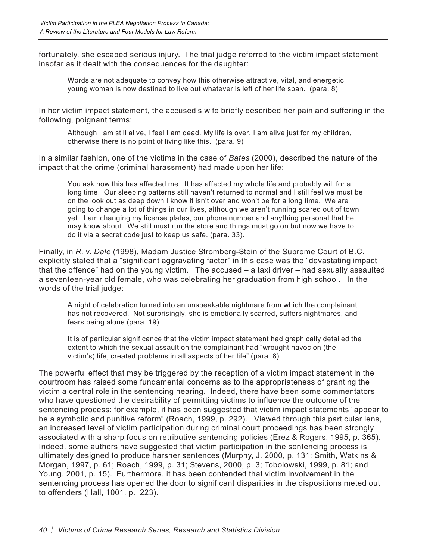fortunately, she escaped serious injury. The trial judge referred to the victim impact statement insofar as it dealt with the consequences for the daughter:

Words are not adequate to convey how this otherwise attractive, vital, and energetic young woman is now destined to live out whatever is left of her life span. (para. 8)

In her victim impact statement, the accused's wife briefly described her pain and suffering in the following, poignant terms:

Although I am still alive, I feel I am dead. My life is over. I am alive just for my children, otherwise there is no point of living like this. (para. 9)

In a similar fashion, one of the victims in the case of *Bates* (2000), described the nature of the impact that the crime (criminal harassment) had made upon her life:

You ask how this has affected me. It has affected my whole life and probably will for a long time. Our sleeping patterns still haven't returned to normal and I still feel we must be on the look out as deep down I know it isn't over and won't be for a long time. We are going to change a lot of things in our lives, although we aren't running scared out of town yet. I am changing my license plates, our phone number and anything personal that he may know about. We still must run the store and things must go on but now we have to do it via a secret code just to keep us safe. (para. 33).

Finally, in *R.* v. *Dale* (1998), Madam Justice Stromberg-Stein of the Supreme Court of B.C. explicitly stated that a "significant aggravating factor" in this case was the "devastating impact that the offence" had on the young victim. The accused – a taxi driver – had sexually assaulted a seventeen-year old female, who was celebrating her graduation from high school. In the words of the trial judge:

A night of celebration turned into an unspeakable nightmare from which the complainant has not recovered. Not surprisingly, she is emotionally scarred, suffers nightmares, and fears being alone (para. 19).

It is of particular significance that the victim impact statement had graphically detailed the extent to which the sexual assault on the complainant had "wrought havoc on (the victim's) life, created problems in all aspects of her life" (para. 8).

The powerful effect that may be triggered by the reception of a victim impact statement in the courtroom has raised some fundamental concerns as to the appropriateness of granting the victim a central role in the sentencing hearing. Indeed, there have been some commentators who have questioned the desirability of permitting victims to influence the outcome of the sentencing process: for example, it has been suggested that victim impact statements "appear to be a symbolic and punitive reform" (Roach, 1999, p. 292). Viewed through this particular lens, an increased level of victim participation during criminal court proceedings has been strongly associated with a sharp focus on retributive sentencing policies (Erez & Rogers, 1995, p. 365). Indeed, some authors have suggested that victim participation in the sentencing process is ultimately designed to produce harsher sentences (Murphy, J. 2000, p. 131; Smith, Watkins & Morgan, 1997, p. 61; Roach, 1999, p. 31; Stevens, 2000, p. 3; Tobolowski, 1999, p. 81; and Young, 2001, p. 15). Furthermore, it has been contended that victim involvement in the sentencing process has opened the door to significant disparities in the dispositions meted out to offenders (Hall, 1001, p. 223).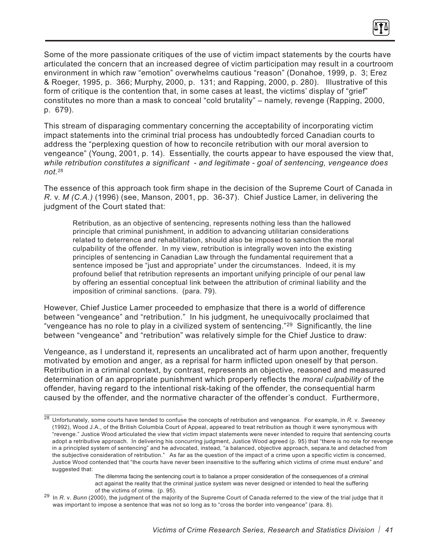Some of the more passionate critiques of the use of victim impact statements by the courts have articulated the concern that an increased degree of victim participation may result in a courtroom environment in which raw "emotion" overwhelms cautious "reason" (Donahoe, 1999, p. 3; Erez & Roeger, 1995, p. 366; Murphy, 2000, p. 131; and Rapping, 2000, p. 280). Illustrative of this form of critique is the contention that, in some cases at least, the victims' display of "grief" constitutes no more than a mask to conceal "cold brutality" – namely, revenge (Rapping, 2000, p. 679).

This stream of disparaging commentary concerning the acceptability of incorporating victim impact statements into the criminal trial process has undoubtedly forced Canadian courts to address the "perplexing question of how to reconcile retribution with our moral aversion to vengeance" (Young, 2001, p. 14). Essentially, the courts appear to have espoused the view that, *while retribution constitutes a significant - and legitimate - goal of sentencing, vengeance does not.*<sup>28</sup>

The essence of this approach took firm shape in the decision of the Supreme Court of Canada in *R.* v. *M (C.A.)* (1996) (see, Manson, 2001, pp. 36-37). Chief Justice Lamer, in delivering the judgment of the Court stated that:

Retribution, as an objective of sentencing, represents nothing less than the hallowed principle that criminal punishment, in addition to advancing utilitarian considerations related to deterrence and rehabilitation, should also be imposed to sanction the moral culpability of the offender. In my view, retribution is integrally woven into the existing principles of sentencing in Canadian Law through the fundamental requirement that a sentence imposed be "just and appropriate" under the circumstances. Indeed, it is my profound belief that retribution represents an important unifying principle of our penal law by offering an essential conceptual link between the attribution of criminal liability and the imposition of criminal sanctions. (para. 79).

However, Chief Justice Lamer proceeded to emphasize that there is a world of difference between "vengeance" and "retribution." In his judgment, he unequivocally proclaimed that "vengeance has no role to play in a civilized system of sentencing."29 Significantly, the line between "vengeance" and "retribution" was relatively simple for the Chief Justice to draw:

Vengeance, as I understand it, represents an uncalibrated act of harm upon another, frequently motivated by emotion and anger, as a reprisal for harm inflicted upon oneself by that person. Retribution in a criminal context, by contrast, represents an objective, reasoned and measured determination of an appropriate punishment which properly reflects the *moral culpability* of the offender, having regard to the intentional risk-taking of the offender, the consequential harm caused by the offender, and the normative character of the offender's conduct. Furthermore,

<sup>28</sup> Unfortunately, some courts have tended to confuse the concepts of retribution and vengeance. For example, in *R.* v. *Sweeney* (1992), Wood J.A., of the British Columbia Court of Appeal, appeared to treat retribution as though it were synonymous with "revenge." Justice Wood articulated the view that victim impact statements were never intended to require that sentencing courts adopt a retributive approach. In delivering his concurring judgment, Justice Wood agreed (p. 95) that "there is no role for revenge in a principled system of sentencing" and he advocated, instead, "a balanced, objective approach, separa.te and detached from the subjective consideration of retribution." As far as the question of the impact of a crime upon a specific victim is concerned, Justice Wood contended that "the courts have never been insensitive to the suffering which victims of crime must endure" and suggested that:

The dilemma facing the sentencing court is to balance a proper consideration of the consequences of a criminal act against the reality that the criminal justice system was never designed or intended to heal the suffering of the victims of crime. (p. 95).

<sup>29</sup> In *R.* v. *Bunn* (2000), the judgment of the majority of the Supreme Court of Canada referred to the view of the trial judge that it was important to impose a sentence that was not so long as to "cross the border into vengeance" (para. 8).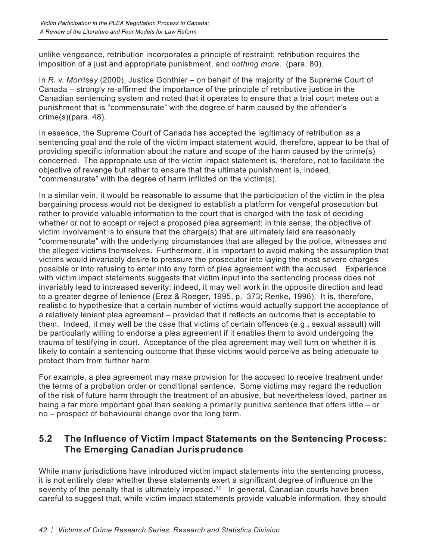unlike vengeance, retribution incorporates a principle of restraint; retribution requires the imposition of a just and appropriate punishment, and *nothing more*. (para. 80).

In *R.* v. *Morrisey* (2000), Justice Gonthier – on behalf of the majority of the Supreme Court of Canada – strongly re-affirmed the importance of the principle of retributive justice in the Canadian sentencing system and noted that it operates to ensure that a trial court metes out a punishment that is "commensurate" with the degree of harm caused by the offender's crime(s)(para. 48).

In essence, the Supreme Court of Canada has accepted the legitimacy of retribution as a sentencing goal and the role of the victim impact statement would, therefore, appear to be that of providing specific information about the nature and scope of the harm caused by the crime(s) concerned. The appropriate use of the victim impact statement is, therefore, not to facilitate the objective of revenge but rather to ensure that the ultimate punishment is, indeed, "commensurate" with the degree of harm inflicted on the victim(s).

In a similar vein, it would be reasonable to assume that the participation of the victim in the plea bargaining process would not be designed to establish a platform for vengeful prosecution but rather to provide valuable information to the court that is charged with the task of deciding whether or not to accept or reject a proposed plea agreement: in this sense, the objective of victim involvement is to ensure that the charge(s) that are ultimately laid are reasonably "commensurate" with the underlying circumstances that are alleged by the police, witnesses and the alleged victims themselves. Furthermore, it is important to avoid making the assumption that victims would invariably desire to pressure the prosecutor into laying the most severe charges possible or into refusing to enter into any form of plea agreement with the accused. Experience with victim impact statements suggests that victim input into the sentencing process does not invariably lead to increased severity: indeed, it may well work in the opposite direction and lead to a greater degree of lenience (Erez & Roeger, 1995, p. 373; Renke, 1996). It is, therefore, realistic to hypothesize that a certain number of victims would actually support the acceptance of a relatively lenient plea agreement – provided that it reflects an outcome that is acceptable to them. Indeed, it may well be the case that victims of certain offences (e.g., sexual assault) will be particularly willing to endorse a plea agreement if it enables them to avoid undergoing the trauma of testifying in court. Acceptance of the plea agreement may well turn on whether it is likely to contain a sentencing outcome that these victims would perceive as being adequate to protect them from further harm.

For example, a plea agreement may make provision for the accused to receive treatment under the terms of a probation order or conditional sentence. Some victims may regard the reduction of the risk of future harm through the treatment of an abusive, but nevertheless loved, partner as being a far more important goal than seeking a primarily punitive sentence that offers little – or no – prospect of behavioural change over the long term.

### **5.2 The Influence of Victim Impact Statements on the Sentencing Process: The Emerging Canadian Jurisprudence**

While many jurisdictions have introduced victim impact statements into the sentencing process, it is not entirely clear whether these statements exert a significant degree of influence on the severity of the penalty that is ultimately imposed.<sup>30</sup> In general, Canadian courts have been careful to suggest that, while victim impact statements provide valuable information, they should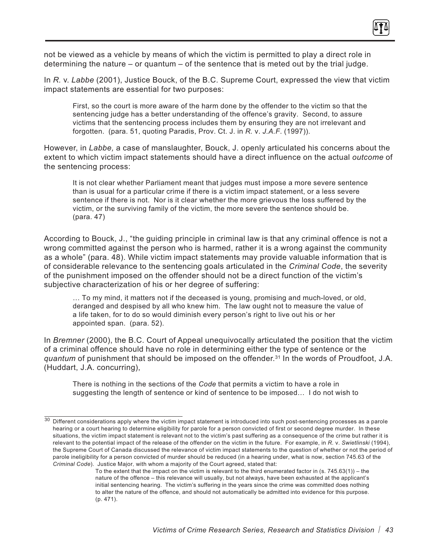not be viewed as a vehicle by means of which the victim is permitted to play a direct role in determining the nature  $-$  or quantum  $-$  of the sentence that is meted out by the trial judge.

In *R.* v. *Labbe* (2001), Justice Bouck, of the B.C. Supreme Court, expressed the view that victim impact statements are essential for two purposes:

First, so the court is more aware of the harm done by the offender to the victim so that the sentencing judge has a better understanding of the offence's gravity. Second, to assure victims that the sentencing process includes them by ensuring they are not irrelevant and forgotten. (para. 51, quoting Paradis, Prov. Ct. J. in *R.* v. *J.A.F*. (1997)).

However, in *Labbe,* a case of manslaughter, Bouck, J. openly articulated his concerns about the extent to which victim impact statements should have a direct influence on the actual *outcome* of the sentencing process:

It is not clear whether Parliament meant that judges must impose a more severe sentence than is usual for a particular crime if there is a victim impact statement, or a less severe sentence if there is not. Nor is it clear whether the more grievous the loss suffered by the victim, or the surviving family of the victim, the more severe the sentence should be. (para. 47)

According to Bouck, J., "the guiding principle in criminal law is that any criminal offence is not a wrong committed against the person who is harmed, rather it is a wrong against the community as a whole" (para. 48). While victim impact statements may provide valuable information that is of considerable relevance to the sentencing goals articulated in the *Criminal Code*, the severity of the punishment imposed on the offender should not be a direct function of the victim's subjective characterization of his or her degree of suffering:

… To my mind, it matters not if the deceased is young, promising and much-loved, or old, deranged and despised by all who knew him. The law ought not to measure the value of a life taken, for to do so would diminish every person's right to live out his or her appointed span. (para. 52).

In *Bremner* (2000), the B.C. Court of Appeal unequivocally articulated the position that the victim of a criminal offence should have no role in determining either the type of sentence or the *quantum* of punishment that should be imposed on the offender.<sup>31</sup> In the words of Proudfoot, J.A. (Huddart, J.A. concurring),

There is nothing in the sections of the *Code* that permits a victim to have a role in suggesting the length of sentence or kind of sentence to be imposed… I do not wish to

 $30$  Different considerations apply where the victim impact statement is introduced into such post-sentencing processes as a parole hearing or a court hearing to determine eligibility for parole for a person convicted of first or second degree murder. In these situations, the victim impact statement is relevant not to the victim's past suffering as a consequence of the crime but rather it is relevant to the potential impact of the release of the offender on the victim in the future. For example, in *R.* v. *Swietlinski* (1994), the Supreme Court of Canada discussed the relevance of victim impact statements to the question of whether or not the period of parole ineligibility for a person convicted of murder should be reduced (in a hearing under, what is now, section 745.63 of the *Criminal Code*). Justice Major, with whom a majority of the Court agreed, stated that:

To the extent that the impact on the victim is relevant to the third enumerated factor in (s. 745.63(1)) – the nature of the offence – this relevance will usually, but not always, have been exhausted at the applicant's initial sentencing hearing. The victim's suffering in the years since the crime was committed does nothing to alter the nature of the offence, and should not automatically be admitted into evidence for this purpose. (p. 471).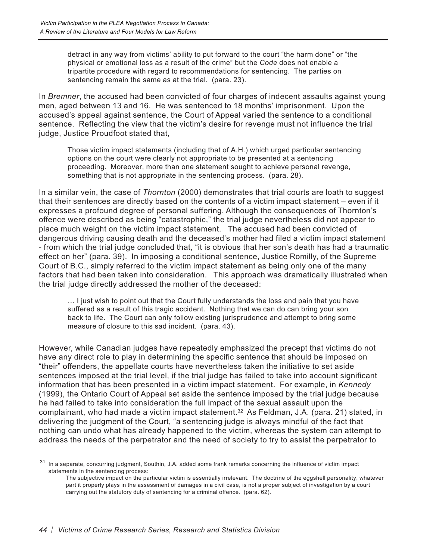detract in any way from victims' ability to put forward to the court "the harm done" or "the physical or emotional loss as a result of the crime" but the *Code* does not enable a tripartite procedure with regard to recommendations for sentencing. The parties on sentencing remain the same as at the trial. (para. 23).

In *Bremner*, the accused had been convicted of four charges of indecent assaults against young men, aged between 13 and 16. He was sentenced to 18 months' imprisonment. Upon the accused's appeal against sentence, the Court of Appeal varied the sentence to a conditional sentence. Reflecting the view that the victim's desire for revenge must not influence the trial judge, Justice Proudfoot stated that,

Those victim impact statements (including that of A.H.) which urged particular sentencing options on the court were clearly not appropriate to be presented at a sentencing proceeding. Moreover, more than one statement sought to achieve personal revenge, something that is not appropriate in the sentencing process. (para. 28).

In a similar vein, the case of *Thornton* (2000) demonstrates that trial courts are loath to suggest that their sentences are directly based on the contents of a victim impact statement – even if it expresses a profound degree of personal suffering. Although the consequences of Thornton's offence were described as being "catastrophic," the trial judge nevertheless did not appear to place much weight on the victim impact statement. The accused had been convicted of dangerous driving causing death and the deceased's mother had filed a victim impact statement - from which the trial judge concluded that, "it is obvious that her son's death has had a traumatic effect on her" (para. 39). In imposing a conditional sentence, Justice Romilly, of the Supreme Court of B.C., simply referred to the victim impact statement as being only one of the many factors that had been taken into consideration. This approach was dramatically illustrated when the trial judge directly addressed the mother of the deceased:

… I just wish to point out that the Court fully understands the loss and pain that you have suffered as a result of this tragic accident. Nothing that we can do can bring your son back to life. The Court can only follow existing jurisprudence and attempt to bring some measure of closure to this sad incident. (para. 43).

However, while Canadian judges have repeatedly emphasized the precept that victims do not have any direct role to play in determining the specific sentence that should be imposed on "their" offenders, the appellate courts have nevertheless taken the initiative to set aside sentences imposed at the trial level, if the trial judge has failed to take into account significant information that has been presented in a victim impact statement. For example, in *Kennedy* (1999), the Ontario Court of Appeal set aside the sentence imposed by the trial judge because he had failed to take into consideration the full impact of the sexual assault upon the complainant, who had made a victim impact statement.<sup>32</sup> As Feldman, J.A. (para. 21) stated, in delivering the judgment of the Court, "a sentencing judge is always mindful of the fact that nothing can undo what has already happened to the victim, whereas the system can attempt to address the needs of the perpetrator and the need of society to try to assist the perpetrator to

 $31$  In a separate, concurring judgment, Southin, J.A. added some frank remarks concerning the influence of victim impact statements in the sentencing process:

The subjective impact on the particular victim is essentially irrelevant. The doctrine of the eggshell personality, whatever part it properly plays in the assessment of damages in a civil case, is not a proper subject of investigation by a court carrying out the statutory duty of sentencing for a criminal offence. (para. 62).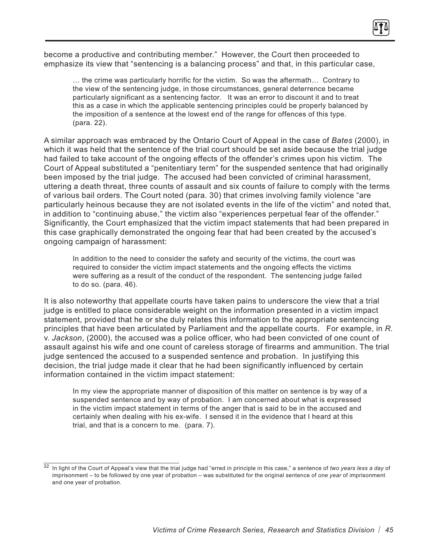become a productive and contributing member." However, the Court then proceeded to emphasize its view that "sentencing is a balancing process" and that, in this particular case,

… the crime was particularly horrific for the victim. So was the aftermath… Contrary to the view of the sentencing judge, in those circumstances, general deterrence became particularly significant as a sentencing factor. It was an error to discount it and to treat this as a case in which the applicable sentencing principles could be properly balanced by the imposition of a sentence at the lowest end of the range for offences of this type. (para. 22).

A similar approach was embraced by the Ontario Court of Appeal in the case of *Bates* (2000), in which it was held that the sentence of the trial court should be set aside because the trial judge had failed to take account of the ongoing effects of the offender's crimes upon his victim. The Court of Appeal substituted a "penitentiary term" for the suspended sentence that had originally been imposed by the trial judge. The accused had been convicted of criminal harassment, uttering a death threat, three counts of assault and six counts of failure to comply with the terms of various bail orders. The Court noted (para. 30) that crimes involving family violence "are particularly heinous because they are not isolated events in the life of the victim" and noted that, in addition to "continuing abuse," the victim also "experiences perpetual fear of the offender." Significantly, the Court emphasized that the victim impact statements that had been prepared in this case graphically demonstrated the ongoing fear that had been created by the accused's ongoing campaign of harassment:

In addition to the need to consider the safety and security of the victims, the court was required to consider the victim impact statements and the ongoing effects the victims were suffering as a result of the conduct of the respondent. The sentencing judge failed to do so. (para. 46).

It is also noteworthy that appellate courts have taken pains to underscore the view that a trial judge is entitled to place considerable weight on the information presented in a victim impact statement, provided that he or she duly relates this information to the appropriate sentencing principles that have been articulated by Parliament and the appellate courts. For example, in *R.* v. *Jackson*, (2000), the accused was a police officer, who had been convicted of one count of assault against his wife and one count of careless storage of firearms and ammunition. The trial judge sentenced the accused to a suspended sentence and probation. In justifying this decision, the trial judge made it clear that he had been significantly influenced by certain information contained in the victim impact statement:

In my view the appropriate manner of disposition of this matter on sentence is by way of a suspended sentence and by way of probation. I am concerned about what is expressed in the victim impact statement in terms of the anger that is said to be in the accused and certainly when dealing with his ex-wife. I sensed it in the evidence that I heard at this trial, and that is a concern to me. (para. 7).

<sup>32</sup> In light of the Court of Appeal's view that the trial judge had "erred in principle in this case," a sentence of *two years less a day* of imprisonment – to be followed by one year of probation – was substituted for the original sentence of *one year* of imprisonment and one year of probation.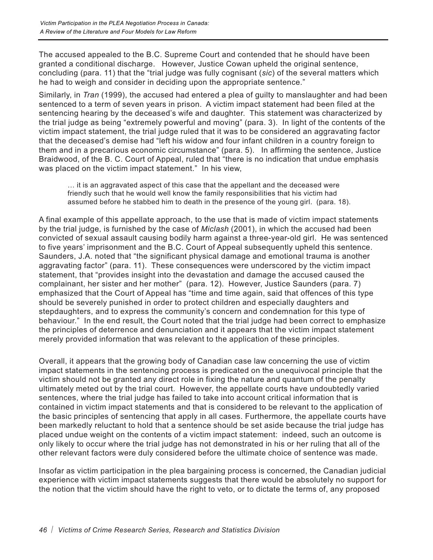The accused appealed to the B.C. Supreme Court and contended that he should have been granted a conditional discharge. However, Justice Cowan upheld the original sentence, concluding (para. 11) that the "trial judge was fully cognisant (*sic*) of the several matters which he had to weigh and consider in deciding upon the appropriate sentence."

Similarly, in *Tran* (1999), the accused had entered a plea of guilty to manslaughter and had been sentenced to a term of seven years in prison. A victim impact statement had been filed at the sentencing hearing by the deceased's wife and daughter. This statement was characterized by the trial judge as being "extremely powerful and moving" (para. 3). In light of the contents of the victim impact statement, the trial judge ruled that it was to be considered an aggravating factor that the deceased's demise had "left his widow and four infant children in a country foreign to them and in a precarious economic circumstance" (para. 5). In affirming the sentence, Justice Braidwood, of the B. C. Court of Appeal, ruled that "there is no indication that undue emphasis was placed on the victim impact statement." In his view,

… it is an aggravated aspect of this case that the appellant and the deceased were friendly such that he would well know the family responsibilities that his victim had assumed before he stabbed him to death in the presence of the young girl. (para. 18).

A final example of this appellate approach, to the use that is made of victim impact statements by the trial judge, is furnished by the case of *Miclash* (2001), in which the accused had been convicted of sexual assault causing bodily harm against a three-year-old girl. He was sentenced to five years' imprisonment and the B.C. Court of Appeal subsequently upheld this sentence. Saunders, J.A. noted that "the significant physical damage and emotional trauma is another aggravating factor" (para. 11). These consequences were underscored by the victim impact statement, that "provides insight into the devastation and damage the accused caused the complainant, her sister and her mother" (para. 12). However, Justice Saunders (para. 7) emphasized that the Court of Appeal has "time and time again, said that offences of this type should be severely punished in order to protect children and especially daughters and stepdaughters, and to express the community's concern and condemnation for this type of behaviour." In the end result, the Court noted that the trial judge had been correct to emphasize the principles of deterrence and denunciation and it appears that the victim impact statement merely provided information that was relevant to the application of these principles.

Overall, it appears that the growing body of Canadian case law concerning the use of victim impact statements in the sentencing process is predicated on the unequivocal principle that the victim should not be granted any direct role in fixing the nature and quantum of the penalty ultimately meted out by the trial court. However, the appellate courts have undoubtedly varied sentences, where the trial judge has failed to take into account critical information that is contained in victim impact statements and that is considered to be relevant to the application of the basic principles of sentencing that apply in all cases. Furthermore, the appellate courts have been markedly reluctant to hold that a sentence should be set aside because the trial judge has placed undue weight on the contents of a victim impact statement: indeed, such an outcome is only likely to occur where the trial judge has not demonstrated in his or her ruling that all of the other relevant factors were duly considered before the ultimate choice of sentence was made.

Insofar as victim participation in the plea bargaining process is concerned, the Canadian judicial experience with victim impact statements suggests that there would be absolutely no support for the notion that the victim should have the right to veto, or to dictate the terms of, any proposed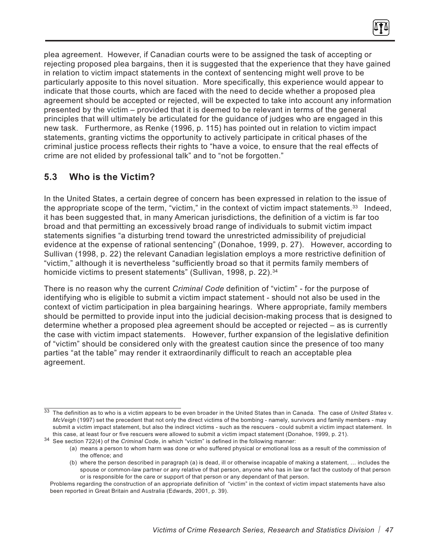plea agreement. However, if Canadian courts were to be assigned the task of accepting or rejecting proposed plea bargains, then it is suggested that the experience that they have gained in relation to victim impact statements in the context of sentencing might well prove to be particularly apposite to this novel situation. More specifically, this experience would appear to indicate that those courts, which are faced with the need to decide whether a proposed plea agreement should be accepted or rejected, will be expected to take into account any information presented by the victim – provided that it is deemed to be relevant in terms of the general principles that will ultimately be articulated for the guidance of judges who are engaged in this new task. Furthermore, as Renke (1996, p. 115) has pointed out in relation to victim impact statements, granting victims the opportunity to actively participate in critical phases of the criminal justice process reflects their rights to "have a voice, to ensure that the real effects of crime are not elided by professional talk" and to "not be forgotten."

## **5.3 Who is the Victim?**

In the United States, a certain degree of concern has been expressed in relation to the issue of the appropriate scope of the term, "victim," in the context of victim impact statements.33 Indeed, it has been suggested that, in many American jurisdictions, the definition of a victim is far too broad and that permitting an excessively broad range of individuals to submit victim impact statements signifies "a disturbing trend toward the unrestricted admissibility of prejudicial evidence at the expense of rational sentencing" (Donahoe, 1999, p. 27). However, according to Sullivan (1998, p. 22) the relevant Canadian legislation employs a more restrictive definition of "victim," although it is nevertheless "sufficiently broad so that it permits family members of homicide victims to present statements" (Sullivan, 1998, p. 22).<sup>34</sup>

There is no reason why the current *Criminal Code* definition of "victim" - for the purpose of identifying who is eligible to submit a victim impact statement - should not also be used in the context of victim participation in plea bargaining hearings. Where appropriate, family members should be permitted to provide input into the judicial decision-making process that is designed to determine whether a proposed plea agreement should be accepted or rejected – as is currently the case with victim impact statements. However, further expansion of the legislative definition of "victim" should be considered only with the greatest caution since the presence of too many parties "at the table" may render it extraordinarily difficult to reach an acceptable plea agreement.

<sup>33</sup> The definition as to who is a victim appears to be even broader in the United States than in Canada. The case of *United States* v. *McVeigh* (1997) set the precedent that not only the direct victims of the bombing - namely, survivors and family members - may submit a victim impact statement, but also the indirect victims - such as the rescuers - could submit a victim impact statement. In this case, at least four or five rescuers were allowed to submit a victim impact statement (Donahoe, 1999, p. 21).

<sup>34</sup> See section 722(4) of the *Criminal Code*, in which "victim" is defined in the following manner:

<sup>(</sup>a) means a person to whom harm was done or who suffered physical or emotional loss as a result of the commission of the offence; and

<sup>(</sup>b) where the person described in paragraph (a) is dead, ill or otherwise incapable of making a statement, … includes the spouse or common-law partner or any relative of that person, anyone who has in law or fact the custody of that person or is responsible for the care or support of that person or any dependant of that person.

Problems regarding the construction of an appropriate definition of "victim" in the context of victim impact statements have also been reported in Great Britain and Australia (Edwards, 2001, p. 39).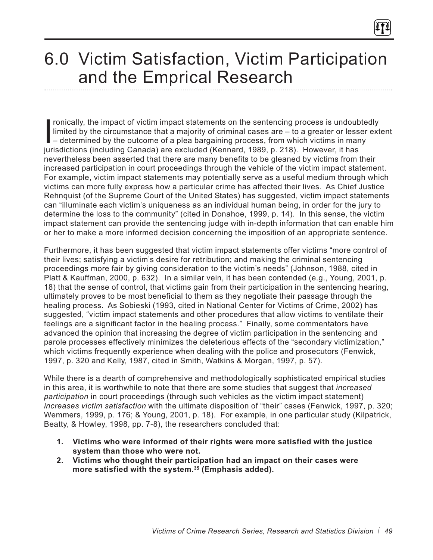# 6.0 Victim Satisfaction, Victim Participation and the Emprical Research

|<br>|<br>| ronically, the impact of victim impact statements on the sentencing process is undoubtedly limited by the circumstance that a majority of criminal cases are – to a greater or lesser extent – determined by the outcome of a plea bargaining process, from which victims in many jurisdictions (including Canada) are excluded (Kennard, 1989, p. 218). However, it has nevertheless been asserted that there are many benefits to be gleaned by victims from their increased participation in court proceedings through the vehicle of the victim impact statement. For example, victim impact statements may potentially serve as a useful medium through which victims can more fully express how a particular crime has affected their lives. As Chief Justice Rehnquist (of the Supreme Court of the United States) has suggested, victim impact statements can "illuminate each victim's uniqueness as an individual human being, in order for the jury to determine the loss to the community" (cited in Donahoe, 1999, p. 14). In this sense, the victim impact statement can provide the sentencing judge with in-depth information that can enable him or her to make a more informed decision concerning the imposition of an appropriate sentence.

Furthermore, it has been suggested that victim impact statements offer victims "more control of their lives; satisfying a victim's desire for retribution; and making the criminal sentencing proceedings more fair by giving consideration to the victim's needs" (Johnson, 1988, cited in Platt & Kauffman, 2000, p. 632). In a similar vein, it has been contended (e.g., Young, 2001, p. 18) that the sense of control, that victims gain from their participation in the sentencing hearing, ultimately proves to be most beneficial to them as they negotiate their passage through the healing process. As Sobieski (1993, cited in National Center for Victims of Crime, 2002) has suggested, "victim impact statements and other procedures that allow victims to ventilate their feelings are a significant factor in the healing process." Finally, some commentators have advanced the opinion that increasing the degree of victim participation in the sentencing and parole processes effectively minimizes the deleterious effects of the "secondary victimization," which victims frequently experience when dealing with the police and prosecutors (Fenwick, 1997, p. 320 and Kelly, 1987, cited in Smith, Watkins & Morgan, 1997, p. 57).

While there is a dearth of comprehensive and methodologically sophisticated empirical studies in this area, it is worthwhile to note that there are some studies that suggest that *increased participation* in court proceedings (through such vehicles as the victim impact statement) *increases victim satisfaction* with the ultimate disposition of "their" cases (Fenwick, 1997, p. 320; Wemmers, 1999, p. 176; & Young, 2001, p. 18). For example, in one particular study (Kilpatrick, Beatty, & Howley, 1998, pp. 7-8), the researchers concluded that:

- **1. Victims who were informed of their rights were more satisfied with the justice system than those who were not.**
- **2. Victims who thought their participation had an impact on their cases were more satisfied with the system.35 (Emphasis added).**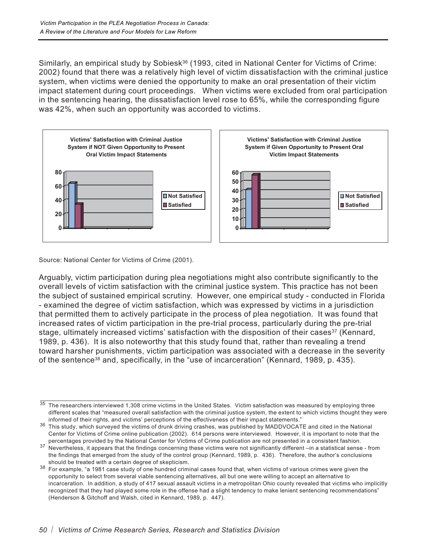Similarly, an empirical study by Sobiesk<sup>36</sup> (1993, cited in National Center for Victims of Crime: 2002) found that there was a relatively high level of victim dissatisfaction with the criminal justice system, when victims were denied the opportunity to make an oral presentation of their victim impact statement during court proceedings. When victims were excluded from oral participation in the sentencing hearing, the dissatisfaction level rose to 65%, while the corresponding figure was 42%, when such an opportunity was accorded to victims.



Source: National Center for Victims of Crime (2001).

Arguably, victim participation during plea negotiations might also contribute significantly to the overall levels of victim satisfaction with the criminal justice system. This practice has not been the subject of sustained empirical scrutiny. However, one empirical study - conducted in Florida - examined the degree of victim satisfaction, which was expressed by victims in a jurisdiction that permitted them to actively participate in the process of plea negotiation. It was found that increased rates of victim participation in the pre-trial process, particularly during the pre-trial stage, ultimately increased victims' satisfaction with the disposition of their cases<sup>37</sup> (Kennard, 1989, p. 436). It is also noteworthy that this study found that, rather than revealing a trend toward harsher punishments, victim participation was associated with a decrease in the severity of the sentence38 and, specifically, in the "use of incarceration" (Kennard, 1989, p. 435).

 $35$  The researchers interviewed 1,308 crime victims in the United States. Victim satisfaction was measured by employing three different scales that "measured overall satisfaction with the criminal justice system, the extent to which victims thought they were informed of their rights, and victims' perceptions of the effectiveness of their impact statements."

 $36$  This study, which surveyed the victims of drunk driving crashes, was published by MADDVOCATE and cited in the National Center for Victims of Crime online publication (2002). 614 persons were interviewed. However, it is important to note that the percentages provided by the National Center for Victims of Crime publication are not presented in a consistent fashion.

<sup>37</sup> Nevertheless, it appears that the findings concerning these victims were not significantly different –in a statistical sense - from the findings that emerged from the study of the control group (Kennard, 1989, p. 436). Therefore, the author's conclusions should be treated with a certain degree of skepticism.

<sup>38</sup> For example, "a 1981 case study of one hundred criminal cases found that, when victims of various crimes were given the opportunity to select from several viable sentencing alternatives, all but one were willing to accept an alternative to incarceration. In addition, a study of 417 sexual assault victims in a metropolitan Ohio county revealed that victims who implicitly recognized that they had played some role in the offense had a slight tendency to make lenient sentencing recommendations" (Henderson & Gitchoff and Walsh, cited in Kennard, 1989, p. 447).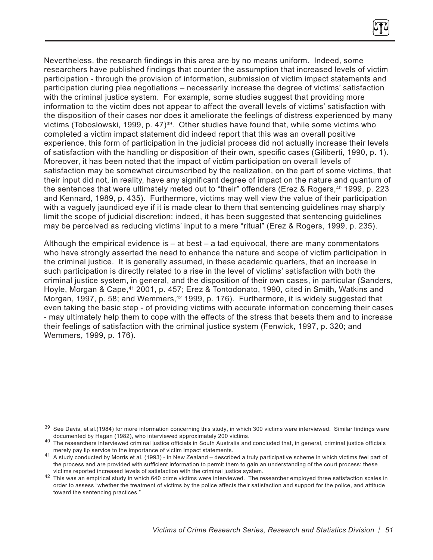Nevertheless, the research findings in this area are by no means uniform. Indeed, some researchers have published findings that counter the assumption that increased levels of victim participation - through the provision of information, submission of victim impact statements and participation during plea negotiations – necessarily increase the degree of victims' satisfaction with the criminal justice system. For example, some studies suggest that providing more information to the victim does not appear to affect the overall levels of victims' satisfaction with the disposition of their cases nor does it ameliorate the feelings of distress experienced by many victims (Toboslowski, 1999, p. 47)<sup>39</sup>. Other studies have found that, while some victims who completed a victim impact statement did indeed report that this was an overall positive experience, this form of participation in the judicial process did not actually increase their levels of satisfaction with the handling or disposition of their own, specific cases (Giliberti, 1990, p. 1). Moreover, it has been noted that the impact of victim participation on overall levels of

satisfaction may be somewhat circumscribed by the realization, on the part of some victims, that their input did not, in reality, have any significant degree of impact on the nature and quantum of the sentences that were ultimately meted out to "their" offenders (Erez & Rogers,<sup>40</sup> 1999, p. 223 and Kennard, 1989, p. 435). Furthermore, victims may well view the value of their participation with a vaguely jaundiced eye if it is made clear to them that sentencing guidelines may sharply limit the scope of judicial discretion: indeed, it has been suggested that sentencing guidelines may be perceived as reducing victims' input to a mere "ritual" (Erez & Rogers, 1999, p. 235).

Although the empirical evidence is – at best – a tad equivocal, there are many commentators who have strongly asserted the need to enhance the nature and scope of victim participation in the criminal justice. It is generally assumed, in these academic quarters, that an increase in such participation is directly related to a rise in the level of victims' satisfaction with both the criminal justice system, in general, and the disposition of their own cases, in particular (Sanders, Hoyle, Morgan & Cape,41 2001, p. 457; Erez & Tontodonato, 1990, cited in Smith, Watkins and Morgan, 1997, p. 58; and Wemmers,<sup>42</sup> 1999, p. 176). Furthermore, it is widely suggested that even taking the basic step - of providing victims with accurate information concerning their cases - may ultimately help them to cope with the effects of the stress that besets them and to increase their feelings of satisfaction with the criminal justice system (Fenwick, 1997, p. 320; and Wemmers, 1999, p. 176).

 $39$  See Davis, et al.(1984) for more information concerning this study, in which 300 victims were interviewed. Similar findings were documented by Hagan (1982), who interviewed approximately 200 victims.

<sup>40</sup> The researchers interviewed criminal justice officials in South Australia and concluded that, in general, criminal justice officials merely pay lip service to the importance of victim impact statements.

<sup>41</sup> A study conducted by Morris et al. (1993) - in New Zealand – described a truly participative scheme in which victims feel part of the process and are provided with sufficient information to permit them to gain an understanding of the court process: these victims reported increased levels of satisfaction with the criminal justice system.

 $42$  This was an empirical study in which 640 crime victims were interviewed. The researcher employed three satisfaction scales in order to assess "whether the treatment of victims by the police affects their satisfaction and support for the police, and attitude toward the sentencing practices."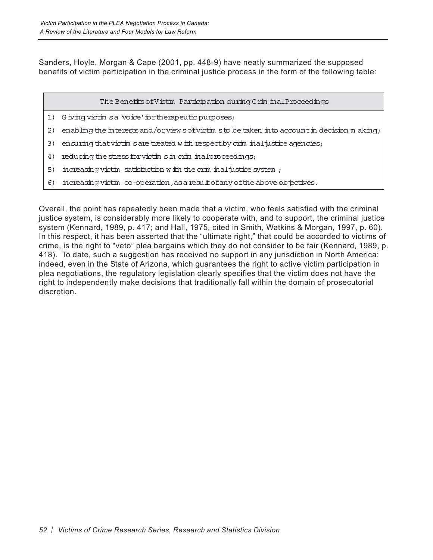Sanders, Hoyle, Morgan & Cape (2001, pp. 448-9) have neatly summarized the supposed benefits of victim participation in the criminal justice process in the form of the following table:

#### The Benefits ofVictim Participation during Crim inalProceedings

- 1) G iving victim s a 'voice' for the rapeutic purposes;
- 2) enabling the interests and/or view s of victim s to be taken into account in decision m aking;
- 3) ensuring that victim s are treated w ith respectby crim inal justice agencies;
- 4) reducing the stress for victim s in crim inalproceedings;
- 5) increasing victim satisfaction w ith the crim inal justice system;
- 6) increasing victim co-operation, as a result of any of the above objectives.

Overall, the point has repeatedly been made that a victim, who feels satisfied with the criminal justice system, is considerably more likely to cooperate with, and to support, the criminal justice system (Kennard, 1989, p. 417; and Hall, 1975, cited in Smith, Watkins & Morgan, 1997, p. 60). In this respect, it has been asserted that the "ultimate right," that could be accorded to victims of crime, is the right to "veto" plea bargains which they do not consider to be fair (Kennard, 1989, p. 418). To date, such a suggestion has received no support in any jurisdiction in North America: indeed, even in the State of Arizona, which guarantees the right to active victim participation in plea negotiations, the regulatory legislation clearly specifies that the victim does not have the right to independently make decisions that traditionally fall within the domain of prosecutorial discretion.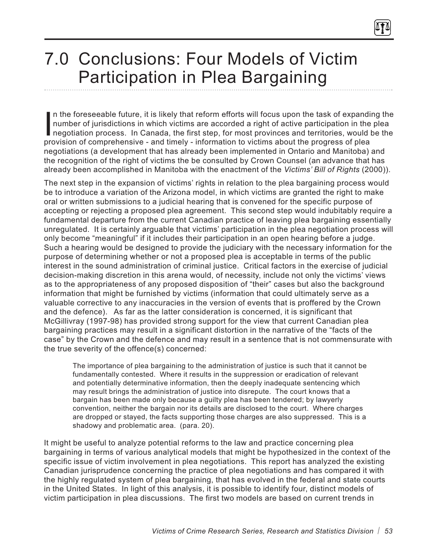# 7.0 Conclusions: Four Models of Victim Participation in Plea Bargaining

 $\overline{\phantom{a}}$ n the foreseeable future, it is likely that reform efforts will focus upon the task of expanding the number of jurisdictions in which victims are accorded a right of active participation in the plea negotiation process. In Canada, the first step, for most provinces and territories, would be the provision of comprehensive - and timely - information to victims about the progress of plea negotiations (a development that has already been implemented in Ontario and Manitoba) and the recognition of the right of victims the be consulted by Crown Counsel (an advance that has already been accomplished in Manitoba with the enactment of the *Victims' Bill of Rights* (2000)).

The next step in the expansion of victims' rights in relation to the plea bargaining process would be to introduce a variation of the Arizona model, in which victims are granted the right to make oral or written submissions to a judicial hearing that is convened for the specific purpose of accepting or rejecting a proposed plea agreement. This second step would indubitably require a fundamental departure from the current Canadian practice of leaving plea bargaining essentially unregulated. It is certainly arguable that victims' participation in the plea negotiation process will only become "meaningful" if it includes their participation in an open hearing before a judge. Such a hearing would be designed to provide the judiciary with the necessary information for the purpose of determining whether or not a proposed plea is acceptable in terms of the public interest in the sound administration of criminal justice. Critical factors in the exercise of judicial decision-making discretion in this arena would, of necessity, include not only the victims' views as to the appropriateness of any proposed disposition of "their" cases but also the background information that might be furnished by victims (information that could ultimately serve as a valuable corrective to any inaccuracies in the version of events that is proffered by the Crown and the defence). As far as the latter consideration is concerned, it is significant that McGillivray (1997-98) has provided strong support for the view that current Canadian plea bargaining practices may result in a significant distortion in the narrative of the "facts of the case" by the Crown and the defence and may result in a sentence that is not commensurate with the true severity of the offence(s) concerned:

The importance of plea bargaining to the administration of justice is such that it cannot be fundamentally contested. Where it results in the suppression or eradication of relevant and potentially determinative information, then the deeply inadequate sentencing which may result brings the administration of justice into disrepute. The court knows that a bargain has been made only because a guilty plea has been tendered; by lawyerly convention, neither the bargain nor its details are disclosed to the court. Where charges are dropped or stayed, the facts supporting those charges are also suppressed. This is a shadowy and problematic area. (para. 20).

It might be useful to analyze potential reforms to the law and practice concerning plea bargaining in terms of various analytical models that might be hypothesized in the context of the specific issue of victim involvement in plea negotiations. This report has analyzed the existing Canadian jurisprudence concerning the practice of plea negotiations and has compared it with the highly regulated system of plea bargaining, that has evolved in the federal and state courts in the United States. In light of this analysis, it is possible to identify four, distinct models of victim participation in plea discussions. The first two models are based on current trends in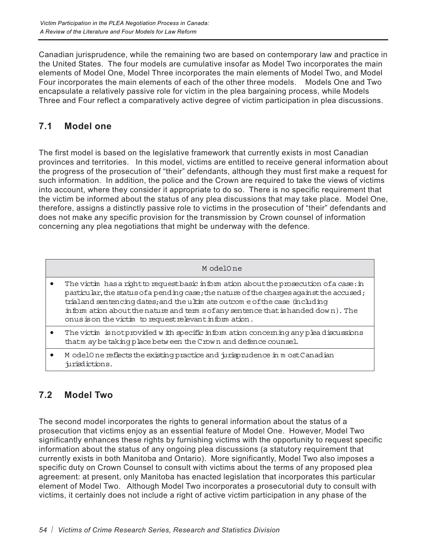Canadian jurisprudence, while the remaining two are based on contemporary law and practice in the United States. The four models are cumulative insofar as Model Two incorporates the main elements of Model One, Model Three incorporates the main elements of Model Two, and Model Four incorporates the main elements of each of the other three models. Models One and Two encapsulate a relatively passive role for victim in the plea bargaining process, while Models Three and Four reflect a comparatively active degree of victim participation in plea discussions.

## **7.1 Model one**

The first model is based on the legislative framework that currently exists in most Canadian provinces and territories. In this model, victims are entitled to receive general information about the progress of the prosecution of "their" defendants, although they must first make a request for such information. In addition, the police and the Crown are required to take the views of victims into account, where they consider it appropriate to do so. There is no specific requirement that the victim be informed about the status of any plea discussions that may take place. Model One, therefore, assigns a distinctly passive role to victims in the prosecution of "their" defendants and does not make any specific provision for the transmission by Crown counsel of information concerning any plea negotiations that might be underway with the defence.

| M odel0ne                                                                                                                                                                                                                                                                                                                                                                                                              |
|------------------------------------------------------------------------------------------------------------------------------------------------------------------------------------------------------------------------------------------------------------------------------------------------------------------------------------------------------------------------------------------------------------------------|
| The victim has a right to request basic in form ation about the prosecution of a case: in<br>particular, the status of a pending case; the nature of the charges against the accused;<br>trialand sentencing dates; and the ultim ate outcome of the case (including<br>in form ation about the nature and term sof any sentence that is handed down). The<br>onus is on the victim to request relevant in form ation. |
| The victim is not provided with specific in form ation concerning any plead iscussions<br>thatm ay be taking place between the Crown and defence counsel.                                                                                                                                                                                                                                                              |
| M odelOne reflects the existing practice and jurisprudence in m ost Canadian<br>jurisdictions.                                                                                                                                                                                                                                                                                                                         |

### **7.2 Model Two**

The second model incorporates the rights to general information about the status of a prosecution that victims enjoy as an essential feature of Model One. However, Model Two significantly enhances these rights by furnishing victims with the opportunity to request specific information about the status of any ongoing plea discussions (a statutory requirement that currently exists in both Manitoba and Ontario). More significantly, Model Two also imposes a specific duty on Crown Counsel to consult with victims about the terms of any proposed plea agreement: at present, only Manitoba has enacted legislation that incorporates this particular element of Model Two. Although Model Two incorporates a prosecutorial duty to consult with victims, it certainly does not include a right of active victim participation in any phase of the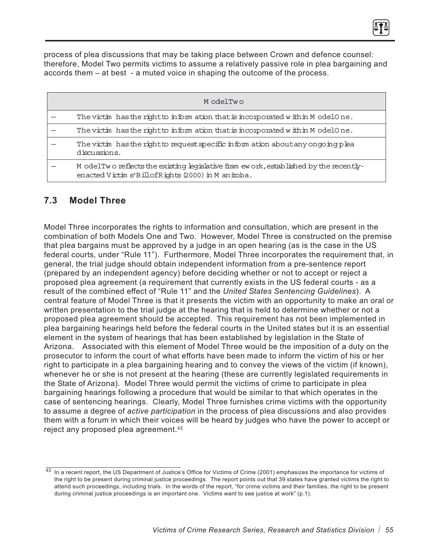process of plea discussions that may be taking place between Crown and defence counsel: therefore, Model Two permits victims to assume a relatively passive role in plea bargaining and accords them – at best - a muted voice in shaping the outcome of the process.

| M odelTwo                                                                                                                                  |
|--------------------------------------------------------------------------------------------------------------------------------------------|
| The victim has the right to inform ation that is incorporated within ModelOne.                                                             |
| The victim has the right to inform ation that is incorporated within ModelOne.                                                             |
| The victim has the right to request specific in form ation about any ongoing plea<br>discussions.                                          |
| M odelTwo reflects the existing legislative fram ework, established by the recently-<br>enacted Victim s'BillofRights (2000) in M anitoba. |

### **7.3 Model Three**

Model Three incorporates the rights to information and consultation, which are present in the combination of both Models One and Two. However, Model Three is constructed on the premise that plea bargains must be approved by a judge in an open hearing (as is the case in the US federal courts, under "Rule 11"). Furthermore, Model Three incorporates the requirement that, in general, the trial judge should obtain independent information from a pre-sentence report (prepared by an independent agency) before deciding whether or not to accept or reject a proposed plea agreement (a requirement that currently exists in the US federal courts - as a result of the combined effect of "Rule 11" and the *United States Sentencing Guidelines*). A central feature of Model Three is that it presents the victim with an opportunity to make an oral or written presentation to the trial judge at the hearing that is held to determine whether or not a proposed plea agreement should be accepted. This requirement has not been implemented in plea bargaining hearings held before the federal courts in the United states but it is an essential element in the system of hearings that has been established by legislation in the State of Arizona. Associated with this element of Model Three would be the imposition of a duty on the prosecutor to inform the court of what efforts have been made to inform the victim of his or her right to participate in a plea bargaining hearing and to convey the views of the victim (if known), whenever he or she is not present at the hearing (these are currently legislated requirements in the State of Arizona). Model Three would permit the victims of crime to participate in plea bargaining hearings following a procedure that would be similar to that which operates in the case of sentencing hearings. Clearly, Model Three furnishes crime victims with the opportunity to assume a degree of *active participation* in the process of plea discussions and also provides them with a forum in which their voices will be heard by judges who have the power to accept or reject any proposed plea agreement.43

In a recent report, the US Department of Justice's Office for Victims of Crime (2001) emphasizes the importance for victims of the right to be present during criminal justice proceedings. The report points out that 39 states have granted victims the right to attend such proceedings, including trials. In the words of the report, "for crime victims and their families, the right to be present during criminal justice proceedings is an important one. Victims want to see justice at work" (p.1).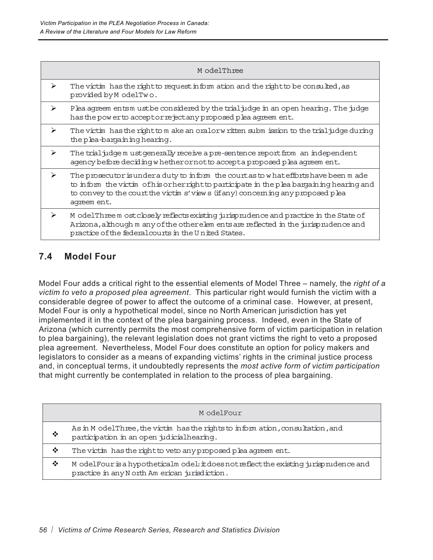|                       | M odelThree                                                                                                                                                                                                                                                                          |
|-----------------------|--------------------------------------------------------------------------------------------------------------------------------------------------------------------------------------------------------------------------------------------------------------------------------------|
| $\blacktriangleright$ | The victim has the right to request in form ation and the right to be consulted, as<br>provided by M odelTwo.                                                                                                                                                                        |
| ↘                     | Plea agreem entsm ust be considered by the trial judge in an open hearing. The judge<br>has the pow er to acceptor rejectany proposed plea agreem ent.                                                                                                                               |
| ↘                     | The victim has the right to m ake an oralor written subm ission to the trial judge during<br>the plea-bargaining hearing.                                                                                                                                                            |
| ↘                     | The trial judge m ustgenerally receive a pre-sentence report from an independent<br>agency before deciding whether or not to accept a proposed plea agreem ent.                                                                                                                      |
| ↘                     | The prosecutor is under a duty to inform the court as to what efforts have been made<br>to inform the victim of his or herright to participate in the pleabargaining hearing and<br>to convey to the court the victim s' view s (if any) concerning any proposed plea<br>agreem ent. |
| ↘                     | M odelThreem ost closely reflects existing jurisprudence and practice in the State of<br>Arizona, although m any of the other elem ents are reflected in the jurisprudence and<br>practice of the federal courts in the United States.                                               |

## **7.4 Model Four**

Model Four adds a critical right to the essential elements of Model Three – namely, the *right of a victim to veto a proposed plea agreement*. This particular right would furnish the victim with a considerable degree of power to affect the outcome of a criminal case. However, at present, Model Four is only a hypothetical model, since no North American jurisdiction has yet implemented it in the context of the plea bargaining process. Indeed, even in the State of Arizona (which currently permits the most comprehensive form of victim participation in relation to plea bargaining), the relevant legislation does not grant victims the right to veto a proposed plea agreement. Nevertheless, Model Four does constitute an option for policy makers and legislators to consider as a means of expanding victims' rights in the criminal justice process and, in conceptual terms, it undoubtedly represents the *most active form of victim participation* that might currently be contemplated in relation to the process of plea bargaining.

|   | M odelFour                                                                                                                               |
|---|------------------------------------------------------------------------------------------------------------------------------------------|
| ❖ | As in M odelThree, the victim has the rights to inform ation, consultation, and<br>participation in an open judicialhearing.             |
| ❖ | The victim has the right to veto any proposed plea agreem ent.                                                                           |
| ❖ | M odelFour is a hypotheticalm odel: it does not reflect the existing jurisprudence and<br>practice in any N orth Am erican jurisdiction. |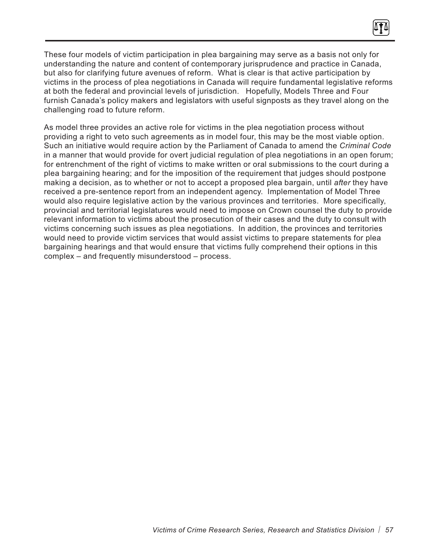These four models of victim participation in plea bargaining may serve as a basis not only for understanding the nature and content of contemporary jurisprudence and practice in Canada, but also for clarifying future avenues of reform. What is clear is that active participation by victims in the process of plea negotiations in Canada will require fundamental legislative reforms at both the federal and provincial levels of jurisdiction. Hopefully, Models Three and Four furnish Canada's policy makers and legislators with useful signposts as they travel along on the challenging road to future reform.

As model three provides an active role for victims in the plea negotiation process without providing a right to veto such agreements as in model four, this may be the most viable option. Such an initiative would require action by the Parliament of Canada to amend the *Criminal Code* in a manner that would provide for overt judicial regulation of plea negotiations in an open forum; for entrenchment of the right of victims to make written or oral submissions to the court during a plea bargaining hearing; and for the imposition of the requirement that judges should postpone making a decision, as to whether or not to accept a proposed plea bargain, until *after* they have received a pre-sentence report from an independent agency. Implementation of Model Three would also require legislative action by the various provinces and territories. More specifically, provincial and territorial legislatures would need to impose on Crown counsel the duty to provide relevant information to victims about the prosecution of their cases and the duty to consult with victims concerning such issues as plea negotiations. In addition, the provinces and territories would need to provide victim services that would assist victims to prepare statements for plea bargaining hearings and that would ensure that victims fully comprehend their options in this complex – and frequently misunderstood – process.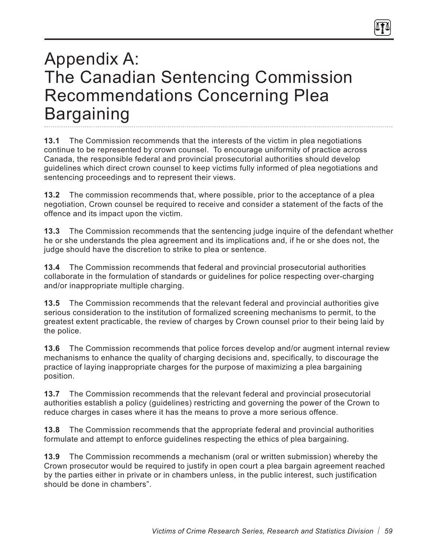# Appendix A: The Canadian Sentencing Commission Recommendations Concerning Plea Bargaining

**13.1** The Commission recommends that the interests of the victim in plea negotiations continue to be represented by crown counsel. To encourage uniformity of practice across Canada, the responsible federal and provincial prosecutorial authorities should develop guidelines which direct crown counsel to keep victims fully informed of plea negotiations and sentencing proceedings and to represent their views.

**13.2** The commission recommends that, where possible, prior to the acceptance of a plea negotiation, Crown counsel be required to receive and consider a statement of the facts of the offence and its impact upon the victim.

**13.3** The Commission recommends that the sentencing judge inquire of the defendant whether he or she understands the plea agreement and its implications and, if he or she does not, the judge should have the discretion to strike to plea or sentence.

**13.4** The Commission recommends that federal and provincial prosecutorial authorities collaborate in the formulation of standards or guidelines for police respecting over-charging and/or inappropriate multiple charging.

**13.5** The Commission recommends that the relevant federal and provincial authorities give serious consideration to the institution of formalized screening mechanisms to permit, to the greatest extent practicable, the review of charges by Crown counsel prior to their being laid by the police.

**13.6** The Commission recommends that police forces develop and/or augment internal review mechanisms to enhance the quality of charging decisions and, specifically, to discourage the practice of laying inappropriate charges for the purpose of maximizing a plea bargaining position.

**13.7** The Commission recommends that the relevant federal and provincial prosecutorial authorities establish a policy (guidelines) restricting and governing the power of the Crown to reduce charges in cases where it has the means to prove a more serious offence.

**13.8** The Commission recommends that the appropriate federal and provincial authorities formulate and attempt to enforce guidelines respecting the ethics of plea bargaining.

**13.9** The Commission recommends a mechanism (oral or written submission) whereby the Crown prosecutor would be required to justify in open court a plea bargain agreement reached by the parties either in private or in chambers unless, in the public interest, such justification should be done in chambers".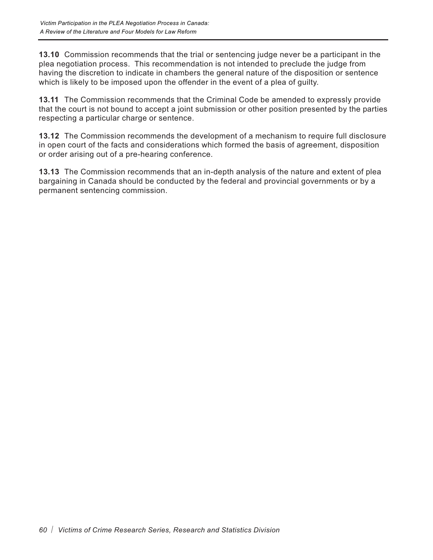**13.10** Commission recommends that the trial or sentencing judge never be a participant in the plea negotiation process. This recommendation is not intended to preclude the judge from having the discretion to indicate in chambers the general nature of the disposition or sentence which is likely to be imposed upon the offender in the event of a plea of guilty.

**13.11** The Commission recommends that the Criminal Code be amended to expressly provide that the court is not bound to accept a joint submission or other position presented by the parties respecting a particular charge or sentence.

**13.12** The Commission recommends the development of a mechanism to require full disclosure in open court of the facts and considerations which formed the basis of agreement, disposition or order arising out of a pre-hearing conference.

**13.13** The Commission recommends that an in-depth analysis of the nature and extent of plea bargaining in Canada should be conducted by the federal and provincial governments or by a permanent sentencing commission.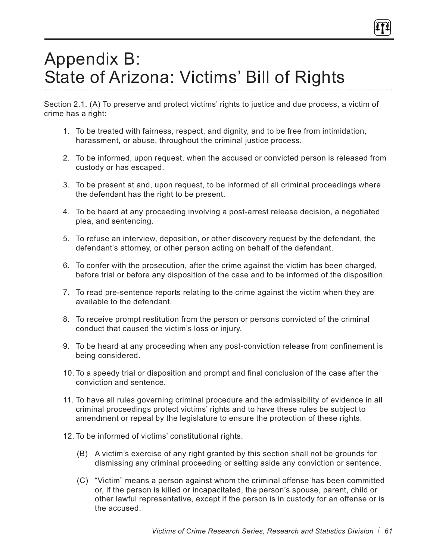# Appendix B: State of Arizona: Victims' Bill of Rights

Section 2.1. (A) To preserve and protect victims' rights to justice and due process, a victim of crime has a right:

- 1. To be treated with fairness, respect, and dignity, and to be free from intimidation, harassment, or abuse, throughout the criminal justice process.
- 2. To be informed, upon request, when the accused or convicted person is released from custody or has escaped.
- 3. To be present at and, upon request, to be informed of all criminal proceedings where the defendant has the right to be present.
- 4. To be heard at any proceeding involving a post-arrest release decision, a negotiated plea, and sentencing.
- 5. To refuse an interview, deposition, or other discovery request by the defendant, the defendant's attorney, or other person acting on behalf of the defendant.
- 6. To confer with the prosecution, after the crime against the victim has been charged, before trial or before any disposition of the case and to be informed of the disposition.
- 7. To read pre-sentence reports relating to the crime against the victim when they are available to the defendant.
- 8. To receive prompt restitution from the person or persons convicted of the criminal conduct that caused the victim's loss or injury.
- 9. To be heard at any proceeding when any post-conviction release from confinement is being considered.
- 10. To a speedy trial or disposition and prompt and final conclusion of the case after the conviction and sentence.
- 11. To have all rules governing criminal procedure and the admissibility of evidence in all criminal proceedings protect victims' rights and to have these rules be subject to amendment or repeal by the legislature to ensure the protection of these rights.
- 12. To be informed of victims' constitutional rights.
	- (B) A victim's exercise of any right granted by this section shall not be grounds for dismissing any criminal proceeding or setting aside any conviction or sentence.
	- (C) "Victim" means a person against whom the criminal offense has been committed or, if the person is killed or incapacitated, the person's spouse, parent, child or other lawful representative, except if the person is in custody for an offense or is the accused.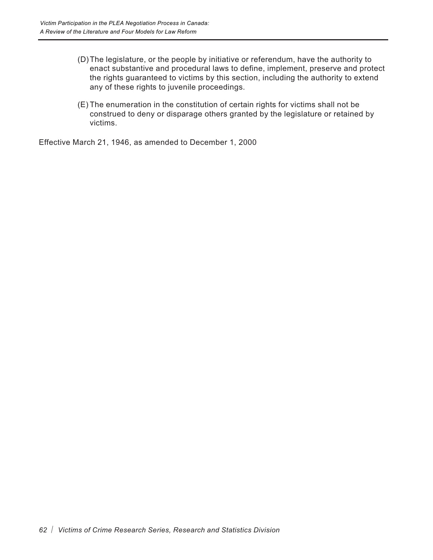- (D)The legislature, or the people by initiative or referendum, have the authority to enact substantive and procedural laws to define, implement, preserve and protect the rights guaranteed to victims by this section, including the authority to extend any of these rights to juvenile proceedings.
- (E) The enumeration in the constitution of certain rights for victims shall not be construed to deny or disparage others granted by the legislature or retained by victims.

Effective March 21, 1946, as amended to December 1, 2000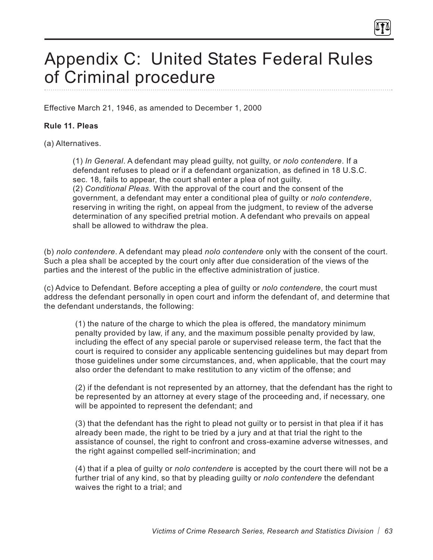## Appendix C: United States Federal Rules of Criminal procedure

Effective March 21, 1946, as amended to December 1, 2000

#### **Rule 11. Pleas**

#### (a) Alternatives.

(1) *In General*. A defendant may plead guilty, not guilty, or *nolo contendere*. If a defendant refuses to plead or if a defendant organization, as defined in 18 U.S.C. sec. 18, fails to appear, the court shall enter a plea of not guilty. (2) *Conditional Pleas.* With the approval of the court and the consent of the government, a defendant may enter a conditional plea of guilty or *nolo contendere*, reserving in writing the right, on appeal from the judgment, to review of the adverse determination of any specified pretrial motion. A defendant who prevails on appeal shall be allowed to withdraw the plea.

(b) *nolo contendere*. A defendant may plead *nolo contendere* only with the consent of the court. Such a plea shall be accepted by the court only after due consideration of the views of the parties and the interest of the public in the effective administration of justice.

(c) Advice to Defendant. Before accepting a plea of guilty or *nolo contendere*, the court must address the defendant personally in open court and inform the defendant of, and determine that the defendant understands, the following:

(1) the nature of the charge to which the plea is offered, the mandatory minimum penalty provided by law, if any, and the maximum possible penalty provided by law, including the effect of any special parole or supervised release term, the fact that the court is required to consider any applicable sentencing guidelines but may depart from those guidelines under some circumstances, and, when applicable, that the court may also order the defendant to make restitution to any victim of the offense; and

(2) if the defendant is not represented by an attorney, that the defendant has the right to be represented by an attorney at every stage of the proceeding and, if necessary, one will be appointed to represent the defendant; and

(3) that the defendant has the right to plead not guilty or to persist in that plea if it has already been made, the right to be tried by a jury and at that trial the right to the assistance of counsel, the right to confront and cross-examine adverse witnesses, and the right against compelled self-incrimination; and

(4) that if a plea of guilty or *nolo contendere* is accepted by the court there will not be a further trial of any kind, so that by pleading guilty or *nolo contendere* the defendant waives the right to a trial; and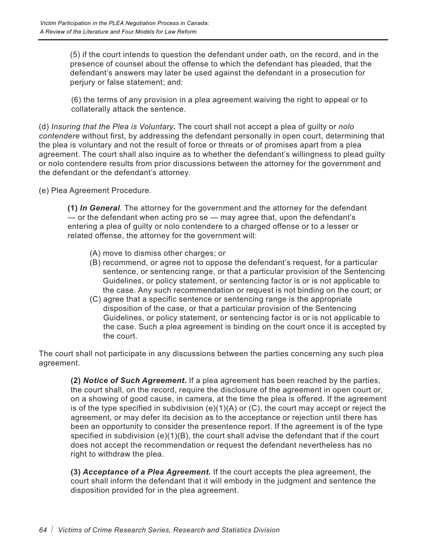(5) if the court intends to question the defendant under oath, on the record, and in the presence of counsel about the offense to which the defendant has pleaded, that the defendant's answers may later be used against the defendant in a prosecution for perjury or false statement; and:

(6) the terms of any provision in a plea agreement waiving the right to appeal or to collaterally attack the sentence.

(d) *Insuring that the Plea is Voluntary.* The court shall not accept a plea of guilty or *nolo contendere* without first, by addressing the defendant personally in open court, determining that the plea is voluntary and not the result of force or threats or of promises apart from a plea agreement. The court shall also inquire as to whether the defendant's willingness to plead guilty or nolo contendere results from prior discussions between the attorney for the government and the defendant or the defendant's attorney.

(e) Plea Agreement Procedure.

**(1)** *In General.* The attorney for the government and the attorney for the defendant — or the defendant when acting pro se — may agree that, upon the defendant's entering a plea of guilty or nolo contendere to a charged offense or to a lesser or related offense, the attorney for the government will:

- (A) move to dismiss other charges; or
- (B) recommend, or agree not to oppose the defendant's request, for a particular sentence, or sentencing range, or that a particular provision of the Sentencing Guidelines, or policy statement, or sentencing factor is or is not applicable to the case. Any such recommendation or request is not binding on the court; or
- (C) agree that a specific sentence or sentencing range is the appropriate disposition of the case, or that a particular provision of the Sentencing Guidelines, or policy statement, or sentencing factor is or is not applicable to the case. Such a plea agreement is binding on the court once it is accepted by the court.

The court shall not participate in any discussions between the parties concerning any such plea agreement.

**(2)** *Notice of Such Agreement.* If a plea agreement has been reached by the parties, the court shall, on the record, require the disclosure of the agreement in open court or, on a showing of good cause, in camera, at the time the plea is offered. If the agreement is of the type specified in subdivision (e)(1)(A) or (C), the court may accept or reject the agreement, or may defer its decision as to the acceptance or rejection until there has been an opportunity to consider the presentence report. If the agreement is of the type specified in subdivision (e)(1)(B), the court shall advise the defendant that if the court does not accept the recommendation or request the defendant nevertheless has no right to withdraw the plea.

**(3)** *Acceptance of a Plea Agreement.* If the court accepts the plea agreement, the court shall inform the defendant that it will embody in the judgment and sentence the disposition provided for in the plea agreement.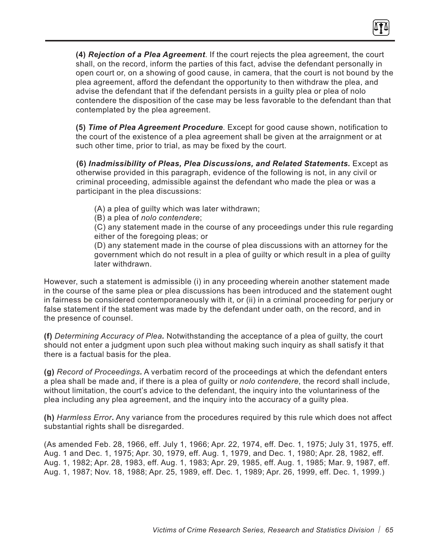**(4)** *Rejection of a Plea Agreement*. If the court rejects the plea agreement, the court shall, on the record, inform the parties of this fact, advise the defendant personally in open court or, on a showing of good cause, in camera, that the court is not bound by the plea agreement, afford the defendant the opportunity to then withdraw the plea, and advise the defendant that if the defendant persists in a guilty plea or plea of nolo contendere the disposition of the case may be less favorable to the defendant than that contemplated by the plea agreement.

**(5)** *Time of Plea Agreement Procedure*. Except for good cause shown, notification to the court of the existence of a plea agreement shall be given at the arraignment or at such other time, prior to trial, as may be fixed by the court.

**(6)** *Inadmissibility of Pleas, Plea Discussions, and Related Statements.* Except as otherwise provided in this paragraph, evidence of the following is not, in any civil or criminal proceeding, admissible against the defendant who made the plea or was a participant in the plea discussions:

- (A) a plea of guilty which was later withdrawn;
- (B) a plea of *nolo contendere*;

(C) any statement made in the course of any proceedings under this rule regarding either of the foregoing pleas; or

(D) any statement made in the course of plea discussions with an attorney for the government which do not result in a plea of guilty or which result in a plea of guilty later withdrawn.

However, such a statement is admissible (i) in any proceeding wherein another statement made in the course of the same plea or plea discussions has been introduced and the statement ought in fairness be considered contemporaneously with it, or (ii) in a criminal proceeding for perjury or false statement if the statement was made by the defendant under oath, on the record, and in the presence of counsel.

**(f)** *Determining Accuracy of Plea.* Notwithstanding the acceptance of a plea of guilty, the court should not enter a judgment upon such plea without making such inquiry as shall satisfy it that there is a factual basis for the plea.

**(g)** *Record of Proceedings.* A verbatim record of the proceedings at which the defendant enters a plea shall be made and, if there is a plea of guilty or *nolo contendere*, the record shall include, without limitation, the court's advice to the defendant, the inquiry into the voluntariness of the plea including any plea agreement, and the inquiry into the accuracy of a guilty plea.

**(h)** *Harmless Error.* Any variance from the procedures required by this rule which does not affect substantial rights shall be disregarded.

(As amended Feb. 28, 1966, eff. July 1, 1966; Apr. 22, 1974, eff. Dec. 1, 1975; July 31, 1975, eff. Aug. 1 and Dec. 1, 1975; Apr. 30, 1979, eff. Aug. 1, 1979, and Dec. 1, 1980; Apr. 28, 1982, eff. Aug. 1, 1982; Apr. 28, 1983, eff. Aug. 1, 1983; Apr. 29, 1985, eff. Aug. 1, 1985; Mar. 9, 1987, eff. Aug. 1, 1987; Nov. 18, 1988; Apr. 25, 1989, eff. Dec. 1, 1989; Apr. 26, 1999, eff. Dec. 1, 1999.)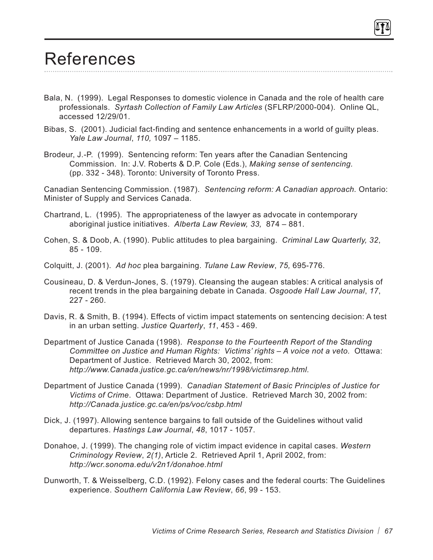## References

- Bala, N. (1999). Legal Responses to domestic violence in Canada and the role of health care professionals. *Syrtash Collection of Family Law Articles* (SFLRP/2000-004). Online QL, accessed 12/29/01.
- Bibas, S. (2001). Judicial fact-finding and sentence enhancements in a world of guilty pleas. *Yale Law Journal*, *110,* 1097 – 1185.
- Brodeur, J.-P. (1999). Sentencing reform: Ten years after the Canadian Sentencing Commission. In: J.V. Roberts & D.P. Cole (Eds.), *Making sense of sentencing.* (pp. 332 - 348). Toronto: University of Toronto Press.

Canadian Sentencing Commission. (1987). *Sentencing reform: A Canadian approach.* Ontario: Minister of Supply and Services Canada.

- Chartrand, L. (1995). The appropriateness of the lawyer as advocate in contemporary aboriginal justice initiatives. *Alberta Law Review, 33,* 874 – 881.
- Cohen, S. & Doob, A. (1990). Public attitudes to plea bargaining. *Criminal Law Quarterly, 32*, 85 - 109.
- Colquitt, J. (2001). *Ad hoc* plea bargaining. *Tulane Law Review*, *75,* 695-776.
- Cousineau, D. & Verdun-Jones, S. (1979). Cleansing the augean stables: A critical analysis of recent trends in the plea bargaining debate in Canada. *Osgoode Hall Law Journal*, *17*, 227 - 260.
- Davis, R. & Smith, B. (1994). Effects of victim impact statements on sentencing decision: A test in an urban setting. *Justice Quarterly*, *11*, 453 - 469.
- Department of Justice Canada (1998). *Response to the Fourteenth Report of the Standing Committee on Justice and Human Rights: Victims' rights – A voice not a veto.* Ottawa: Department of Justice. Retrieved March 30, 2002, from: *http://www.Canada.justice.gc.ca/en/news/nr/1998/victimsrep.html.*
- Department of Justice Canada (1999). *Canadian Statement of Basic Principles of Justice for Victims of Crime*. Ottawa: Department of Justice. Retrieved March 30, 2002 from: *http://Canada.justice.gc.ca/en/ps/voc/csbp.html*
- Dick, J. (1997). Allowing sentence bargains to fall outside of the Guidelines without valid departures. *Hastings Law Journal*, *48*, 1017 - 1057.
- Donahoe, J. (1999). The changing role of victim impact evidence in capital cases. *Western Criminology Review*, *2(1)*, Article 2. Retrieved April 1, April 2002, from: *http://wcr.sonoma.edu/v2n1/donahoe.html*
- Dunworth, T. & Weisselberg, C.D. (1992). Felony cases and the federal courts: The Guidelines experience. *Southern California Law Review*, *66*, 99 - 153.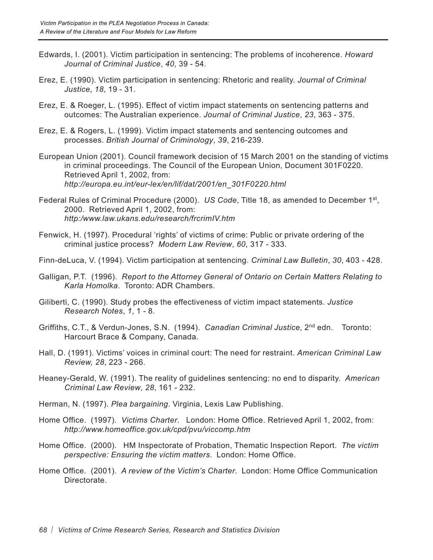- Edwards, I. (2001). Victim participation in sentencing: The problems of incoherence. *Howard Journal of Criminal Justice*, *40*, 39 - 54.
- Erez, E. (1990). Victim participation in sentencing: Rhetoric and reality. *Journal of Criminal Justice*, *18*, 19 - 31.
- Erez, E. & Roeger, L. (1995). Effect of victim impact statements on sentencing patterns and outcomes: The Australian experience. *Journal of Criminal Justice*, *23*, 363 - 375.
- Erez, E. & Rogers, L. (1999). Victim impact statements and sentencing outcomes and processes. *British Journal of Criminology*, *39*, 216-239.
- European Union (2001). Council framework decision of 15 March 2001 on the standing of victims in criminal proceedings. The Council of the European Union, Document 301F0220. Retrieved April 1, 2002, from: *http://europa.eu.int/eur-lex/en/lif/dat/2001/en\_301F0220.html*
- Federal Rules of Criminal Procedure (2000). *US Code*, Title 18, as amended to December 1st, 2000. Retrieved April 1, 2002, from: *http:/www.law.ukans.edu/research/frcrimIV.htm*
- Fenwick, H. (1997). Procedural 'rights' of victims of crime: Public or private ordering of the criminal justice process? *Modern Law Review*, *60*, 317 - 333.
- Finn-deLuca, V. (1994). Victim participation at sentencing. *Criminal Law Bulletin*, *30*, 403 428.
- Galligan, P.T. (1996). *Report to the Attorney General of Ontario on Certain Matters Relating to Karla Homolka*. Toronto: ADR Chambers.
- Giliberti, C. (1990). Study probes the effectiveness of victim impact statements. *Justice Research Notes*, *1*, 1 - 8.
- Griffiths, C.T., & Verdun-Jones, S.N. (1994). *Canadian Criminal Justice*, 2nd edn. Toronto: Harcourt Brace & Company, Canada.
- Hall, D. (1991). Victims' voices in criminal court: The need for restraint. *American Criminal Law Review, 28*, 223 - 266.
- Heaney-Gerald, W. (1991). The reality of guidelines sentencing: no end to disparity. *American Criminal Law Review*, *28*, 161 - 232.
- Herman, N. (1997). *Plea bargaining*. Virginia, Lexis Law Publishing.
- Home Office. (1997). *Victims Charter*. London: Home Office. Retrieved April 1, 2002, from: *http://www.homeoffice.gov.uk/cpd/pvu/viccomp.htm*
- Home Office. (2000). HM Inspectorate of Probation, Thematic Inspection Report. *The victim perspective: Ensuring the victim matters*. London: Home Office.
- Home Office. (2001). *A review of the Victim's Charter*. London: Home Office Communication Directorate.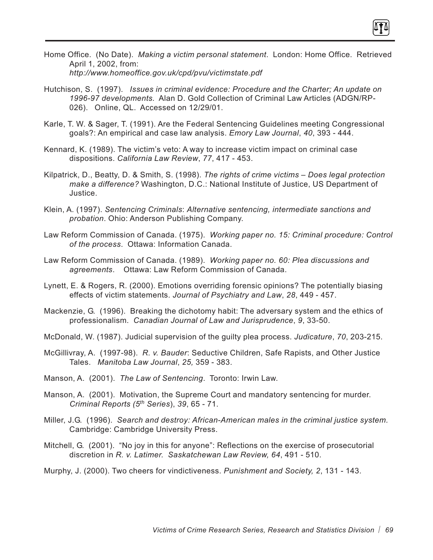

- Home Office. (No Date). *Making a victim personal statement*. London: Home Office. Retrieved April 1, 2002, from: *http://www.homeoffice.gov.uk/cpd/pvu/victimstate.pdf*
- Hutchison, S. (1997). *Issues in criminal evidence: Procedure and the Charter; An update on 1996-97 developments.* Alan D. Gold Collection of Criminal Law Articles (ADGN/RP-026). Online, QL. Accessed on 12/29/01.
- Karle, T. W. & Sager, T. (1991). Are the Federal Sentencing Guidelines meeting Congressional goals?: An empirical and case law analysis. *Emory Law Journal*, *40*, 393 - 444.
- Kennard, K. (1989). The victim's veto: A way to increase victim impact on criminal case dispositions. *California Law Review*, *77*, 417 - 453.
- Kilpatrick, D., Beatty, D. & Smith, S. (1998). *The rights of crime victims Does legal protection make a difference?* Washington, D.C.: National Institute of Justice, US Department of Justice.
- Klein, A. (1997). *Sentencing Criminals*: *Alternative sentencing, intermediate sanctions and probation*. Ohio: Anderson Publishing Company.
- Law Reform Commission of Canada. (1975). *Working paper no. 15: Criminal procedure: Control of the process*. Ottawa: Information Canada.
- Law Reform Commission of Canada. (1989). *Working paper no. 60: Plea discussions and agreements*. Ottawa: Law Reform Commission of Canada.
- Lynett, E. & Rogers, R. (2000). Emotions overriding forensic opinions? The potentially biasing effects of victim statements. *Journal of Psychiatry and Law*, *28*, 449 - 457.
- Mackenzie, G. (1996). Breaking the dichotomy habit: The adversary system and the ethics of professionalism. *Canadian Journal of Law and Jurisprudence*, *9*, 33-50.
- McDonald, W. (1987). Judicial supervision of the guilty plea process. *Judicature*, *70*, 203-215.
- McGillivray, A. (1997-98). *R. v. Bauder*: Seductive Children, Safe Rapists, and Other Justice Tales. *Manitoba Law Journal*, *25,* 359 - 383.
- Manson, A. (2001). *The Law of Sentencing*. Toronto: Irwin Law.
- Manson, A. (2001). Motivation, the Supreme Court and mandatory sentencing for murder. *Criminal Reports (5th Series*), *39*, 65 - 71.
- Miller, J.G. (1996). *Search and destroy: African-American males in the criminal justice system.* Cambridge: Cambridge University Press.
- Mitchell, G. (2001). "No joy in this for anyone": Reflections on the exercise of prosecutorial discretion in *R. v. Latimer. Saskatchewan Law Review, 64*, 491 - 510.
- Murphy, J. (2000). Two cheers for vindictiveness. *Punishment and Society, 2*, 131 143.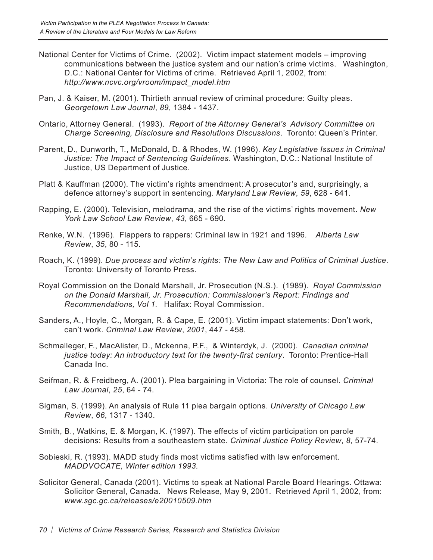- National Center for Victims of Crime. (2002). Victim impact statement models improving communications between the justice system and our nation's crime victims. Washington, D.C.: National Center for Victims of crime. Retrieved April 1, 2002, from: *http://www.ncvc.org/vroom/impact\_model.htm*
- Pan, J. & Kaiser, M. (2001). Thirtieth annual review of criminal procedure: Guilty pleas. *Georgetown Law Journal*, *89*, 1384 - 1437.
- Ontario, Attorney General. (1993). *Report of the Attorney General's Advisory Committee on Charge Screening, Disclosure and Resolutions Discussions*. Toronto: Queen's Printer.
- Parent, D., Dunworth, T., McDonald, D. & Rhodes, W. (1996). *Key Legislative Issues in Criminal Justice: The Impact of Sentencing Guidelines*. Washington, D.C.: National Institute of Justice, US Department of Justice.
- Platt & Kauffman (2000). The victim's rights amendment: A prosecutor's and, surprisingly, a defence attorney's support in sentencing. *Maryland Law Review*, *59*, 628 - 641.
- Rapping, E. (2000). Television, melodrama, and the rise of the victims' rights movement. *New York Law School Law Review*, *43*, 665 - 690.
- Renke, W.N. (1996). Flappers to rappers: Criminal law in 1921 and 1996*. Alberta Law Review*, *35*, 80 - 115.
- Roach, K. (1999). *Due process and victim's rights: The New Law and Politics of Criminal Justice*. Toronto: University of Toronto Press.
- Royal Commission on the Donald Marshall, Jr. Prosecution (N.S.). (1989). *Royal Commission on the Donald Marshall, Jr. Prosecution: Commissioner's Report: Findings and Recommendations, Vol 1.* Halifax: Royal Commission.
- Sanders, A., Hoyle, C., Morgan, R. & Cape, E. (2001). Victim impact statements: Don't work, can't work. *Criminal Law Review*, *2001*, 447 - 458.
- Schmalleger, F., MacAlister, D., Mckenna, P.F., & Winterdyk, J. (2000). *Canadian criminal justice today: An introductory text for the twenty-first century*. Toronto: Prentice-Hall Canada Inc.
- Seifman, R. & Freidberg, A. (2001). Plea bargaining in Victoria: The role of counsel. *Criminal Law Journal*, *25*, 64 - 74.
- Sigman, S. (1999). An analysis of Rule 11 plea bargain options. *University of Chicago Law Review*, *66*, 1317 - 1340.
- Smith, B., Watkins, E. & Morgan, K. (1997). The effects of victim participation on parole decisions: Results from a southeastern state. *Criminal Justice Policy Review*, *8*, 57-74.
- Sobieski, R. (1993). MADD study finds most victims satisfied with law enforcement. *MADDVOCATE, Winter edition 1993.*
- Solicitor General, Canada (2001). Victims to speak at National Parole Board Hearings. Ottawa: Solicitor General, Canada. News Release, May 9, 2001. Retrieved April 1, 2002, from: *www.sgc.gc.ca/releases/e20010509.htm*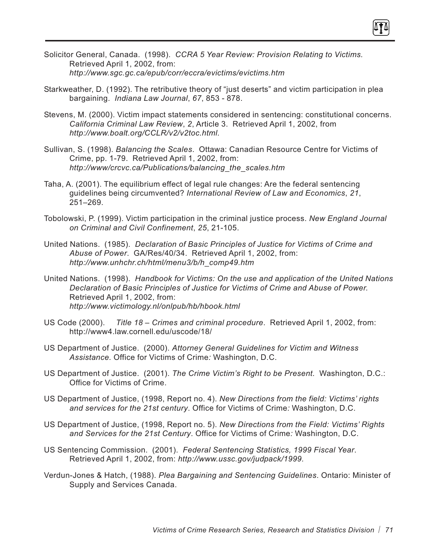- Solicitor General, Canada. (1998). *CCRA 5 Year Review: Provision Relating to Victims.* Retrieved April 1, 2002, from: *http://www.sgc.gc.ca/epub/corr/eccra/evictims/evictims.htm*
- Starkweather, D. (1992). The retributive theory of "just deserts" and victim participation in plea bargaining. *Indiana Law Journal*, *67*, 853 - 878.
- Stevens, M. (2000). Victim impact statements considered in sentencing: constitutional concerns. *California Criminal Law Review*, *2*, Article 3. Retrieved April 1, 2002, from *http://www.boalt.org/CCLR/v2/v2toc.html.*
- Sullivan, S. (1998). *Balancing the Scales*. Ottawa: Canadian Resource Centre for Victims of Crime, pp. 1-79. Retrieved April 1, 2002, from: *http://www/crcvc.ca/Publications/balancing\_the\_scales.htm*
- Taha, A. (2001). The equilibrium effect of legal rule changes: Are the federal sentencing guidelines being circumvented? *International Review of Law and Economics*, *21*, 251–269.
- Tobolowski, P. (1999). Victim participation in the criminal justice process. *New England Journal on Criminal and Civil Confinement*, *25*, 21-105.
- United Nations. (1985). *Declaration of Basic Principles of Justice for Victims of Crime and Abuse of Power*. GA/Res/40/34. Retrieved April 1, 2002, from: *http://www.unhchr.ch/html/menu3/b/h\_comp49.htm*
- United Nations. (1998). *Handbook for Victims: On the use and application of the United Nations Declaration of Basic Principles of Justice for Victims of Crime and Abuse of Power.* Retrieved April 1, 2002, from: *http://www.victimology.nl/onlpub/hb/hbook.html*
- US Code (2000). *Title 18 Crimes and criminal procedure*. Retrieved April 1, 2002, from: http://www4.law.cornell.edu/uscode/18/
- US Department of Justice. (2000). *Attorney General Guidelines for Victim and Witness Assistance.* Office for Victims of Crime*:* Washington, D.C.
- US Department of Justice. (2001). *The Crime Victim's Right to be Present.* Washington, D.C.: Office for Victims of Crime.
- US Department of Justice, (1998, Report no. 4). *New Directions from the field: Victims' rights and services for the 21st century*. Office for Victims of Crime*:* Washington, D.C.
- US Department of Justice, (1998, Report no. 5). *New Directions from the Field: Victims' Rights and Services for the 21st Century*. Office for Victims of Crime*:* Washington, D.C.
- US Sentencing Commission. (2001). *Federal Sentencing Statistics, 1999 Fiscal Year*. Retrieved April 1, 2002, from: *http://www.ussc.gov/judpack/1999.*
- Verdun-Jones & Hatch, (1988). *Plea Bargaining and Sentencing Guidelines*. Ontario: Minister of Supply and Services Canada.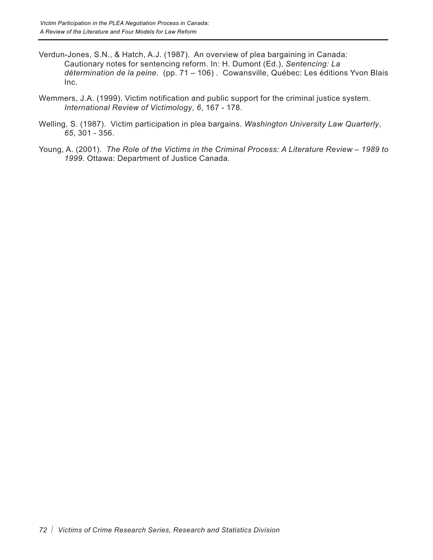- Verdun-Jones, S.N., & Hatch, A.J. (1987). An overview of plea bargaining in Canada: Cautionary notes for sentencing reform. In: H. Dumont (Ed.), *Sentencing: La détermination de la peine.* (pp. 71 – 106) *.* Cowansville, Québec: Les éditions Yvon Blais Inc.
- Wemmers, J.A. (1999). Victim notification and public support for the criminal justice system. *International Review of Victimology*, *6*, 167 - 178.
- Welling, S. (1987). Victim participation in plea bargains. *Washington University Law Quarterly*, *65*, 301 - 356.
- Young, A. (2001). *The Role of the Victims in the Criminal Process: A Literature Review 1989 to 1999*. Ottawa: Department of Justice Canada.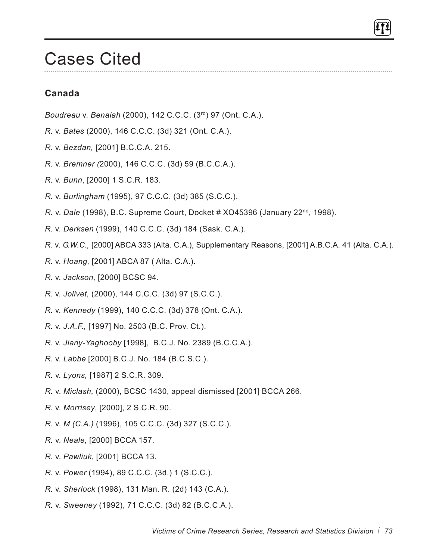# Cases Cited

### **Canada**

*Boudreau* v. *Benaiah* (2000), 142 C.C.C. (3rd) 97 (Ont. C.A.).

- *R.* v. *Bates* (2000), 146 C.C.C. (3d) 321 (Ont. C.A.).
- *R.* v. *Bezdan,* [2001] B.C.C.A. 215.
- *R.* v. *Bremner (*2000), 146 C.C.C. (3d) 59 (B.C.C.A.).
- *R.* v. *Bunn*, [2000] 1 S.C.R. 183.
- *R.* v. *Burlingham* (1995), 97 C.C.C. (3d) 385 (S.C.C.).
- *R.* v. *Dale* (1998), B.C. Supreme Court, Docket # XO45396 (January 22nd, 1998).
- *R.* v. *Derksen* (1999), 140 C.C.C. (3d) 184 (Sask. C.A.).
- *R.* v. *G.W.C.,* [2000] ABCA 333 (Alta. C.A.), Supplementary Reasons, [2001] A.B.C.A. 41 (Alta. C.A.).
- *R.* v. *Hoang,* [2001] ABCA 87 ( Alta. C.A.).
- *R.* v. *Jackson,* [2000] BCSC 94.
- *R.* v. *Jolivet,* (2000), 144 C.C.C. (3d) 97 (S.C.C.).
- *R.* v. *Kennedy* (1999), 140 C.C.C. (3d) 378 (Ont. C.A.).
- *R.* v. *J.A.F.,* [1997] No. 2503 (B.C. Prov. Ct.).
- *R.* v. *Jiany-Yaghooby* [1998], B.C.J. No. 2389 (B.C.C.A.).
- *R.* v. *Labbe* [2000] B.C.J. No. 184 (B.C.S.C.).
- *R.* v. *Lyons,* [1987] 2 S.C.R. 309.
- *R.* v. *Miclash,* (2000), BCSC 1430, appeal dismissed [2001] BCCA 266.
- *R.* v. *Morrisey*, [2000], 2 S.C.R. 90.
- *R.* v. *M (C.A.)* (1996), 105 C.C.C. (3d) 327 (S.C.C.).
- *R.* v. *Neale,* [2000] BCCA 157.
- *R.* v. *Pawliuk*, [2001] BCCA 13.
- *R.* v. *Power* (1994), 89 C.C.C. (3d.) 1 (S.C.C.).
- *R.* v. *Sherlock* (1998), 131 Man. R. (2d) 143 (C.A.).
- *R.* v. *Sweeney* (1992), 71 C.C.C. (3d) 82 (B.C.C.A.).